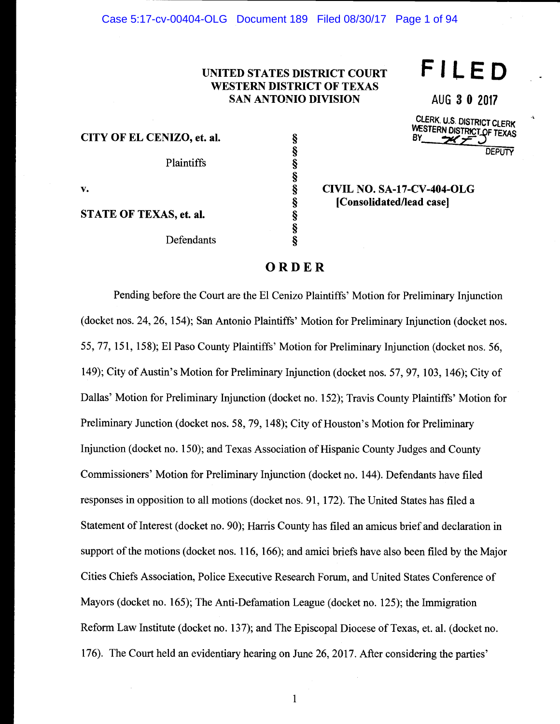## UNITED STATES DISTRICT COURT WESTERN DISTRICT OF TEXAS SAN ANTONIO DIVISION

§

§

§

CITY OF EL CENIZO, et. al.

Plaintiffs §

v.  $\S$ 

AUG 3 0 2017 CLERK. U.S. DISTRICT CLERK

FILED

WESTERN DISTRICT OF TEXAS **DEPUTY** 

STATE OF TEXAS, et. al.

Defendants §

#### § CIVIL NO. SA-17-CV-404-OLG IConsolidated/lead easel

# ORDER

Pending before the Court are the El Cenizo Plaintiffs' Motion for Preliminary Injunction (docket nos. 24, 26, 154); San Antonio Plaintiffs' Motion for Preliminary Injunction (docket nos. 55, 77, 151, 158); El Paso County Plaintiffs' Motion for Preliminary Injunction (docket nos. 56, 149); City of Austin's Motion for Preliminary Injunction (docket nos. 57, 97, 103, 146); City of Dallas' Motion for Preliminary Injunction (docket no. 152); Travis County Plaintiffs' Motion for Preliminary Junction (docket nos. 58, 79, 148); City of Houston's Motion for Preliminary Injunction (docket no. 150); and Texas Association of Hispanic County Judges and County Commissioners' Motion for Preliminary Injunction (docket no. 144). Defendants have filed responses in opposition to all motions (docket nos. 91, 172). The United States has filed a Statement of Interest (docket no. 90); Harris County has filed an amicus brief and declaration in support of the motions (docket nos. 116, 166); and amici briefs have also been filed by the Major Cities Chiefs Association, Police Executive Research Forum, and United States Conference of Mayors (docket no. 165); The Anti-Defamation League (docket no. 125); the Immigration Reform Law Institute (docket no. 137); and The Episcopal Diocese of Texas, et. al. (docket no. 176). The Court held an evidentiary hearing on June 26, 2017. After considering the parties'

1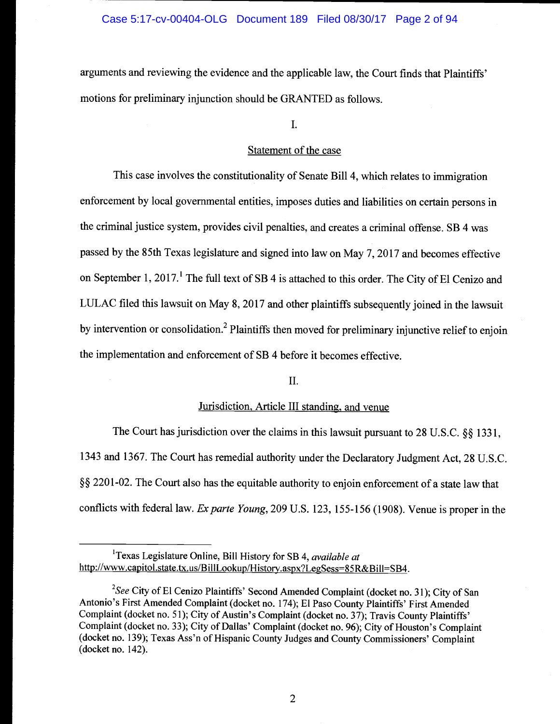arguments and reviewing the evidence and the applicable law, the Court finds that Plaintiffs' motions for preliminary injunction should be GRANTED as follows.

I.

#### Statement of the case

This case involves the constitutionality of Senate Bill 4, which relates to immigration enforcement by local governmental entities, imposes duties and liabilities on certain persons in the criminal justice system, provides civil penalties, and creates a criminal offense. SB 4 was passed by the 85th Texas legislature and signed into law on May 7, 2017 and becomes effective on September 1, 2017.<sup>1</sup> The full text of SB 4 is attached to this order. The City of El Cenizo and LULAC filed this lawsuit on May 8, 2017 and other plaintiffs subsequently joined in the lawsuit by intervention or consolidation.<sup>2</sup> Plaintiffs then moved for preliminary injunctive relief to enjoin the implementation and enforcement of SB 4 before it becomes effective.

## II.

## Jurisdiction, Article III standing, and venue

The Court has jurisdiction over the claims in this lawsuit pursuant to 28 U.S.C. §§ 1331, 1343 and 1367. The Court has remedial authority under the Declaratory Judgment Act, 28 U.S.C. §§ 2201-02. The Court also has the equitable authority to enjoin enforcement of a state law that conflicts with federal law. Exparte Young, 209 U.S. 123, 155-156 (1908). Venue is proper in the

<sup>&</sup>lt;sup>1</sup>Texas Legislature Online, Bill History for SB 4, *available at* http://www.capitol.state.tx.us/BillLookup/History.aspx?LegSess=85R&Bill=SB4.

<sup>&</sup>lt;sup>2</sup>See City of El Cenizo Plaintiffs' Second Amended Complaint (docket no. 31); City of San Antonio's First Amended Complaint (docket no. 174); El Paso County Plaintiffs' First Amended Complaint (docket no. 51); City of Austin's Complaint (docket no. 37); Travis County Plaintiffs' Complaint (docket no. 33); City of Dallas' Complaint (docket no. 96); City of Houston's Complaint (docket no. 139); Texas Ass'n of Hispanic County Judges and County Commissioners' Complaint (docket no. 142).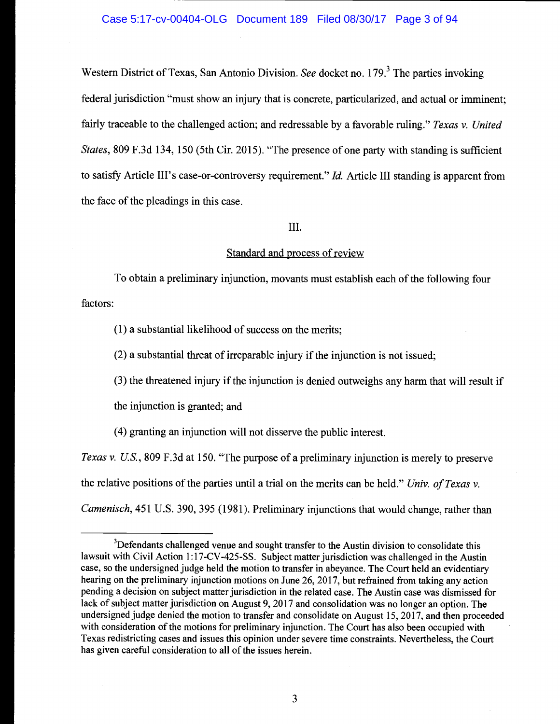Western District of Texas, San Antonio Division. See docket no. 179.<sup>3</sup> The parties invoking federal jurisdiction "must show an injury that is concrete, particularized, and actual or imminent; fairly traceable to the challenged action; and redressable by a favorable ruling." Texas v. United States, 809 F.3d 134, 150 (5th Cir. 2015). "The presence of one party with standing is sufficient to satisfy Article III's case-or-controversy requirement."  $Id$ . Article III standing is apparent from the face of the pleadings in this case.

## III.

## Standard and process of review

factors: To obtain a preliminary injunction, movants must establish each of the following four

(1) a substantial likelihood of success on the merits;

(2) a substantial threat of irreparable injury if the injunction is not issued;

(3) the threatened injury if the injunction is denied outweighs any harm that will result if

the injunction is granted; and

(4) granting an injunction will not disserve the public interest.

Texas v. U.S., 809 F.3d at 150. "The purpose of a preliminary injunction is merely to preserve the relative positions of the parties until a trial on the merits can be held." Univ. of Texas v. Camenisch, 451 U.S. 390, 395 (1981). Preliminary injunctions that would change, rather than

 $3$ Defendants challenged venue and sought transfer to the Austin division to consolidate this lawsuit with Civil Action l:17-CV-425-SS. Subject matter jurisdiction was challenged in the Austin case, so the undersigned judge held the motion to transfer in abeyance. The Court held an evidentiary hearing on the preliminary injunction motions on June 26, 2017, but refrained from taking any action pending a decision on subject matter jurisdiction in the related case. The Austin case was dismissed for lack of subject matter jurisdiction on August 9, 2017 and consolidation was no longer an option. The undersigned judge denied the motion to transfer and consolidate on August 15, 2017, and then proceeded with consideration of the motions for preliminary injunction. The Court has also been occupied with Texas redistricting cases and issues this opinion under severe time constraints. Nevertheless, the Court has given careful consideration to all of the issues herein.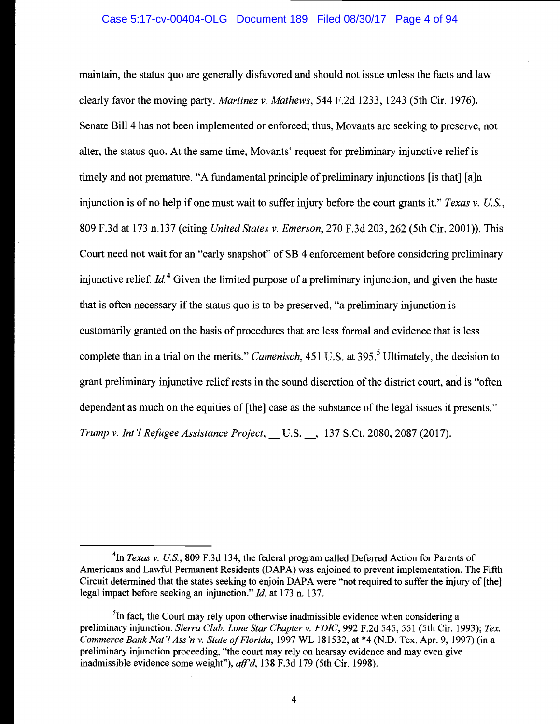## Case 5:17-cv-00404-OLG Document 189 Filed 08/30/17 Page 4 of 94

maintain, the status quo are generally disfavored and should not issue unless the facts and law clearly favor the moving party. Martinez v. Mathews, 544 F.2d 1233, 1243 (5th Cir. 1976). Senate Bill 4 has not been implemented or enforced; thus, Movants are seeking to preserve, not alter, the status quo. At the same time, Movants' request for preliminary injunctive relief is timely and not premature. "A fundamental principle of preliminary injunctions [is that] [a]n injunction is of no help if one must wait to suffer injury before the court grants it." Texas v. U.S., 809 F.3d at 173 n.137 (citing United States v. Emerson, 270 F.3d 203, 262 (5th Cir. 2001)). This Court need not wait for an "early snapshot" of SB 4 enforcement before considering preliminary injunctive relief.  $Id<sup>4</sup>$  Given the limited purpose of a preliminary injunction, and given the haste that is often necessary if the status quo is to be preserved, "a preliminary injunction is customarily granted on the basis of procedures that are less formal and evidence that is less complete than in a trial on the merits." *Camenisch*,  $451$  U.S. at  $395$ .<sup>5</sup> Ultimately, the decision to grant preliminary injunctive relief rests in the sound discretion of the district court, and is "often dependent as much on the equities of [the] case as the substance of the legal issues it presents." Trump v. Int'l Refugee Assistance Project, U.S. -, 137 S.Ct. 2080, 2087 (2017).

<sup>&</sup>lt;sup>4</sup>In *Texas v. U.S.*, 809 F.3d 134, the federal program called Deferred Action for Parents of Americans and Lawful Permanent Residents (DAPA) was enjoined to prevent implementation. The Fifth Circuit determined that the states seeking to enjoin DAPA were "not required to suffer the injury of [the] legal impact before seeking an injunction." Id. at 173 n. 137.

 $<sup>5</sup>$ In fact, the Court may rely upon otherwise inadmissible evidence when considering a</sup> preliminary injunction. Sierra Club, Lone Star Chapter v. FDIC, 992 F.2d 545, 551 (5th Cir. 1993); Tex. Commerce Bank Nat'l Ass 'n v. State of Florida, 1997 WL 181532, at \*4 (N.D. Tex. Apr. 9, 1997) (in a preliminary injunction proceeding, "the court may rely on hearsay evidence and may even give inadmissible evidence some weight"), aff'd, 138 F.3d 179 (5th Cir. 1998).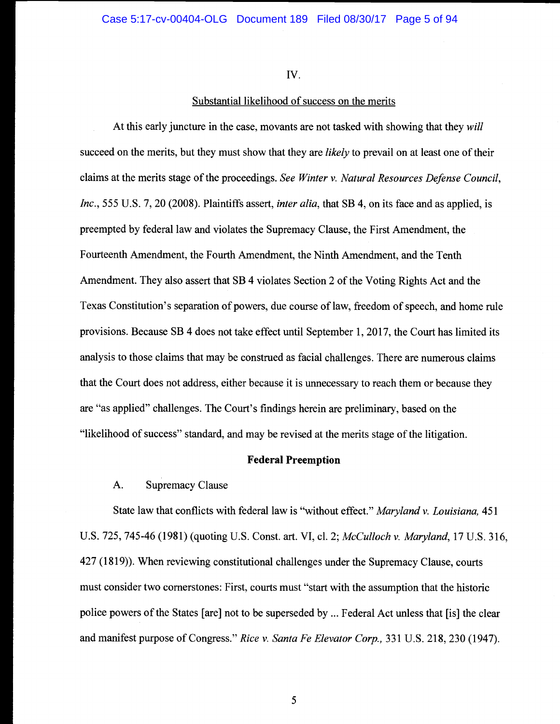Iv.

## Substantial likelihood of success on the merits

At this early juncture in the case, movants are not tasked with showing that they will succeed on the merits, but they must show that they are *likely* to prevail on at least one of their claims at the merits stage of the proceedings. See Winter v. Natural Resources Defense Council, Inc., 555 U.S. 7, 20 (2008). Plaintiffs assert, *inter alia*, that SB 4, on its face and as applied, is preempted by federal law and violates the Supremacy Clause, the First Amendment, the Fourteenth Amendment, the Fourth Amendment, the Ninth Amendment, and the Tenth Amendment. They also assert that SB 4 violates Section 2 of the Voting Rights Act and the Texas Constitution's separation of powers, due course of law, freedom of speech, and home rule provisions. Because SB 4 does not take effect until September 1, 2017, the Court has limited its analysis to those claims that may be construed as facial challenges. There are numerous claims that the Court does not address, either because it is unnecessary to reach them or because they are "as applied" challenges. The Court's findings herein are preliminary, based on the "likelihood of success" standard, and may be revised at the merits stage of the litigation.

## Federal Preemption

## A. Supremacy Clause

State law that conflicts with federal law is "without effect." Maryland v. Louisiana, 451 U.S. 725, 745-46 (1981) (quoting U.S. Const. art. VI, cl. 2; McCulloch v. Maryland, 17 U.S. 316, 427 (1819)). When reviewing constitutional challenges under the Supremacy Clause, courts must consider two cornerstones: First, courts must "start with the assumption that the historic police powers of the States [are] not to be superseded by ... Federal Act unless that [is] the clear and manifest purpose of Congress." Rice v. Santa Fe Elevator Corp., 331 U.S. 218, 230 (1947).

5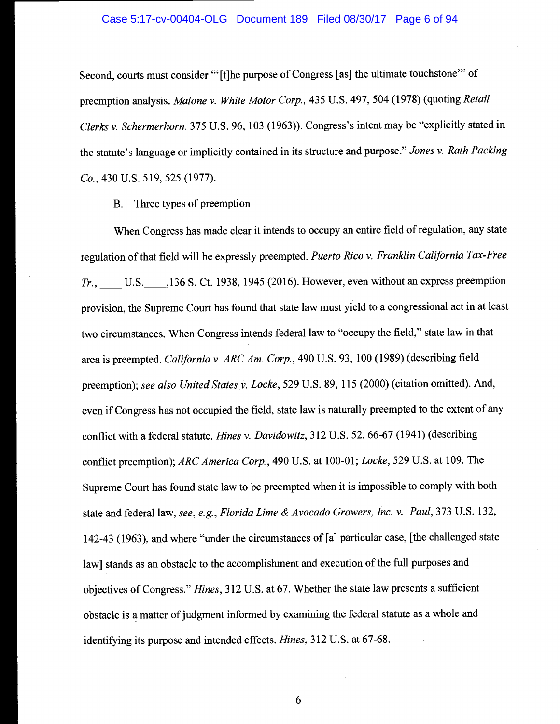#### Case 5:17-cv-00404-OLG Document 189 Filed 08/30/17 Page 6 of 94

Second, courts must consider "'[t]he purpose of Congress [as] the ultimate touchstone" of preemption analysis. Malone v. White Motor Corp., 435 U.S. 497, 504 (1978) (quoting Retail Clerks v. Schermerhorn, 375 U.S. 96, 103 (1963)). Congress's intent may be "explicitly stated in the statute's language or implicitly contained in its structure and purpose." Jones v. Rath Packing Co., 430 U.S. 519, 525 (1977).

B. Three types of preemption

When Congress has made clear it intends to occupy an entire field of regulation, any state regulation of that field will be expressly preempted. Puerto Rico v. Franklin California Tax-Free Tr., U.S. 136 S. Ct. 1938, 1945 (2016). However, even without an express preemption provision, the Supreme Court has found that state law must yield to a congressional act in at least two circumstances. When Congress intends federal law to "occupy the field," state law in that area is preempted. California v. ARC Am. Corp., 490 U.S. 93, 100 (1989) (describing field preemption); see also United States v. Locke, 529 U.S. 89, 115 (2000) (citation omitted). And, even if Congress has not occupied the field, state law is naturally preempted to the extent of any conflict with a federal statute. *Hines v. Davidowitz*, 312 U.S. 52, 66-67 (1941) (describing conflict preemption); ARC America Corp., 490 U.S. at 100-01; Locke, 529 U.S. at 109. The Supreme Court has found state law to be preempted when it is impossible to comply with both state and federal law, see, e.g., Florida Lime & Avocado Growers, Inc. v. Paul, 373 U.S. 132, 142-43 (1963), and where "under the circumstances of [a] particular case, [the challenged state law] stands as an obstacle to the accomplishment and execution of the full purposes and objectives of Congress." Hines, 312 U.S. at 67. Whether the state law presents a sufficient obstacle is a matter of judgment informed by examining the federal statute as a whole and identifying its purpose and intended effects. Hines, 312 U.S. at 67-68.

6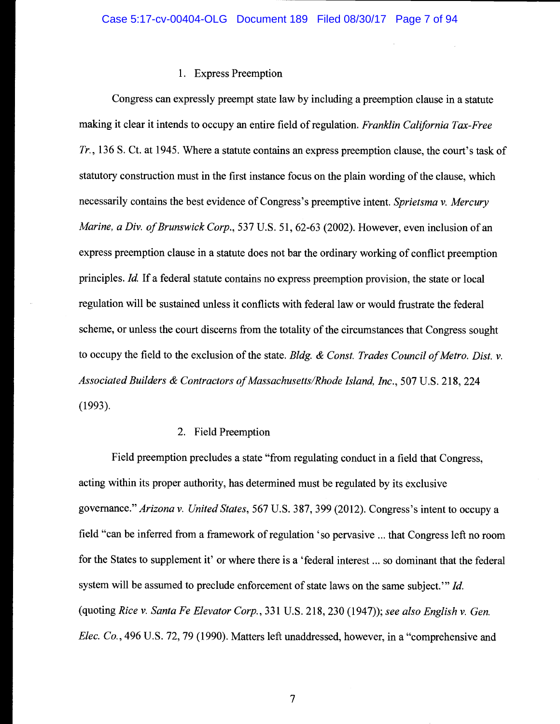## 1. Express Preemption

Congress can expressly preempt state law by including a preemption clause in a statute making it clear it intends to occupy an entire field of regulation. Franklin California Tax-Free Tr., 136 S. Ct. at 1945. Where a statute contains an express preemption clause, the court's task of statutory construction must in the first instance focus on the plain wording of the clause, which necessarily contains the best evidence of Congress's preemptive intent. Sprietsma v. Mercury Marine, a Div. of Brunswick Corp., 537 U.S. 51, 62-63 (2002). However, even inclusion of an express preemption clause in a statute does not bar the ordinary working of conflict preemption principles. Id. If a federal statute contains no express preemption provision, the state or local regulation will be sustained unless it conflicts with federal law or would frustrate the federal scheme, or unless the court discerns from the totality of the circumstances that Congress sought to occupy the field to the exclusion of the state. Bldg. & Const. Trades Council of Metro. Dist. v. Associated Builders & Contractors of Massachusetts/Rhode Island, Inc., 507 U.S. 218, 224 (1993).

#### 2. Field Preemption

Field preemption precludes a state "from regulating conduct in a field that Congress, acting within its proper authority, has determined must be regulated by its exclusive governance." Arizona v. United States, 567 U.S. 387, 399 (2012). Congress's intent to occupy a field "can be inferred from a framework of regulation 'so pervasive ... that Congress left no room for the States to supplement it' or where there is a 'federal interest ... so dominant that the federal system will be assumed to preclude enforcement of state laws on the same subject." Id. (quoting Rice v. Santa Fe Elevator Corp., 331 U.S. 218, 230 (1947)); see also English v. Gen. Elec. Co., 496 U.S. 72, 79 (1990). Matters left unaddressed, however, in a "comprehensive and

 $\overline{\mathcal{U}}$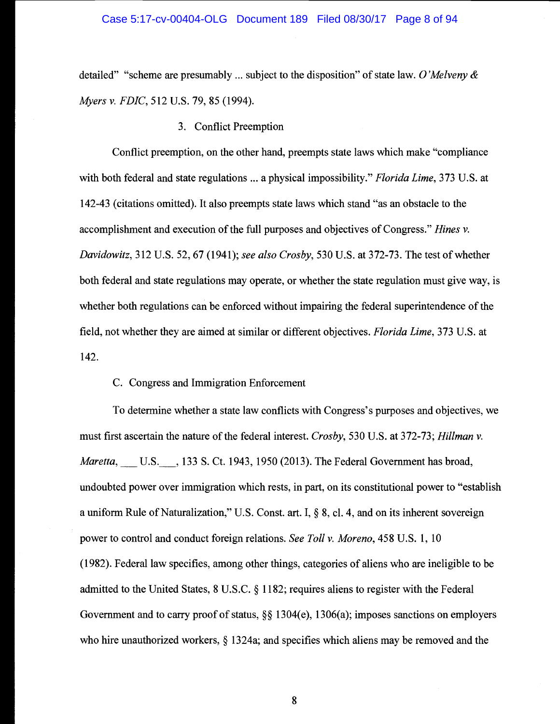detailed" "scheme are presumably ... subject to the disposition" of state law. O'Melveny  $\&$ Myers v. FDIC, 512 U.S. 79, 85 (1994).

3. Conflict Preemption

Conflict preemption, on the other hand, preempts state laws which make "compliance with both federal and state regulations ... a physical impossibility." *Florida Lime*, 373 U.S. at 142-43 (citations omitted). It also preempts state laws which stand "as an obstacle to the accomplishment and execution of the full purposes and objectives of Congress." Hines v. Davidowitz, 312 U.S. 52, 67 (1941); see also Crosby, 530 U.S. at 372-73. The test of whether both federal and state regulations may operate, or whether the state regulation must give way, is whether both regulations can be enforced without impairing the federal superintendence of the field, not whether they are aimed at similar or different objectives. Florida Lime, 373 U.S. at 142.

C. Congress and Immigration Enforcement

To determine whether a state law conflicts with Congress's purposes and objectives, we must first ascertain the nature of the federal interest. Crosby, 530 U.S. at 372-73; Hillman v. Maretta, U.S., 133 S. Ct. 1943, 1950 (2013). The Federal Government has broad, undoubted power over immigration which rests, in part, on its constitutional power to "establish a uniform Rule of Naturalization," U.S. Const. art. I, § 8, cl. 4, and on its inherent sovereign power to control and conduct foreign relations. See Toll v. Moreno, 458 U.S. 1, 10 (1982). Federal law specifies, among other things, categories of aliens who are ineligible to be admitted to the United States, 8 U.S.C. § 1182; requires aliens to register with the Federal Government and to carry proof of status,  $\S$  1304(e), 1306(a); imposes sanctions on employers who hire unauthorized workers, § <sup>1</sup>324a; and specifies which aliens may be removed and the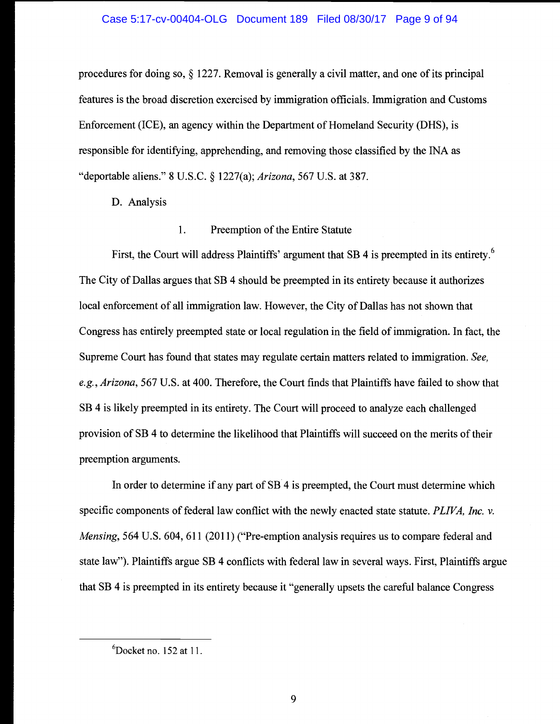#### Case 5:17-cv-00404-OLG Document 189 Filed 08/30/17 Page 9 of 94

procedures for doing so, § 1227. Removal is generally a civil matter, and one of its principal features is the broad discretion exercised by immigration officials. Immigration and Customs Enforcement (ICE), an agency within the Department of Homeland Security (DHS), is responsible for identifying, apprehending, and removing those classified by the INA as "deportable aliens." 8 U.S.C. § 1227(a); Arizona, 567 U.S. at 387.

D. Analysis

#### $\mathbf{1}$ . Preemption of the Entire Statute

First, the Court will address Plaintiffs' argument that SB 4 is preempted in its entirety.<sup>6</sup> The City of Dallas argues that SB 4 should be preempted in its entirety because it authorizes local enforcement of all immigration law. However, the City of Dallas has not shown that Congress has entirely preempted state or local regulation in the field of immigration. In fact, the Supreme Court has found that states may regulate certain matters related to immigration. See, e.g., Arizona, 567 U.S. at 400. Therefore, the Court finds that Plaintiffs have failed to show that SB 4 is likely preempted in its entirety. The Court will proceed to analyze each challenged provision of SB 4 to determine the likelihood that Plaintiffs will succeed on the merits of their preemption arguments.

In order to determine if any part of SB 4 is preempted, the Court must determine which specific components of federal law conflict with the newly enacted state statute. PLIVA, Inc. v. Mensing, 564 U.S. 604, 611 (2011) ("Pre-emption analysis requires us to compare federal and state law"). Plaintiffs argue SB 4 conflicts with federal law in several ways. First, Plaintiffs argue that SB 4 is preempted in its entirety because it "generally upsets the careful balance Congress

 ${}^{6}$ Docket no. 152 at 11.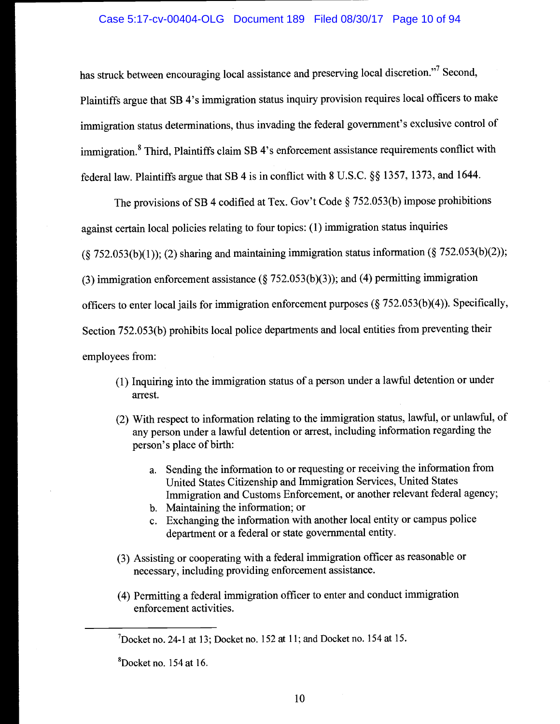## Case 5:17-cv-00404-OLG Document 189 Filed 08/30/17 Page 10 of 94

has struck between encouraging local assistance and preserving local discretion."7 Second,

Plaintiffs argue that SB 4's immigration status inquiry provision requires local officers to make immigration status determinations, thus invading the federal government's exclusive control of immigration.<sup>8</sup> Third, Plaintiffs claim SB 4's enforcement assistance requirements conflict with federal law. Plaintiffs argue that SB 4 is in conflict with 8 U.S.C. §§ 1357, 1373, and 1644.

The provisions of SB 4 codified at Tex. Gov't Code § 752.05 3(b) impose prohibitions against certain local policies relating to four topics: (1) immigration status inquiries  $(\S$  752.053(b)(1)); (2) sharing and maintaining immigration status information ( $\S$  752.053(b)(2)); (3) immigration enforcement assistance ( $\S$  752.053(b)(3)); and (4) permitting immigration officers to enter local jails for immigration enforcement purposes  $(\S 752.053(b)(4))$ . Specifically, Section 752.053(b) prohibits local police departments and local entities from preventing their employees from:

- (1) Inquiring into the immigration status of a person under a lawful detention or under arrest.
- (2) With respect to information relating to the immigration status, lawful, or unlawful, of any person under a lawful detention or arrest, including information regarding the person's place of birth:
	- a. Sending the information to or requesting or receiving the information from United States Citizenship and Immigration Services, United States Immigration and Customs Enforcement, or another relevant federal agency;
	- b. Maintaining the information; or
	- c. Exchanging the information with another local entity or campus police department or a federal or state governmental entity.
- (3) Assisting or cooperating with a federal immigration officer as reasonable or necessary, including providing enforcement assistance.
- (4) Permitting a federal immigration officer to enter and conduct immigration enforcement activities.

 ${}^{8}$ Docket no. 154 at 16.

 $<sup>7</sup>$ Docket no. 24-1 at 13; Docket no. 152 at 11; and Docket no. 154 at 15.</sup>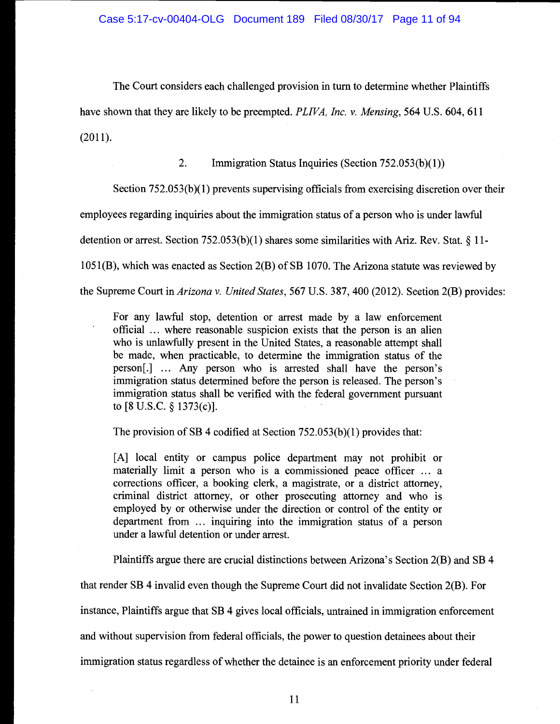The Court considers each challenged provision in turn to determine whether Plaintiffs have shown that they are likely to be preempted. PLIVA, Inc. v. Mensing, 564 U.S. 604, 611 (2011).

2. Immigration Status Inquiries (Section 752.053(b)(l))

Section 752.053(b)(1) prevents supervising officials from exercising discretion over their

employees regarding inquiries about the immigration status of a person who is under lawful

detention or arrest. Section 752.053(b)(1) shares some similarities with Ariz. Rev. Stat. § 11-

1051(B), which was enacted as Section 2(B) of SB 1070. The Arizona statute was reviewed by

the Supreme Court in Arizona v. United States, 567 U.S. 387, 400 (2012). Section 2(B) provides:

For any lawful stop, detention or arrest made by a law enforcement official ... where reasonable suspicion exists that the person is an alien who is unlawfully present in the United States, a reasonable attempt shall be made, when practicable, to determine the immigration status of the person[.] ... Any person who is arrested shall have the person's immigration status determined before the person is released. The person's immigration status shall be verified with the federal government pursuant to [8 U.S.C. § 1373(c)].

The provision of SB 4 codified at Section 752.053(b)(1) provides that:

[A] local entity or campus police department may not prohibit or materially limit a person who is a commissioned peace officer ... a corrections officer, a booking clerk, a magistrate, or a district attorney, criminal district attorney, or other prosecuting attorney and who is employed by or otherwise under the direction or control of the entity or department from ... inquiring into the immigration status of a person under a lawful detention or under arrest.

Plaintiffs argue there are crucial distinctions between Arizona's Section 2(B) and SB 4

that render SB 4 invalid even though the Supreme Court did not invalidate Section 2(B). For

instance, Plaintiffs argue that SB 4 gives local officials, untrained in immigration enforcement

and without supervision from federal officials, the power to question detainees about their

immigration status regardless of whether the detainee is an enforcement priority under federal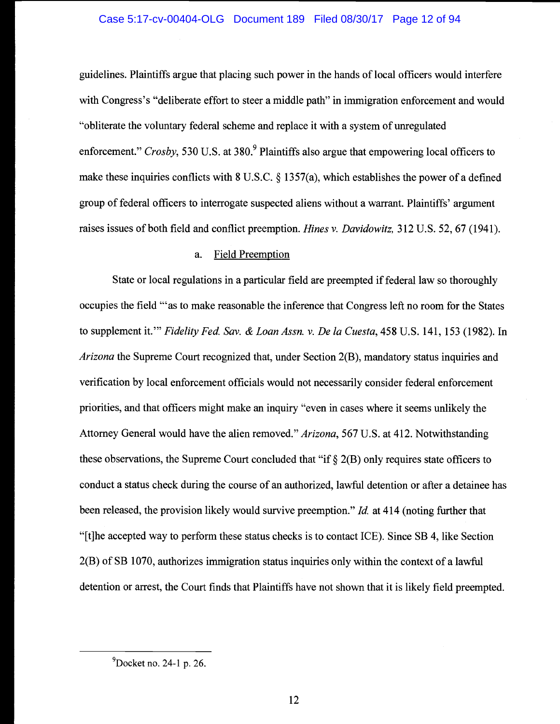## Case 5:17-cv-00404-OLG Document 189 Filed 08/30/17 Page 12 of 94

guidelines. Plaintiffs argue that placing such power in the hands of local officers would interfere with Congress's "deliberate effort to steer a middle path" in immigration enforcement and would "obliterate the voluntary federal scheme and replace it with a system of unregulated enforcement." Crosby, 530 U.S. at 380. Plaintiffs also argue that empowering local officers to make these inquiries conflicts with 8 U.S.C. § 1357(a), which establishes the power of a defined group of federal officers to interrogate suspected aliens without a warrant. Plaintiffs' argument raises issues of both field and conflict preemption. Hines v. Davidowitz, 312 U.S. 52, 67 (1941).

#### a. Field Preemption

State or local regulations in a particular field are preempted if federal law so thoroughly occupies the field "as to make reasonable the inference that Congress left no room for the States to supplement it." Fidelity Fed. Sav. & Loan Assn. v. De la Cuesta, 458 U.S. 141, 153 (1982). In Arizona the Supreme Court recognized that, under Section 2(B), mandatory status inquiries and verification by local enforcement officials would not necessarily consider federal enforcement priorities, and that officers might make an inquiry "even in cases where it seems unlikely the Attorney General would have the alien removed." Arizona, 567 U.S. at 412. Notwithstanding these observations, the Supreme Court concluded that "if  $\S$  2(B) only requires state officers to conduct a status check during the course of an authorized, lawful detention or after a detainee has been released, the provision likely would survive preemption." *Id.* at 414 (noting further that "[t]he accepted way to perform these status checks is to contact ICE). Since SB 4, like Section 2(B) of SB 1070, authorizes immigration status inquiries only within the context of a lawful detention or arrest, the Court finds that Plaintiffs have not shown that it is likely field preempted.

12

 $^{9}$ Docket no. 24-1 p. 26.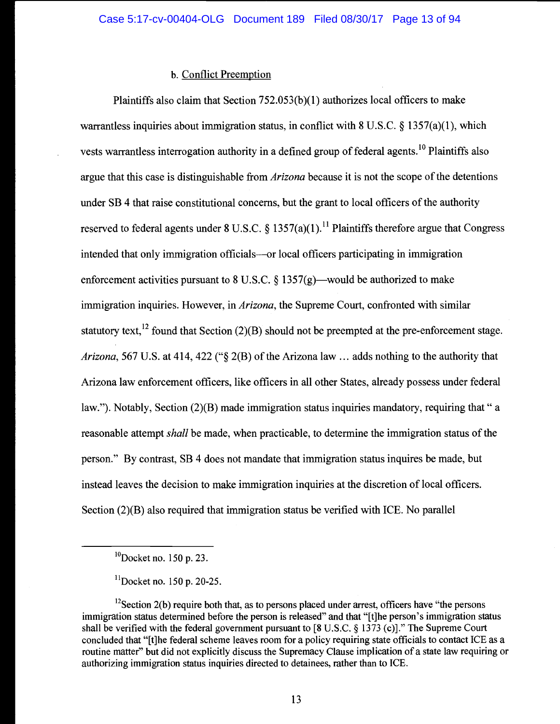## b. Conflict Preemption

Plaintiffs also claim that Section 752.053(b)(l) authorizes local officers to make warrantless inquiries about immigration status, in conflict with  $8 \text{ U.S.C.} \$   $\frac{357(a)(1)}{1}$ , which vests warrantless interrogation authority in a defined group of federal agents.<sup>10</sup> Plaintiffs also argue that this case is distinguishable from *Arizona* because it is not the scope of the detentions under SB 4 that raise constitutional concerns, but the grant to local officers of the authority reserved to federal agents under 8 U.S.C.  $\delta$  1357(a)(1).<sup>11</sup> Plaintiffs therefore argue that Congress intended that only immigration officials—or local officers participating in immigration enforcement activities pursuant to 8 U.S.C. § 1357(g)—would be authorized to make immigration inquiries. However, in *Arizona*, the Supreme Court, confronted with similar statutory text,<sup>12</sup> found that Section (2)(B) should not be preempted at the pre-enforcement stage. Arizona, 567 U.S. at 414, 422 (" $\S$  2(B) of the Arizona law ... adds nothing to the authority that Arizona law enforcement officers, like officers in all other States, already possess under federal law."). Notably, Section (2)(B) made immigration status inquiries mandatory, requiring that " a reasonable attempt shall be made, when practicable, to determine the immigration status of the person." By contrast, SB 4 does not mandate that immigration status inquires be made, but instead leaves the decision to make immigration inquiries at the discretion of local officers. Section (2)(B) also required that immigration status be verified with ICE. No parallel

 $^{10}$ Docket no. 150 p. 23.

 $^{11}$ Docket no. 150 p. 20-25.

 $^{12}$ Section 2(b) require both that, as to persons placed under arrest, officers have "the persons" immigration status determined before the person is released" and that "[t]he person's immigration status shall be verified with the federal government pursuant to [8 U.S.C. § 1373 (c)]." The Supreme Court concluded that "[t]he federal scheme leaves room for a policy requiring state officials to contact ICE as a routine matter" but did not explicitly discuss the Supremacy Clause implication of a state law requiring or authorizing immigration status inquiries directed to detainees, rather than to ICE.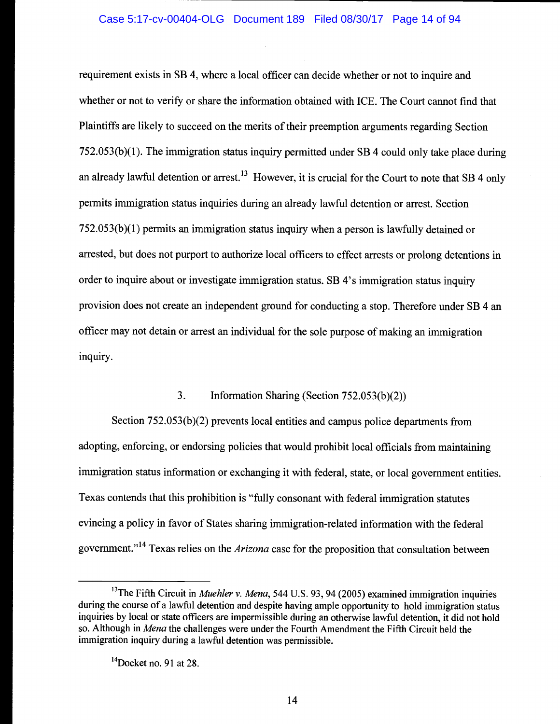requirement exists in SB 4, where a local officer can decide whether or not to inquire and whether or not to verify or share the information obtained with ICE. The Court cannot find that Plaintiffs are likely to succeed on the merits of their preemption arguments regarding Section 752.053(b)(l). The immigration status inquiry permitted under SB 4 could only take place during an already lawful detention or arrest.<sup>13</sup> However, it is crucial for the Court to note that SB 4 only permits immigration status inquiries during an already lawful detention or arrest. Section 752.053(b)(l) permits an immigration status inquiry when a person is lawfully detained or arrested, but does not purport to authorize local officers to effect arrests or prolong detentions in order to inquire about or investigate immigration status. SB 4's immigration status inquiry provision does not create an independent ground for conducting a stop. Therefore under SB 4 an officer may not detain or arrest an individual for the sole purpose of making an immigration inquiry.

## 3. Information Sharing (Section 752.053 (b)(2))

Section 752.053(b)(2) prevents local entities and campus police departments from adopting, enforcing, or endorsing policies that would prohibit local officials from maintaining immigration status information or exchanging it with federal, state, or local government entities. Texas contends that this prohibition is "fully consonant with federal immigration statutes evincing a policy in favor of States sharing immigration-related information with the federal government."<sup>14</sup> Texas relies on the *Arizona* case for the proposition that consultation between

<sup>&</sup>lt;sup>13</sup>The Fifth Circuit in *Muehler v. Mena*, 544 U.S. 93, 94 (2005) examined immigration inquiries during the course of a lawful detention and despite having ample opportunity to hold immigration status inquiries by local or state officers are impermissible during an otherwise lawful detention, it did not hold so. Although in Mena the challenges were under the Fourth Amendment the Fifth Circuit held the immigration inquiry during a lawful detention was permissible.

 $14$ Docket no. 91 at 28.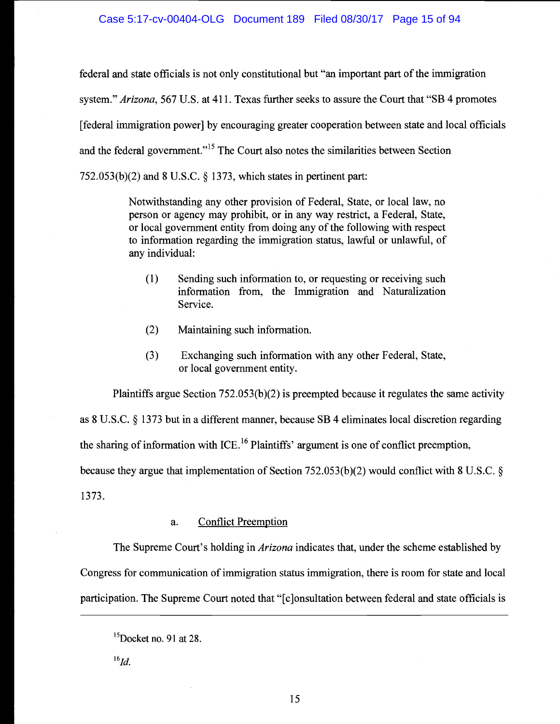federal and state officials is not only constitutional but "an important part of the immigration system." Arizona, 567 U.S. at 411. Texas further seeks to assure the Court that "SB 4 promotes [federal immigration power] by encouraging greater cooperation between state and local officials and the federal government."<sup>15</sup> The Court also notes the similarities between Section 752.053(b)(2) and 8 U.S.C. § 1373, which states in pertinent part:

> Notwithstanding any other provision of Federal, State, or local law, no person or agency may prohibit, or in any way restrict, a Federal, State, or local government entity from doing any of the following with respect to information regarding the immigration status, lawful or unlawful, of any individual:

- (1) Sending such information to, or requesting or receiving such information from, the Immigration and Naturalization Service.
- (2) Maintaining such information.
- (3) Exchanging such information with any other Federal, State, or local government entity.

Plaintiffs argue Section 752.053(b)(2) is preempted because it regulates the same activity

as 8 U.S.C. § 1373 but in a different manner, because SB 4 eliminates local discretion regarding

the sharing of information with ICE.<sup>16</sup> Plaintiffs' argument is one of conflict preemption,

because they argue that implementation of Section 752.053(b)(2) would conflict with 8 U.S.C. §

1373.

#### a. Conflict Preemption

The Supreme Court's holding in *Arizona* indicates that, under the scheme established by Congress for communication of immigration status immigration, there is room for state and local participation. The Supreme Court noted that "[c]onsultation between federal and state officials is

 $^{16}Id.$ 

 $\mathrm{^{15}Docket}$  no. 91 at 28.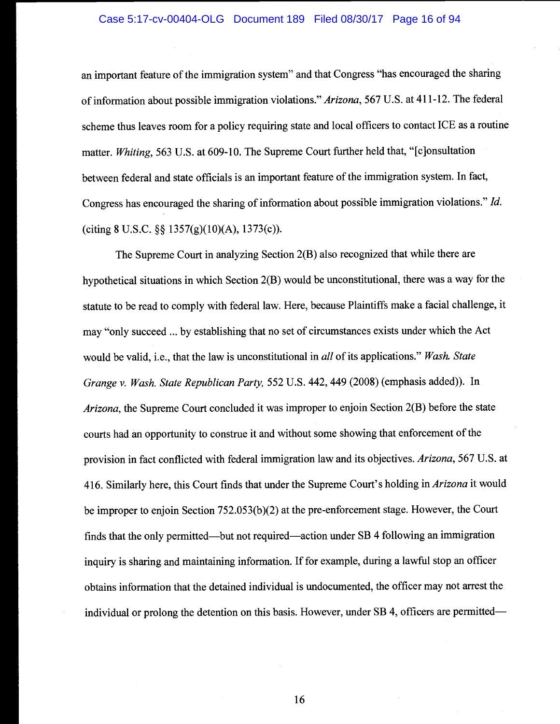#### Case 5:17-cv-00404-OLG Document 189 Filed 08/30/17 Page 16 of 94

an important feature of the immigration system" and that Congress "has encouraged the sharing of information about possible immigration violations." Arizona, 567 U.S. at 411-12. The federal scheme thus leaves room for a policy requiring state and local officers to contact ICE as a routine matter. Whiting, 563 U.S. at 609-10. The Supreme Court further held that, "[c]onsultation between federal and state officials is an important feature of the immigration system. In fact, Congress has encouraged the sharing of information about possible immigration violations." Id. (citing 8 U.S.C.  $\S\S 1357(g)(10)(A)$ , 1373(c)).

The Supreme Court in analyzing Section 2(B) also recognized that while there are hypothetical situations in which Section 2(B) would be unconstitutional, there was a way for the statute to be read to comply with federal law. Here, because Plaintiffs make a facial challenge, it may "only succeed ... by establishing that no set of circumstances exists under which the Act would be valid, i.e., that the law is unconstitutional in all of its applications." Wash. State Grange v. Wash. State Republican Party, 552 U.S. 442, 449 (2008) (emphasis added)). In Arizona, the Supreme Court concluded it was improper to enjoin Section 2(B) before the state courts had an opportunity to construe it and without some showing that enforcement of the provision in fact conflicted with federal immigration law and its objectives. Arizona, 567 U.S. at 416. Similarly here, this Court finds that under the Supreme Court's holding in *Arizona* it would be improper to enjoin Section 752.053(b)(2) at the pre-enforcement stage. However, the Court finds that the only permitted—but not required—action under SB 4 following an immigration inquiry is sharing, and maintaining information. If for example, during a lawful stop an officer obtains information that the detained individual is undocumented, the officer may not arrest the individual or prolong the detention on this basis. However, under SB 4, officers are permitted—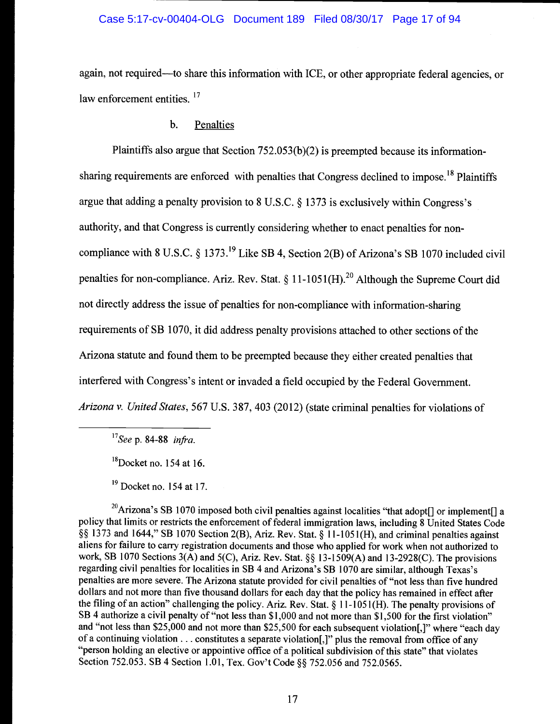## Case 5:17-cv-00404-OLG Document 189 Filed 08/30/17 Page 17 of 94

again, not required—to share this information with ICE, or other appropriate federal agencies, or law enforcement entities.  $17$ 

## b. Penalties

Plaintiffs also argue that Section 752.053(b)(2) is preempted because its informationsharing requirements are enforced with penalties that Congress declined to impose.<sup>18</sup> Plaintiffs argue that adding a penalty provision to 8 U.S.C. § 1373 is exclusively within Congress's authority, and that Congress is currently considering whether to enact penalties for noncompliance with 8 U.S.C. § 1373.<sup>19</sup> Like SB 4, Section 2(B) of Arizona's SB 1070 included civil penalties for non-compliance. Ariz. Rev. Stat.  $\S 11-1051(H)$ .<sup>20</sup> Although the Supreme Court did not directly address the issue of penalties for non-compliance with information-sharing requirements of SB 1070, it did address penalty provisions attached to other sections of the Arizona statute and found them to be preempted because they either created penalties that interfered with Congress's intent or invaded a field occupied by the Federal Government. Arizona v. United States, 567 U.S. 387, 403 (2012) (state criminal penalties for violations of

 $17$ See p. 84-88 infra.

 $18Docket$  no. 154 at 16.

 $19$  Docket no. 154 at 17.

<sup>20</sup>Arizona's SB 1070 imposed both civil penalties against localities "that adopt[] or implement[] a policy that limits or restricts the enforcement of federal immigration laws, including 8 United States Code §§ 1373 and 1644," SB 1070 Section 2(B), Ariz. Rev. Stat. § 11-1051(H), and criminal penalties against aliens for failure to carry registration documents and those who applied for work when not authorized to work, SB 1070 Sections 3(A) and 5(C), Ariz. Rev. Stat. §§ 13-1509(A) and 13-2928(C). The provisions regarding civil penalties for localities in SB 4 and Arizona's SB 1070 are similar, although Texas's penalties are more severe. The Arizona statute provided for civil penalties of "not less than five hundred dollars and not more than five thousand dollars for each day that the policy has remained in effect after the filing of an action" challenging the policy. Ariz. Rev. Stat. § 11-1051(H). The penalty provisions of SB 4 authorize a civil penalty of "not less than \$1,000 and not more than \$1,500 for the first violation" and "not less than \$25,000 and not more than \$25,500 for each subsequent violation[,]" where "each day of a continuing violation... constitutes a separate violation[,]" plus the removal from office of any "person holding an elective or appointive office of a political subdivision of this state" that violates Section 752.053. SB 4 Section 1.01, Tex. Gov't Code §§ 752.056 and 752.0565.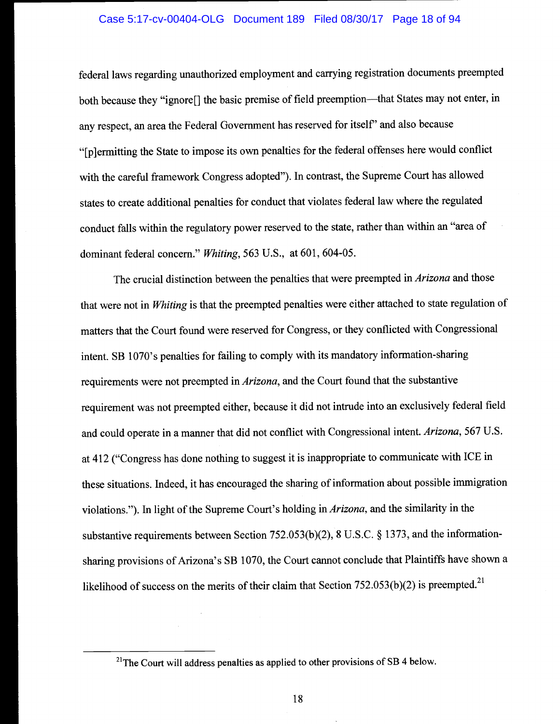#### Case 5:17-cv-00404-OLG Document 189 Filed 08/30/17 Page 18 of 94

federal laws regarding unauthorized employment and carrying registration documents preempted both because they "ignore[] the basic premise of field preemption--- that States may not enter, in any respect, an area the Federal Government has reserved for itself' and also because "[p]ermitting the State to impose its own penalties for the federal offenses here would conflict with the careful framework Congress adopted"). In contrast, the Supreme Court has allowed states to create additional penalties for conduct that violates federal law where the regulated conduct falls within the regulatory power reserved to the state, rather than within an "area of dominant federal concern." Whiting, 563 U.S., at 601, 604-05.

The crucial distinction between the penalties that were preempted in Arizona and those that were not in Whiting is that the preempted penalties were either attached to state regulation of matters that the Court found were reserved for Congress, or they conflicted with Congressional intent. SB 1070's penalties for failing to comply with its mandatory information-sharing requirements were not preempted in Arizona, and the Court found that the substantive requirement was not preempted either, because it did not intrude into an exclusively federal field and could operate in a manner that did not conflict with Congressional intent. Arizona, 567 U.S. at 412 ("Congress has done nothing to suggest it is inappropriate to communicate with ICE in these situations. Indeed, it has encouraged the sharing of information about possible immigration violations."). In light of the Supreme Court's holding in Arizona, and the similarity in the substantive requirements between Section 752.053(b)(2), 8 U.S.C. § 1373, and the informationsharing provisions of Arizona's SB 1070, the Court cannot conclude that Plaintiffs have shown a likelihood of success on the merits of their claim that Section  $752.053(b)(2)$  is preempted.<sup>21</sup>

<sup>&</sup>lt;sup>21</sup>The Court will address penalties as applied to other provisions of SB 4 below.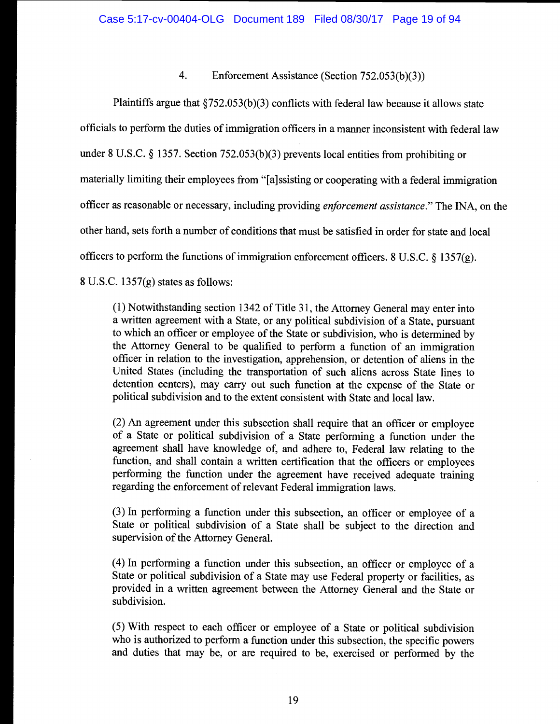## 4. Enforcement Assistance (Section 752.053(b)(3))

Plaintiffs argue that §752.053(b)(3) conflicts with federal law because it allows state officials to perform the duties of immigration officers in a manner inconsistent with federal law under 8 U.S.C. § 1357. Section 752.053(b)(3) prevents local entities from prohibiting or materially limiting their employees from "[a]ssisting or cooperating with a federal immigration officer as reasonable or necessary, including providing enforcement assistance." The INA, on the other hand, sets forth a number of conditions that must be satisfied in order for state and local officers to perform the functions of immigration enforcement officers. 8 U.S.C. § 1357(g). 8 U.S.C. 1357(g) states as follows:

(1) Notwithstanding section 1342 of Title 31, the Attorney General may enter into a written agreement with a State, or any political subdivision of a State, pursuant to which an officer or employee of the State or subdivision, who is determined by the Attorney General to be qualified to perform a function of an immigration officer in relation to the investigation, apprehension, or detention of aliens in the United States (including the transportation of such aliens across State lines to detention centers), may carry out such function at the expense of the State or political subdivision and to the extent consistent with State and local law.

(2) An agreement under this subsection shall require that an officer or employee of a State or political subdivision of a State performing a function under the agreement shall have knowledge of, and adhere to, Federal law relating to the function, and shall contain a written certification that the officers or employees performing the function under the agreement have received adequate training regarding the enforcement of relevant Federal immigration laws.

(3) In performing a function under this subsection, an officer or employee of a State or political subdivision of a State shall be subject to the direction and supervision of the Attorney General.

(4) In performing a function under this subsection, an officer or employee of a State or political subdivision of a State may use Federal property or facilities, as provided in a written agreement between the Attorney General and the State or subdivision.

(5) With respect to each officer or employee of a State or political subdivision who is authorized to perform a function under this subsection, the specific powers and duties that may be, or are required to be, exercised or performed by the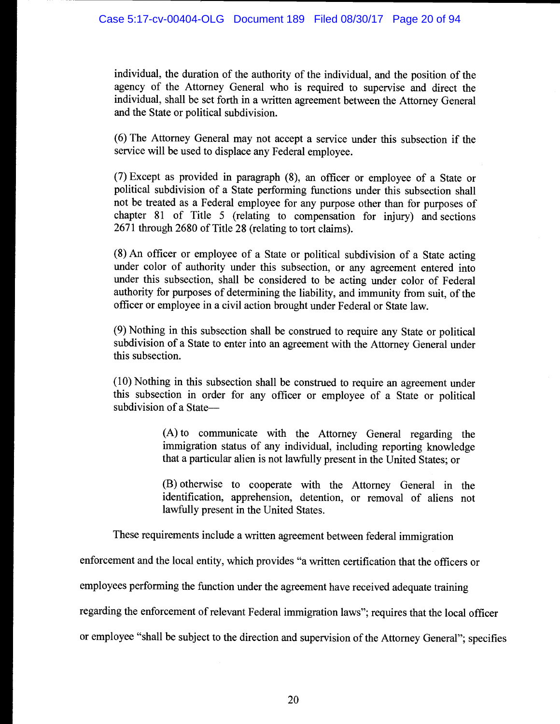individual, the duration of the authority of the individual, and the position of the agency of the Attorney General who is required to supervise and direct the individual, shall be set forth in a written agreement between the Attorney General and the State or political subdivision.

(6) The Attorney General may not accept a service under this subsection if the service will be used to displace any Federal employee.

(7) Except as provided in paragraph (8), an officer or employee of a State or political subdivision of a State performing functions under this subsection shall not be treated as a Federal employee for any purpose other than for purposes of chapter 81 of Title 5 (relating to compensation for injury) and sections 2671 through 2680 of Title 28 (relating to tort claims).

(8) An officer or employee of a State or political subdivision of a State acting under color of authority under this subsection, or any agreement entered into under this subsection, shall be considered to be acting under color of Federal authority for purposes of determining the liability, and immunity from suit, of the officer or employee in a civil action brought under Federal or State law.

(9) Nothing in this subsection shall be construed to require any State or political subdivision of a State to enter into an agreement with the Attorney General under this subsection.

(10) Nothing in this subsection shall be construed to require an agreement under this subsection in order for any officer or employee of a State or political subdivision of a State

> (A) to communicate with the Attorney General regarding the immigration status of any individual, including reporting knowledge that a particular alien is not lawfully present in the United States; or

> (B) otherwise to cooperate with the Attorney General in the identification, apprehension, detention, or removal of aliens not lawfully present in the United States.

These requirements include a written agreement between federal immigration

enforcement and the local entity, which provides "a written certification that the officers or

employees performing the function under the agreement have received adequate training

regarding the enforcement of relevant Federal immigration laws"; requires that the local officer

or employee "shall be subject to the direction and supervision of the Attorney General"; specifies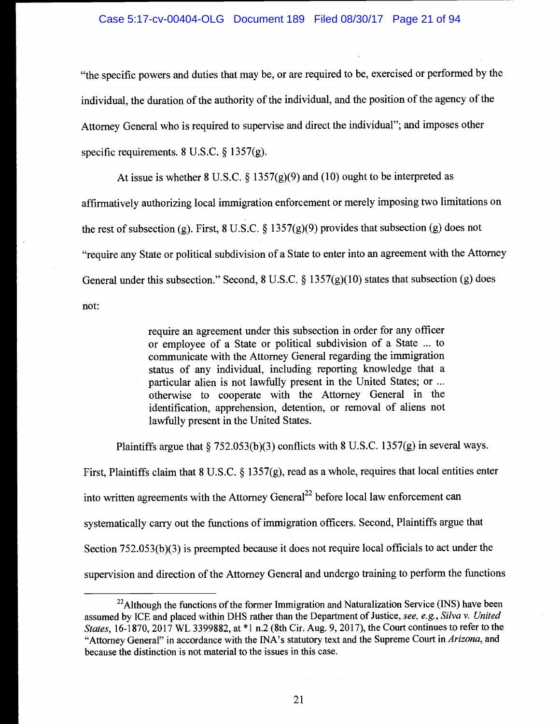## Case 5:17-cv-00404-OLG Document 189 Filed 08/30/17 Page 21 of 94

"the specific powers and duties that may be, or are required to be, exercised or performed by the individual, the duration of the authority of the individual, and the position of the agency of the Attorney General who is required to supervise and direct the individual"; and imposes other specific requirements. 8 U.S.C. § 1357(g).

At issue is whether 8 U.S.C.  $\S 1357(g)(9)$  and (10) ought to be interpreted as affirmatively authorizing local immigration enforcement or merely imposing two limitations on the rest of subsection (g). First, 8 U.S.C. § 1357(g)(9) provides that subsection (g) does not "require any State or political subdivision of a State to enter into an agreement with the Attorney General under this subsection." Second, 8 U.S.C.  $\S$  1357(g)(10) states that subsection (g) does not:

> require an agreement under this subsection in order for any officer or employee of a State or political subdivision of a State ... to communicate with the Attorney General regarding the immigration status of any individual, including reporting knowledge that a particular alien is not lawfully present in the United States; or ... otherwise to cooperate with the Attorney General in the identification, apprehension, detention, or removal of aliens not lawfully present in the United States.

Plaintiffs argue that  $\S$  752.053(b)(3) conflicts with 8 U.S.C. 1357(g) in several ways.

First, Plaintiffs claim that 8 U.S.C. § 1357(g), read as a whole, requires that local entities enter into written agreements with the Attorney General<sup>22</sup> before local law enforcement can systematically carry out the functions of immigration officers. Second, Plaintiffs argue that Section 752.053(b)(3) is preempted because it does not require local officials to act under the supervision and direction of the Attorney General and undergo training to perform the functions

 $^{22}$ Although the functions of the former Immigration and Naturalization Service (INS) have been assumed by ICE and placed within DHS rather than the Department of Justice, see, e.g., Silva v. United States, 16-1870, 2017 WL 3399882, at \*1 n.2 (8th Cir. Aug. 9,2017), the Court continues to refer to the "Attorney General" in accordance with the INA's statutory text and the Supreme Court in Arizona, and because the distinction is not material to the issues in this case.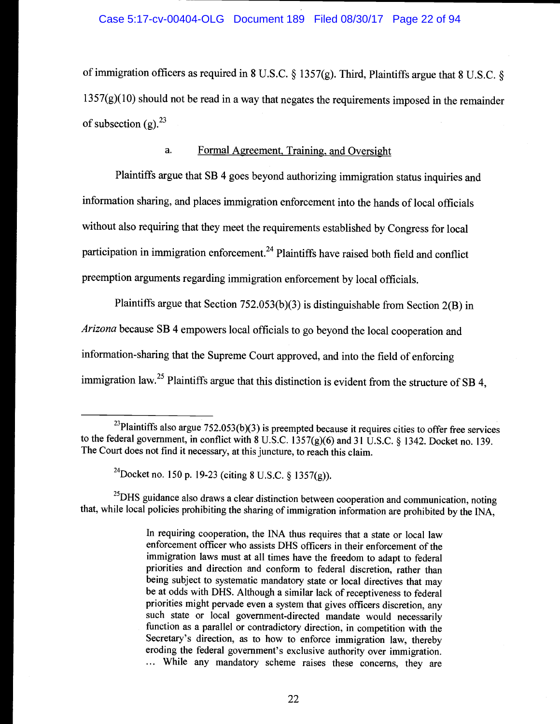of immigration officers as required in 8 U.S.C.  $\S$  1357(g). Third, Plaintiffs argue that 8 U.S.C.  $\S$  $1357(g)(10)$  should not be read in a way that negates the requirements imposed in the remainder of subsection (g).  $2^3$ 

## a. Formal Agreement, Training, and Oversight

Plaintiffs argue that SB 4 goes beyond authorizing immigration status inquiries and information sharing, and places immigration enforcement into the hands of local officials without also requiring that they meet the requirements established by Congress for local participation in immigration enforcement.<sup>24</sup> Plaintiffs have raised both field and conflict preemption arguments regarding immigration enforcement by local officials.

Plaintiffs argue that Section 752.053(b)(3) is distinguishable from Section 2(B) in Arizona because SB 4 empowers local officials to go beyond the local cooperation and information-sharing that the Supreme Court approved, and into the field of enforcing immigration law.<sup>25</sup> Plaintiffs argue that this distinction is evident from the structure of SB 4,

<sup>25</sup>DHS guidance also draws a clear distinction between cooperation and communication, noting that, while local policies prohibiting the sharing of immigration information are prohibited by the INA,

In requiring cooperation, the INA thus requires that a state or local law enforcement officer who assists DHS officers in their enforcement of the immigration laws must at all times have the freedom to adapt to federal priorities and direction and conform to federal discretion, rather than being subject to systematic mandatory state or local directives that may be at odds with DHS. Although a similar lack of receptiveness to federal priorities might pervade even a system that gives officers discretion, any such state or local government-directed mandate would necessarily function as a parallel or contradictory direction, in competition with the Secretary's direction, as to how to enforce immigration law, thereby eroding the federal government's exclusive authority over immigration. While any mandatory scheme raises these concerns, they are

<sup>&</sup>lt;sup>23</sup>Plaintiffs also argue  $752.053(b)(3)$  is preempted because it requires cities to offer free services to the federal government, in conflict with  $8 \text{ U.S.C. } 1357 \text{(g)}(6)$  and  $31 \text{ U.S.C. } 81342$ . Docket no. 139. The Court does not find it necessary, at this juncture, to reach this claim.

<sup>&</sup>lt;sup>24</sup>Docket no. 150 p. 19-23 (citing 8 U.S.C. § 1357(g)).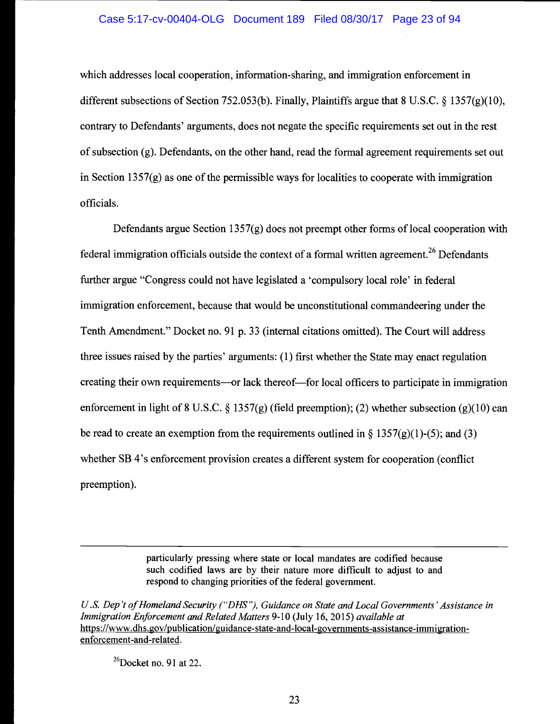which addresses local cooperation, information-sharing, and immigration enforcement in different subsections of Section 752.053(b). Finally, Plaintiffs argue that 8 U.S.C.  $\S$  1357(g)(10), contrary to Defendants' arguments, does not negate the specific requirements set out in the rest of subsection (g). Defendants, on the other hand, read the formal agreement requirements set out in Section 1357 $(g)$  as one of the permissible ways for localities to cooperate with immigration officials.

Defendants argue Section 1357(g) does not preempt other forms of local cooperation with federal immigration officials outside the context of a formal written agreement.<sup>26</sup> Defendants further argue "Congress could not have legislated a 'compulsory local role' in federal immigration enforcement, because that would be unconstitutional commandeering under the Tenth Amendment." Docket no. 91 p. 33 (internal citations omitted). The Court will address three issues raised by the parties' arguments: (1) first whether the State may enact regulation creating their own requirements—or lack thereof—for local officers to participate in immigration enforcement in light of 8 U.S.C. § 1357(g) (field preemption); (2) whether subsection (g)(10) can be read to create an exemption from the requirements outlined in  $\S 1357(g)(1)-(5)$ ; and (3) whether SB 4's enforcement provision creates a different system for cooperation (conflict preemption).

> particularly pressing where state or local mandates are codified because such codified laws are by their nature more difficult to adjust to and respond to changing priorities of the federal government.

U.S. Dep't of Homeland Security ("DHS"), Guidance on State and Local Governments' Assistance in Immigration Enforcement and Related Matters 9-10 (July 16, 2015) available at https://www.dhs.gov/publication/guidance-state-and-local-governments-assistance-immigrationenforcement-and-related.

 $^{26}$ Docket no. 91 at 22.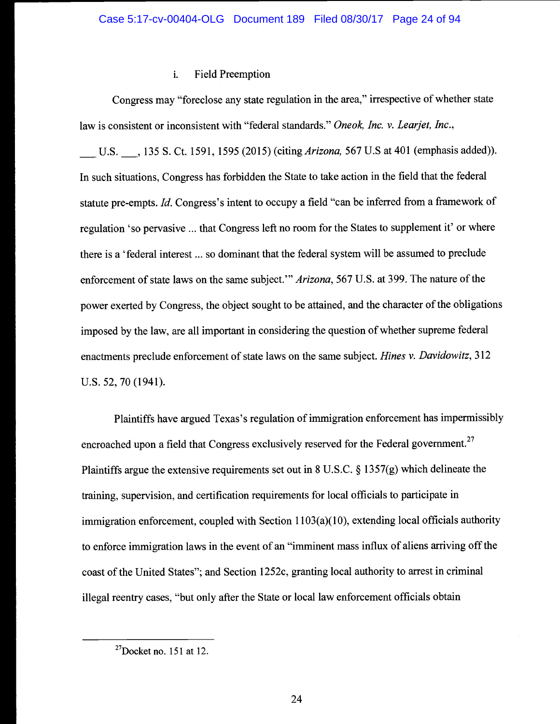#### Field Preemption i.

Congress may "foreclose any state regulation in the area," irrespective of whether state law is consistent or inconsistent with "federal standards." Oneok, Inc. v. Learjet, Inc.,

U.S. 3. 135 S. Ct. 1591, 1595 (2015) (citing *Arizona*, 567 U.S at 401 (emphasis added)). In such situations, Congress has forbidden the State to take action in the field that the federal statute pre-empts. Id. Congress's intent to occupy a field "can be inferred from a framework of regulation 'so pervasive ... that Congress left no room for the States to supplement it' or where there is a 'federal interest ... so dominant that the federal system will be assumed to preclude enforcement of state laws on the same subject." Arizona, 567 U.S. at 399. The nature of the power exerted by Congress, the object sought to be attained, and the character of the obligations imposed by the law, are all important in considering the question of whether supreme federal enactments preclude enforcement of state laws on the same subject. Hines v. Davidowitz, 312 U.s. 52, 70 (1941).

Plaintiffs have argued Texas's regulation of immigration enforcement has impermissibly encroached upon a field that Congress exclusively reserved for the Federal government.<sup>27</sup> Plaintiffs argue the extensive requirements set out in 8 U.S.C. § 1357(g) which delineate the training, supervision, and certification requirements for local officials to participate in immigration enforcement, coupled with Section  $1103(a)(10)$ , extending local officials authority to enforce immigration laws in the event of an "imminent mass influx of aliens arriving off the coast of the United States"; and Section 1252c, granting local authority to arrest in criminal illegal reentry cases, "but only after the State or local law enforcement officials obtain

 $27$ Docket no. 151 at 12.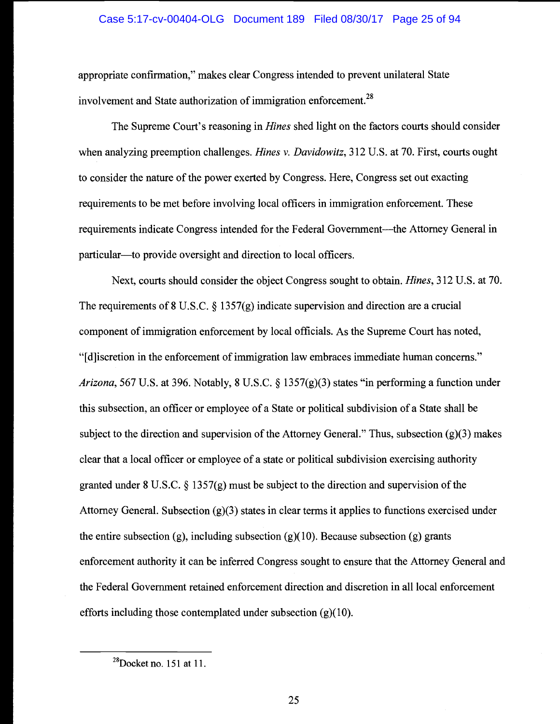## Case 5:17-cv-00404-OLG Document 189 Filed 08/30/17 Page 25 of 94

appropriate confirmation," makes clear Congress intended to prevent unilateral State involvement and State authorization of immigration enforcement.<sup>28</sup>

The Supreme Court's reasoning in Hines shed light on the factors courts should consider when analyzing preemption challenges. *Hines v. Davidowitz*, 312 U.S. at 70. First, courts ought to consider the nature of the power exerted by Congress. Here, Congress set out exacting requirements to be met before involving local officers in immigration enforcement. These requirements indicate Congress intended for the Federal Government—the Attorney General in particular—to provide oversight and direction to local officers.

Next, courts should consider the object Congress sought to obtain. Hines, 312 U.S. at 70. The requirements of 8 U.S.C. § 1357(g) indicate supervision and direction are a crucial component of immigration enforcement by local officials. As the Supreme Court has noted, "[d]iscretion in the enforcement of immigration law embraces immediate human concerns." Arizona, 567 U.S. at 396. Notably, 8 U.S.C. § 1357(g)(3) states "in performing a function under this subsection, an officer or employee of a State or political subdivision of a State shall be subject to the direction and supervision of the Attorney General." Thus, subsection  $(g)(3)$  makes clear that a local officer or employee of a state or political subdivision exercising authority granted under 8 U.S.C.  $\S 1357(g)$  must be subject to the direction and supervision of the Attorney General. Subsection (g)(3) states in clear terms it applies to functions exercised under the entire subsection (g), including subsection (g)(10). Because subsection (g) grants enforcement authority it can be inferred Congress sought to ensure that the Attorney General and the Federal Government retained enforcement direction and discretion in all local enforcement efforts including those contemplated under subsection (g)(10).

 $28$ Docket no. 151 at 11.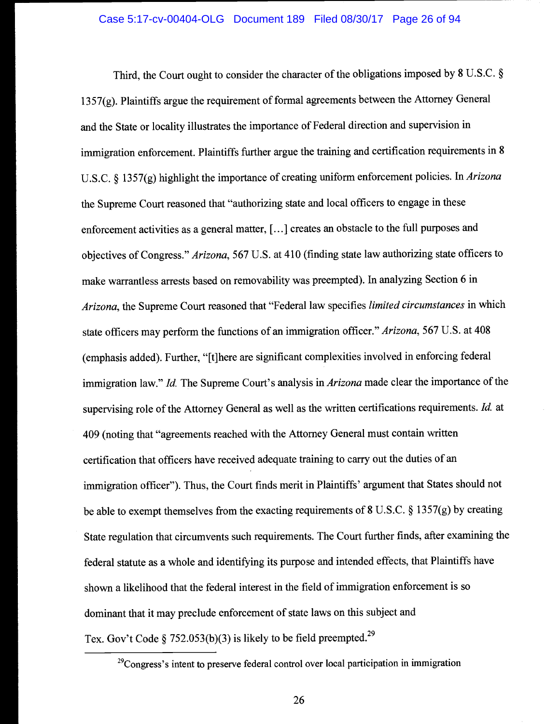Third, the Court ought to consider the character of the obligations imposed by 8 U.S.C. § 1357(g). Plaintiffs argue the requirement of formal agreements between the Attorney General and the State or locality illustrates the importance of Federal direction and supervision in immigration enforcement. Plaintiffs further argue the training and certification requirements in 8 U.S.C. § 1357(g) highlight the importance of creating uniform enforcement policies. In Arizona the Supreme Court reasoned that "authorizing state and local officers to engage in these enforcement activities as a general matter, [...] creates an obstacle to the full purposes and objectives of Congress." Arizona, 567 U.S. at 410 (finding state law authorizing state officers to make warrantless arrests based on removability was preempted). In analyzing Section 6 in Arizona, the Supreme Court reasoned that "Federal law specifies limited circumstances in which state officers may perform the functions of an immigration officer." Arizona, 567 U.S. at 408 (emphasis added). Further, "[t]here are significant complexities involved in enforcing federal immigration law." Id. The Supreme Court's analysis in *Arizona* made clear the importance of the supervising role of the Attorney General as well as the written certifications requirements. *Id.* at 409 (noting that "agreements reached with the Attorney General must contain written certification that officers have received adequate training to carry out the duties of an immigration officer"). Thus, the Court finds merit in Plaintiffs' argument that States should not be able to exempt themselves from the exacting requirements of 8 U.S.C. § 1357(g) by creating State regulation that circumvents such requirements. The Court further finds, after examining the federal statute as a whole and identifying its purpose and intended effects, that Plaintiffs have shown a likelihood that the federal interest in the field of immigration enforcement is so dominant that it may preclude enforcement of state laws on this subject and Tex. Gov't Code § 752.053(b)(3) is likely to be field preempted.<sup>29</sup>

 $^{29}$ Congress's intent to preserve federal control over local participation in immigration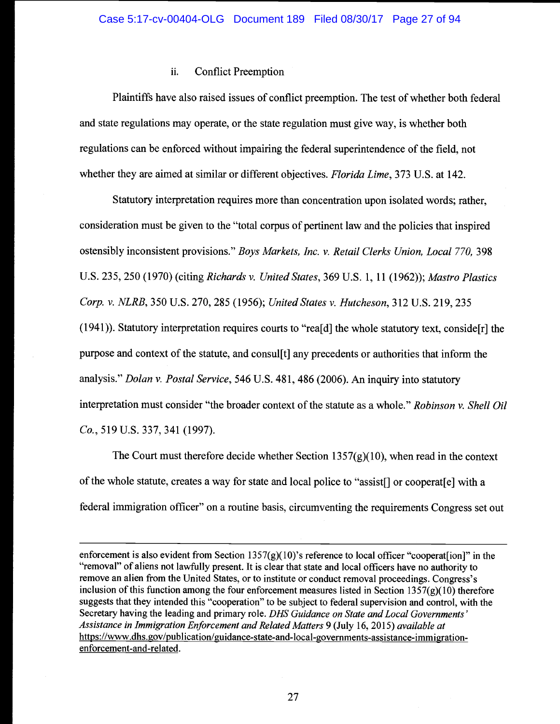## ii. Conflict Preemption

Plaintiffs have also raised issues of conflict preemption. The test of whether both federal and state regulations may operate, or the state regulation must give way, is whether both regulations can be enforced without impairing the federal superintendence of the field, not whether they are aimed at similar or different objectives. *Florida Lime*, 373 U.S. at 142.

Statutory interpretation requires more than concentration upon isolated words; rather, consideration must be given to the "total corpus of pertinent law and the policies that inspired ostensibly inconsistent provisions." Boys Markets, Inc. v. Retail Clerks Union, Local 770, 398 U.S. 235, 250 (1970) (citing Richards v. United States, 369 U.S. 1, 11 (1962)); Mastro Plastics Corp. v. NLRB, 350 U.S. 270, 285 (1956); United States v. Hutcheson, 312 U.S. 219, 235 (1941)). Statutory interpretation requires courts to "rea[d] the whole statutory text, conside[r] the purpose and context of the statute, and consul[t] any precedents or authorities that inform the analysis." Dolan v. Postal Service, 546 U.S. 481, 486 (2006). An inquiry into statutory interpretation must consider "the broader context of the statute as a whole." Robinson v. Shell Oil Co., 519 U.S. 337, 341 (1997).

The Court must therefore decide whether Section  $1357(g)(10)$ , when read in the context of the whole statute, creates a way for state and local police to "assist[] or cooperat[e] with a federal immigration officer" on a routine basis, circumventing the requirements Congress set out

enforcement is also evident from Section 1357 $(g)(10)$ 's reference to local officer "cooperat[ion]" in the "removal" of aliens not lawfully present. It is clear that state and local officers have no authority to remove an alien from the United States, or to institute or conduct removal proceedings. Congress's inclusion of this function among the four enforcement measures listed in Section  $1357(g)(10)$  therefore suggests that they intended this "cooperation" to be subject to federal supervision and control, with the Secretary having the leading and primary role. DHS Guidance on State and Local Governments' Assistance in Immigration Enforcement and Related Matters 9 (July 16, 2015) available at https://www.dhs.gov/publication/guidance-state-and-local-governments-assistance-immigrationenforcement-and-related.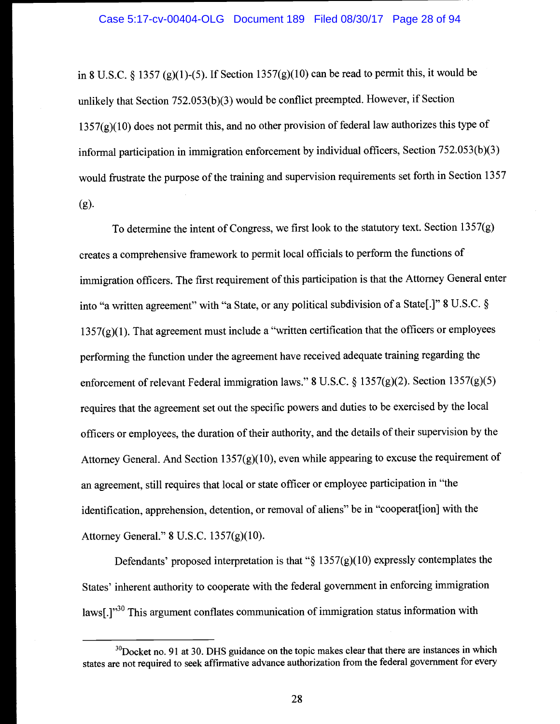in 8 U.S.C. § 1357 (g)(1)-(5). If Section  $1357(g)(10)$  can be read to permit this, it would be unlikely that Section 752.053(b)(3) would be conflict preempted. However, if Section  $1357(g)(10)$  does not permit this, and no other provision of federal law authorizes this type of informal participation in immigration enforcement by individual officers, Section 752.053(b)(3) would frustrate the purpose of the training and supervision requirements set forth in Section 1357 (g).

To determine the intent of Congress, we first look to the statutory text. Section 1357(g) creates a comprehensive framework to permit local officials to perform the functions of immigration officers. The first requirement of this participation is that the Attorney General enter into "a written agreement" with "a State, or any political subdivision of a State[.]" 8 U.S.C. §  $1357(g)(1)$ . That agreement must include a "written certification that the officers or employees performing the function under the agreement have received adequate training regarding the enforcement of relevant Federal immigration laws." 8 U.S.C. § 1357(g)(2). Section 1357(g)(5) requires that the agreement set out the specific powers and duties to be exercised by the local officers or employees, the duration of their authority, and the details of their supervision by the Attorney General. And Section  $1357(g)(10)$ , even while appearing to excuse the requirement of an agreement, still requires that local or state officer or employee participation in "the identification, apprehension, detention, or removal of aliens" be in "cooperat[ion] with the Attorney General." 8 U.S.C. 1357(g)(10).

Defendants' proposed interpretation is that " $\S 1357(g)(10)$  expressly contemplates the States' inherent authority to cooperate with the federal government in enforcing immigration laws[.]<sup>30</sup> This argument conflates communication of immigration status information with

 $30D$ ocket no. 91 at 30. DHS guidance on the topic makes clear that there are instances in which states are not required to seek affirmative advance authorization from the federal government for every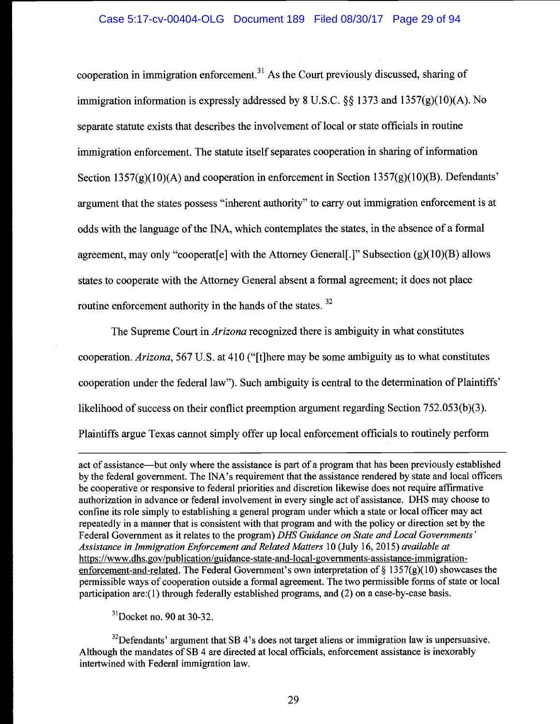cooperation in immigration enforcement.<sup>31</sup> As the Court previously discussed, sharing of immigration information is expressly addressed by 8 U.S.C.  $\S$ § 1373 and 1357(g)(10)(A). No separate statute exists that describes the involvement of local or state officials in routine immigration enforcement. The statute itself separates cooperation in sharing of information Section  $1357(g)(10)(A)$  and cooperation in enforcement in Section  $1357(g)(10)(B)$ . Defendants' argument that the states possess "inherent authority" to carry out immigration enforcement is at odds with the language of the INA, which contemplates the states, in the absence of a formal agreement, may only "cooperat [e] with the Attorney General [.]" Subsection  $(g)(10)(B)$  allows states to cooperate with the Attorney General absent a formal agreement; it does not place routine enforcement authority in the hands of the states.<sup>32</sup>

The Supreme Court in *Arizona* recognized there is ambiguity in what constitutes cooperation. Arizona, 567 U.S. at 410 ("[tjhere may be some ambiguity as to what constitutes cooperation under the federal law"). Such ambiguity is central to the determination of Plaintiffs' likelihood of success on their conflict preemption argument regarding Section 752.053(b)(3). Plaintiffs argue Texas cannot simply offer up local enforcement officials to routinely perform

act of assistance—but only where the assistance is part of a program that has been previously established by the federal government. The JNA's requirement that the assistance rendered by state and local officers be cooperative or responsive to federal priorities and discretion likewise does not require affirmative authorization in advance or federal involvement in every single act of assistance. DHS may choose to confine its role simply to establishing a general program under which a state or local officer may act repeatedly in a manner that is consistent with that program and with the policy or direction set by the Federal Government as it relates to the program) DHS Guidance on State and Local Governments' Assistance in Immigration Enforcement and Related Matters 10 (July 16, 2015) available at https://www.dhs. gov/publication/guidance-state-and-Iocal-governments-assistance-immigrationenforcement-and-related. The Federal Government's own interpretation of  $\S$  1357(g)(10) showcases the permissible ways of cooperation outside a formal agreement. The two permissible forms of state or local participation are:( 1) through federally established programs, and (2) on a case-by-case basis.

 $31$ Docket no. 90 at 30-32.

 $32$  Defendants' argument that SB 4's does not target aliens or immigration law is unpersuasive. Although the mandates of SB 4 are directed at local officials, enforcement assistance is inexorably intertwined with Federal immigration law.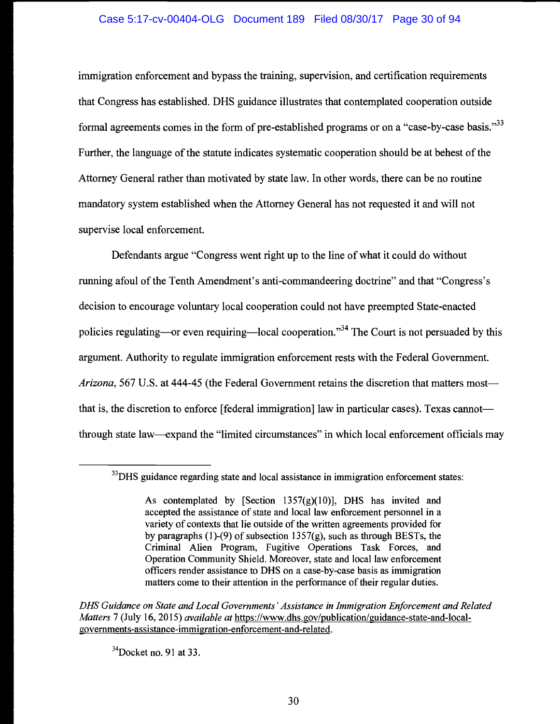## Case 5:17-cv-00404-OLG Document 189 Filed 08/30/17 Page 30 of 94

immigration enforcement and bypass the training, supervision, and certification requirements that Congress has established. DHS guidance illustrates that contemplated cooperation outside formal agreements comes in the form of pre-established programs or on a "case-by-case basis."33 Further, the language of the statute indicates systematic cooperation should be at behest of the Attorney General rather than motivated by state law. In other words, there can be no routine mandatory system established when the Attorney General has not requested it and will not supervise local enforcement.

Defendants argue "Congress went right up to the line of what it could do without running afoul of the Tenth Amendment's anti-commandeering doctrine" and that "Congress's decision to encourage voluntary local cooperation could not have preempted State-enacted policies regulating—or even requiring—local cooperation."<sup>34</sup> The Court is not persuaded by this argument. Authority to regulate immigration enforcement rests with the Federal Government. Arizona, 567 U.S. at 444-45 (the Federal Government retains the discretion that matters most that is, the discretion to enforce [federal immigration] law in particular cases). Texas cannot through state law—expand the "limited circumstances" in which local enforcement officials may

DHS Guidance on State and Local Governments 'Assistance in Immigration Enforcement and Related Matters 7 (July 16, 2015) *available at* https://www.dhs.gov/publication/guidance-state-and-localgovernments-assistance-immigration-enforcement-and-related.

 $34$ Docket no. 91 at 33.

 $33$ DHS guidance regarding state and local assistance in immigration enforcement states:

As contemplated by [Section  $1357(g)(10)$ ], DHS has invited and accepted the assistance of state and local law enforcement personnel in a variety of contexts that lie outside of the written agreements provided for by paragraphs (1)-(9) of subsection  $1357(g)$ , such as through BESTs, the Criminal Alien Program, Fugitive Operations Task Forces, and Operation Community Shield. Moreover, state and local law enforcement officers render assistance to DHS on a case-by-case basis as immigration matters come to their attention in the performance of their regular duties.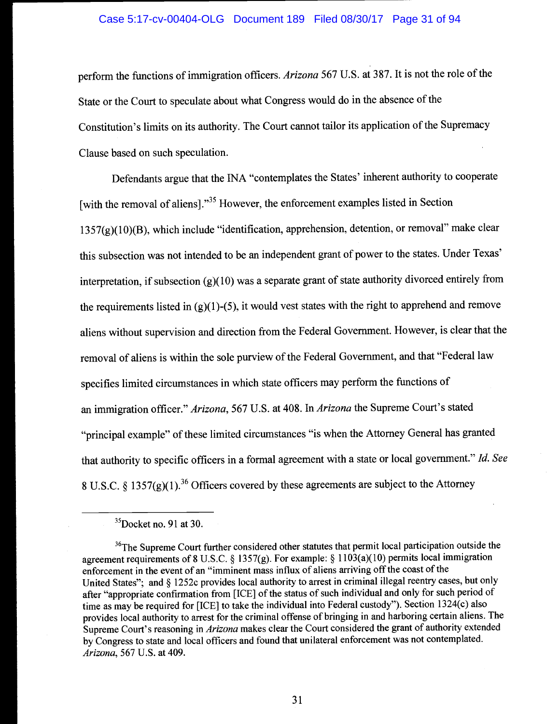#### Case 5:17-cv-00404-OLG Document 189 Filed 08/30/17 Page 31 of 94

perform the functions of immigration officers. Arizona 567 U.S. at 387. It is not the role of the State or the Court to speculate about what Congress would do in the absence of the Constitution's limits on its authority. The Court cannot tailor its application of the Supremacy Clause based on such speculation.

Defendants argue that the INA "contemplates the States' inherent authority to cooperate [with the removal of aliens]. $^{35}$  However, the enforcement examples listed in Section <sup>1</sup>357(g)(1 0)(B), which include "identification, apprehension, detention, or removal" make clear this subsection was not intended to be an independent grant of power to the states. Under Texas' interpretation, if subsection  $(g)(10)$  was a separate grant of state authority divorced entirely from the requirements listed in  $(g)(1)-(5)$ , it would vest states with the right to apprehend and remove aliens without supervision and direction from the Federal Government. However, is clear that the removal of aliens is within the sole purview of the Federal Government, and that "Federal law specifies limited circumstances in which state officers may perform the functions of an immigration officer." Arizona, 567 U.S. at 408. In Arizona the Supreme Court's stated "principal example" of these limited circumstances "is when the Attorney General has granted that authority to specific officers in a formal agreement with a state or local government." Id. See 8 U.S.C. § 1357(g)(1).<sup>36</sup> Officers covered by these agreements are subject to the Attorney

 $35$ Docket no. 91 at 30.

<sup>&</sup>lt;sup>36</sup>The Supreme Court further considered other statutes that permit local participation outside the agreement requirements of 8 U.S.C. § 1357(g). For example: § 11 03(a)( 10) permits local immigration enforcement in the event of an "imminent mass influx of aliens arriving off the coast of the United States"; and § 1252c provides local authority to arrest in criminal illegal reentry cases, but only after "appropriate confirmation from [ICE] of the status of such individual and only for such period of time as may be required for [ICE] to take the individual into Federal custody"). Section 1324(c) also provides local authority to arrest for the criminal offense of bringing in and harboring certain aliens. The Supreme Court's reasoning in Arizona makes clear the Court considered the grant of authority extended by Congress to state and local officers and found that unilateral enforcement was not contemplated. Arizona, 567 U.S. at 409.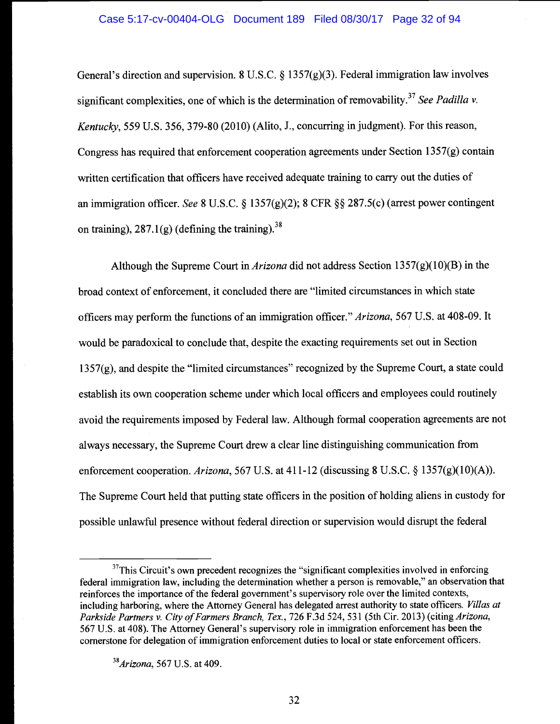General's direction and supervision. 8 U.S.C. § 1357(g)(3). Federal immigration law involves significant complexities, one of which is the determination of removability.<sup>37</sup> See Padilla v. Kentucky, 559 U.S. 356, 379-80 (2010) (Alito, J., concurring in judgment). For this reason, Congress has required that enforcement cooperation agreements under Section 1357(g) contain written certification that officers have received adequate training to carry out the duties of an immigration officer. See 8 U.S.C. § 1357(g)(2); 8 CFR §§ 287.5(c) (arrest power contingent on training),  $287.1(g)$  (defining the training).<sup>38</sup>

Although the Supreme Court in *Arizona* did not address Section 1357(g)(10)(B) in the broad context of enforcement, it concluded there are "limited circumstances in which state officers may perform the functions of an immigration officer." Arizona, 567 U.S. at 408-09. It would be paradoxical to conclude that, despite the exacting requirements set out in Section 1357(g), and despite the "limited circumstances" recognized by the Supreme Court, a state could establish its own cooperation scheme under which local officers and employees could routinely avoid the requirements imposed by Federal law. Although formal cooperation agreements are not always necessary, the Supreme Court drew a clear line distinguishing communication from enforcement cooperation. Arizona, 567 U.S. at 411-12 (discussing 8 U.S.C.  $\S 1357(g)(10)(A)$ ). The Supreme Court held that putting state officers in the position of holding aliens in custody for possible unlawful presence without federal direction or supervision would disrupt the federal

 $37$ This Circuit's own precedent recognizes the "significant complexities involved in enforcing federal immigration law, including the determination whether a person is removable," an observation that reinforces the importance of the federal government's supervisory role over the limited contexts, including harboring, where the Attorney General has delegated arrest authority to state officers. Villas at Parkside Partners v. City of Farmers Branch, Tex., 726 F.3d 524, 531 (5th Cir. 2013) (citing Arizona, 567 U.S. at 408). The Attorney General's supervisory role in immigration enforcement has been the cornerstone for delegation of immigration enforcement duties to local or state enforcement officers.

 $38$ Arizona, 567 U.S. at 409.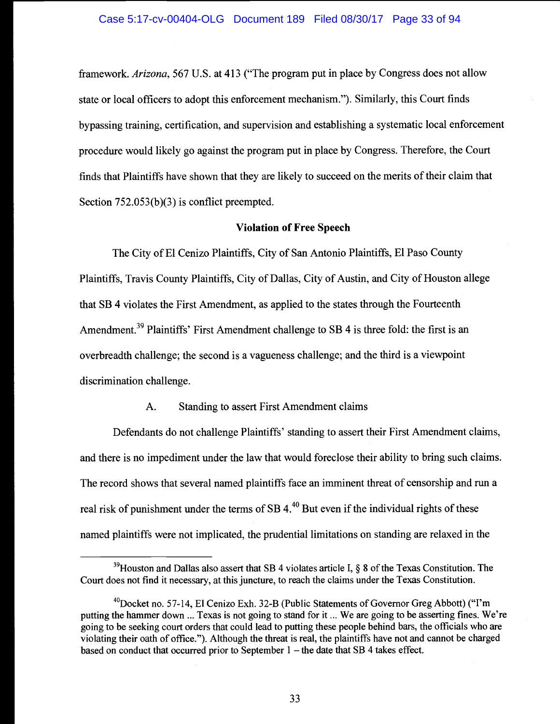framework. Arizona, 567 U.S. at 413 ("The program put in place by Congress does not allow state or local officers to adopt this enforcement mechanism."). Similarly, this Court finds bypassing training, certification, and supervision and establishing a systematic local enforcement procedure would likely go against the program put in place by Congress. Therefore, the Court finds that Plaintiffs have shown that they are likely to succeed on the merits of their claim that Section 752.053(b)(3) is conflict preempted.

## Violation of Free Speech

The City of El Cenizo Plaintiffs, City of San Antonio Plaintiffs, El Paso County Plaintiffs, Travis County Plaintiffs, City of Dallas, City of Austin, and City of Houston allege that SB 4 violates the First Amendment, as applied to the states through the Fourteenth Amendment.<sup>39</sup> Plaintiffs' First Amendment challenge to SB 4 is three fold: the first is an overbreadth challenge; the second is a vagueness challenge; and the third is a viewpoint discrimination challenge.

## A. Standing to assert First Amendment claims

Defendants do not challenge Plaintiffs' standing to assert their First Amendment claims, and there is no impediment under the law that would foreclose their ability to bring such claims. The record shows that several named plaintiffs face an imminent threat of censorship and run a real risk of punishment under the terms of SB  $4<sup>40</sup>$  But even if the individual rights of these named plaintiffs were not implicated, the prudential limitations on standing are relaxed in the

 $39$ Houston and Dallas also assert that SB 4 violates article I, § 8 of the Texas Constitution. The Court does not find it necessary, at this juncture, to reach the claims under the Texas Constitution.

 $^{40}$ Docket no. 57-14, El Cenizo Exh. 32-B (Public Statements of Governor Greg Abbott) ("I'm putting the hammer down ... Texas is not going to stand for it ... We are going to be asserting fines. We're going to be seeking court orders that could lead to putting these people behind bars, the officials who are violating their oath of office."). Although the threat is real, the plaintiffs have not and cannot be charged based on conduct that occurred prior to September  $1$  – the date that SB 4 takes effect.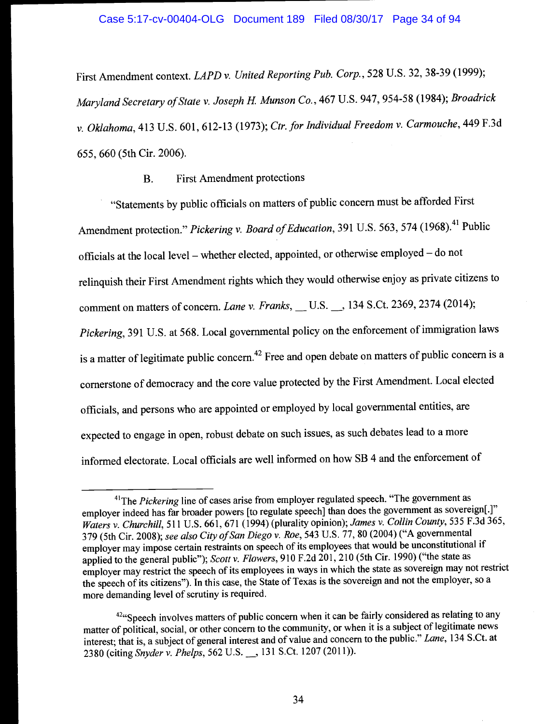First Amendment context. LAPD v. United Reporting Pub. Corp., 528 U.S. 32, 38-39 (1999); Maryland Secretary of State v. Joseph H. Munson Co., 467 U.S. 947, 954-58 (1984); Broadrick v. Oklahoma, 413 U.S. 601, 612-13 (1973); Ctr. for Individual Freedom v. Carmouche, 449 F.3d 655, 660 (5th Cir. 2006).

## B. First Amendment protections

"Statements by public officials on matters of public concern must be afforded First Amendment protection." Pickering v. Board of Education, 391 U.S. 563, 574 (1968).<sup>41</sup> Public officials at the local level – whether elected, appointed, or otherwise employed – do not relinquish their First Amendment rights which they would otherwise enjoy as private citizens to comment on matters of concern. Lane v. Franks,  $\_$  U.S.  $\_$ , 134 S.Ct. 2369, 2374 (2014); Pickering, 391 U.S. at 568. Local governmental policy on the enforcement of immigration laws is a matter of legitimate public concern.<sup>42</sup> Free and open debate on matters of public concern is a cornerstone of democracy and the core value protected by the First Amendment. Local elected officials, and persons who are appointed or employed by local governmental entities, are expected to engage in open, robust debate on such issues, as such debates lead to a more informed electorate. Local officials are well informed on how SB 4 and the enforcement of

<sup>&</sup>lt;sup>41</sup>The *Pickering* line of cases arise from employer regulated speech. "The government as employer indeed has far broader powers [to regulate speech] than does the government as sovereign[.]" Waters v. Churchill, 511 U.S. 661, 671 (1994) (plurality opinion); James v. Collin County, 535 F.3d 365, 379 (5th Cir. 2008); see also City of San Diego v. Roe, 543 U.S. 77, 80 (2004) ("A governmental employer may impose certain restraints on speech of its employees that would be unconstitutional if applied to the general public"); Scott v. Flowers, 910 F.2d 201, 210 (5th Cir. 1990) ("the state as employer may restrict the speech of its employees in ways in which the state as sovereign may not restrict the speech of its citizens"). In this case, the State of Texas is the sovereign and not the employer, so a more demanding level of scrutiny is required.

 $42\%$  Speech involves matters of public concern when it can be fairly considered as relating to any matter of political, social, or other concern to the community, or when it is a subject of legitimate news interest; that is, a subject of general interest and of value and concern to the public." Lane, 134 S.Ct. at 2380 (citing Snyder v. Phelps, 562 U.S. 131 S.Ct. 1207 (2011)).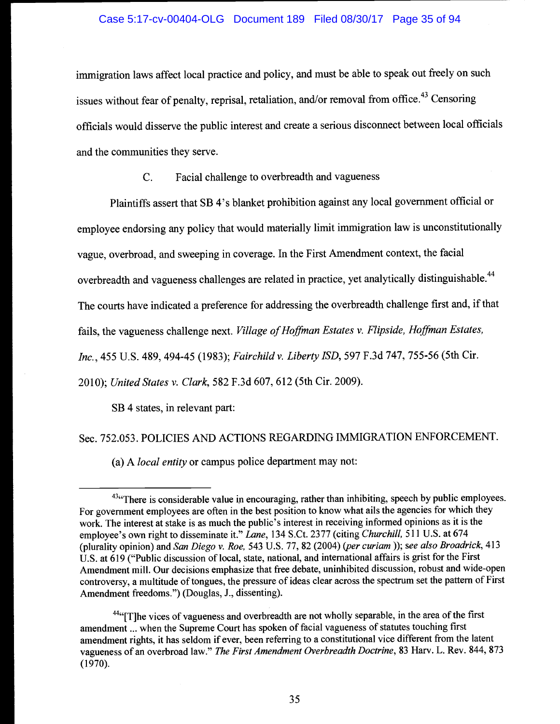## Case 5:17-cv-00404-OLG Document 189 Filed 08/30/17 Page 35 of 94

immigration laws affect local practice and policy, and must be able to speak out freely on such issues without fear of penalty, reprisal, retaliation, and/or removal from office.<sup>43</sup> Censoring officials would disserve the public interest and create a serious disconnect between local officials and the communities they serve.

C. Facial challenge to overbreadth and vagueness

Plaintiffs assert that SB 4's blanket prohibition against any local government official or employee endorsing any policy that would materially limit immigration law is unconstitutionally vague, overbroad, and sweeping in coverage. In the First Amendment context, the facial overbreadth and vagueness challenges are related in practice, yet analytically distinguishable.<sup>44</sup> The courts have indicated a preference for addressing the overbreadth challenge first and, if that fails, the vagueness challenge next. Village of Hoffman Estates v. Flipside, Hoffman Estates,

Inc., 455 U.S. 489, 494-45 (1983); Fairchild v. Liberty ISD, 597 F.3d 747, 755-56 (5th Cir.

2010); United States v. Clark, 582 F.3d 607, 612 (5th Cir. 2009).

SB 4 states, in relevant part:

Sec. 752.053. POLICIES AND ACTIONS REGARDING IMMIGRATION ENFORCEMENT.

(a) A local entity or campus police department may not:

 $43$  There is considerable value in encouraging, rather than inhibiting, speech by public employees. For government employees are often in the best position to know what ails the agencies for which they work. The interest at stake is as much the public's interest in receiving informed opinions as it is the employee's own right to disseminate it." Lane, 134 S.Ct. 2377 (citing Churchill, 511 U.S. at 674 (plurality opinion) and San Diego v. Roe, 543 U.S. 77, 82 (2004) (per curiam )); see also Broadrick, 413 U.S. at 619 ("Public discussion of local, state, national, and international affairs is grist for the First Amendment mill. Our decisions emphasize that free debate, uninhibited discussion, robust and wide-open controversy, a multitude of tongues, the pressure of ideas clear across the spectrum set the pattern of First Amendment freedoms.") (Douglas, J., dissenting).

 $44$ "[T]he vices of vagueness and overbreadth are not wholly separable, in the area of the first amendment ... when the Supreme Court has spoken of facial vagueness of statutes touching first amendment rights, it has seldom if ever, been referring to a constitutional vice different from the latent vagueness of an overbroad law." The First Amendment Overbreadth Doctrine, 83 Harv. L. Rev. 844, 873 (1970).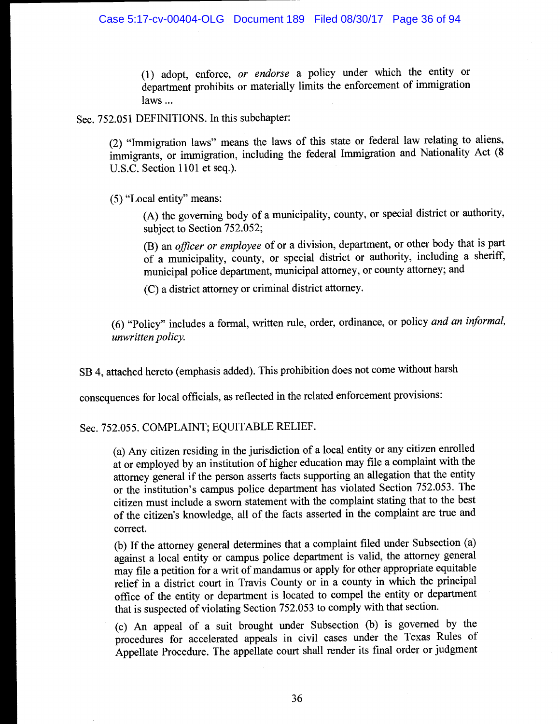(1) adopt, enforce, or endorse a policy under which the entity or department prohibits or materially limits the enforcement of immigration laws...

Sec. 752.051 DEFINITIONS. In this subchapter:

(2) "Immigration laws" means the laws of this state or federal law relating to aliens, immigrants, or immigration, including the federal Immigration and Nationality Act (8 U.S.C. Section 1101 et seq.).

(5) "Local entity" means:

(A) the governing body of a municipality, county, or special district or authority, subject to Section 752.052;

(B) an officer or employee of or a division, department, or other body that is part of a municipality, county, or special district or authority, including a sheriff, municipal police department, municipal attorney, or county attorney; and

(C) a district attorney or criminal district attorney.

(6) "Policy" includes a formal, written rule, order, ordinance, or policy and an informal, unwritten policy.

SB 4, attached hereto (emphasis added). This prohibition does not come without harsh

consequences for local officials, as reflected in the related enforcement provisions:

Sec. 752.055. COMPLAINT; EQUITABLE RELIEF.

(a) Any citizen residing in the jurisdiction of a local entity or any citizen enrolled at or employed by an institution of higher education may file a complaint with the attorney general if the person asserts facts supporting an allegation that the entity or the institution's campus police department has violated Section 752.053. The citizen must include a sworn statement with the complaint stating that to the best of the citizen's knowledge, all of the facts asserted in the complaint are true and correct.

(b) If the attorney general determines that a complaint filed under Subsection (a) against a local entity or campus police department is valid, the attorney general may file a petition for a writ of mandamus or apply for other appropriate equitable relief in a district court in Travis County or in a county in which the principal office of the entity or department is located to compel the entity or department that is suspected of violating Section 752.053 to comply with that section.

(c) An appeal of a suit brought under Subsection (b) is governed by the procedures for accelerated appeals in civil cases under the Texas Rules of Appellate Procedure. The appellate court shall render its final order or judgment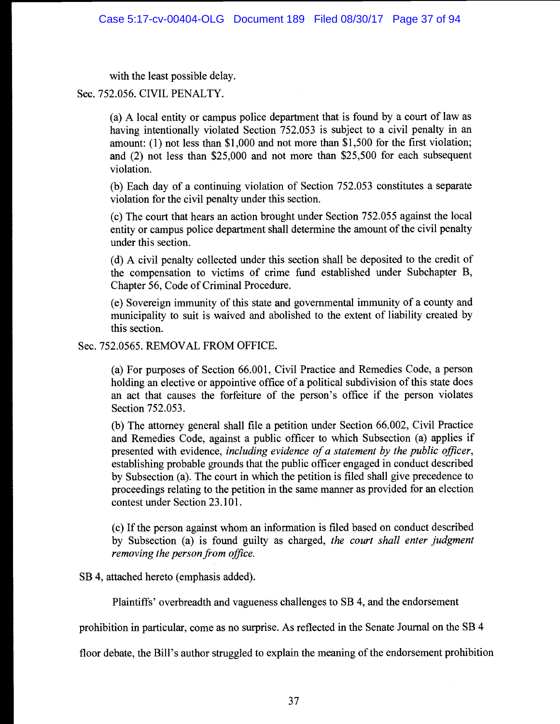with the least possible delay.

Sec. 752.056. CIVIL PENALTY.

(a) A local entity or campus police department that is found by a court of law as having intentionally violated Section 752.053 is subject to a civil penalty in an amount: (1) not less than \$1,000 and not more than \$1,500 for the first violation; and (2) not less than \$25,000 and not more than \$25,500 for each subsequent violation.

(b) Each day of a continuing violation of Section 752.053 constitutes a separate violation for the civil penalty under this section.

(c) The court that hears an action brought under Section 752.05 5 against the local entity or campus police department shall determine the amount of the civil penalty under this section.

(d) A civil penalty collected under this section shall be deposited to the credit of the compensation to victims of crime fund established under Subchapter B, Chapter 56, Code of Criminal Procedure.

(e) Sovereign immunity of this state and governmental immunity of a county and municipality to suit is waived and abolished to the extent of liability created by this section.

Sec. 752.0565. REMOVAL FROM OFFICE.

(a) For purposes of Section 66.001, Civil Practice and Remedies Code, a person holding an elective or appointive office of a political subdivision of this state does an act that causes the forfeiture of the person's office if the person violates Section 752.053.

(b) The attorney general shall file a petition under Section 66.002, Civil Practice and Remedies Code, against a public officer to which Subsection (a) applies if presented with evidence, including evidence of a statement by the public officer, establishing probable grounds that the public officer engaged in conduct described by Subsection (a). The court in which the petition is filed shall give precedence to proceedings relating to the petition in the same manner as provided for an election contest under Section 23.101.

(c) If the person against whom an information is filed based on conduct described by Subsection (a) is found guilty as charged, the court shall enter judgment removing the person from office.

SB 4, attached hereto (emphasis added).

Plaintiffs' overbreadth and vagueness challenges to SB 4, and the endorsement

prohibition in particular, come as no surprise. As reflected in the Senate Journal on the SB 4

floor debate, the Bill's author struggled to explain the meaning of the endorsement prohibition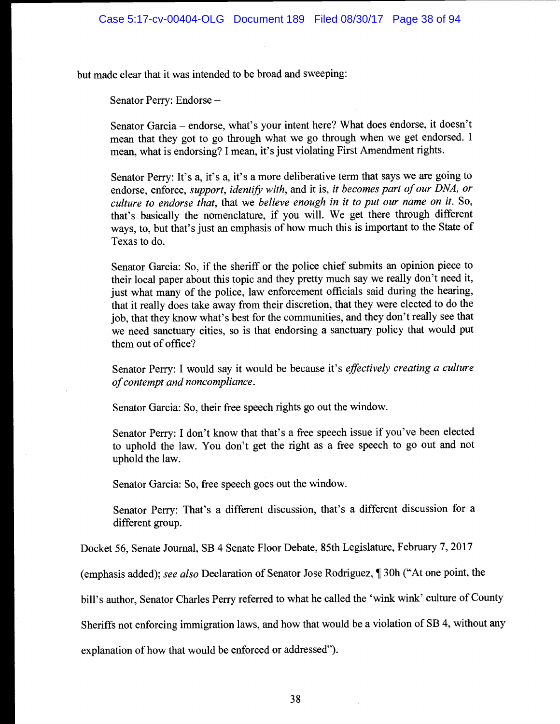but made clear that it was intended to be broad and sweeping:

Senator Perry: Endorse

Senator Garcia - endorse, what's your intent here? What does endorse, it doesn't mean that they got to go through what we go through when we get endorsed. I mean, what is endorsing? I mean, it's just violating First Amendment rights.

Senator Perry: It's a, it's a, it's a more deliberative term that says we are going to endorse, enforce, support, identify with, and it is, it becomes part of our DNA, or culture to endorse that, that we believe enough in it to put our name on it. So, that's basically the nomenclature, if you will. We get there through different ways, to, but that's just an emphasis of how much this is important to the State of Texas to do.

Senator Garcia: So, if the sheriff or the police chief submits an opinion piece to their local paper about this topic and they pretty much say we really don't need it, just what many of the police, law enforcement officials said during the hearing, that it really does take away from their discretion, that they were elected to do the job, that they know what's best for the communities, and they don't really see that we need sanctuary cities, so is that endorsing a sanctuary policy that would put them out of office?

Senator Perry: I would say it would be because it's effectively creating a culture of contempt and noncompliance.

Senator Garcia: So, their free speech rights go out the window.

Senator Perry: I don't know that that's a free speech issue if you've been elected to uphold the law. You don't get the right as a free speech to go out and not uphold the law.

Senator Garcia: So, free speech goes out the window.

Senator Perry: That's a different discussion, that's a different discussion for a different group.

Docket 56, Senate Journal, SB 4 Senate Floor Debate, 85th Legislature, February 7, 2017

(emphasis added); see also Declaration of Senator Jose Rodriguez, ¶ 30h ("At one point, the

bill's author, Senator Charles Perry referred to what he called the 'wink wink' culture of County

Sheriffs not enforcing immigration laws, and how that would be a violation of SB 4, without any

explanation of how that would be enforced or addressed").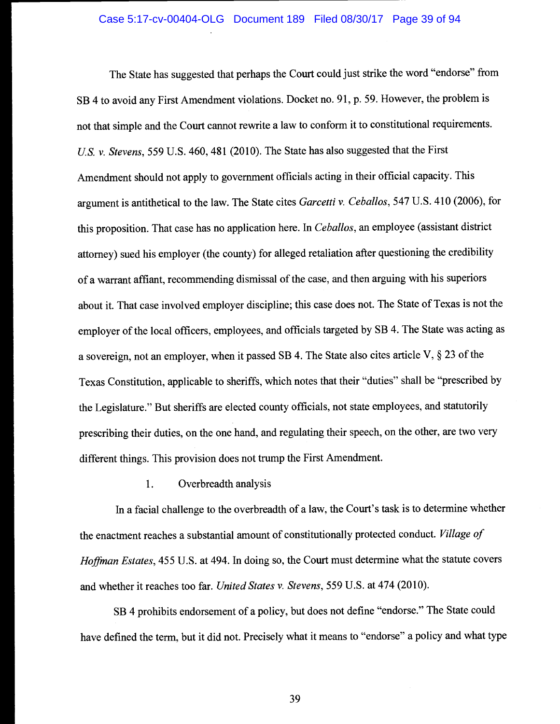#### Case 5:17-cv-00404-OLG Document 189 Filed 08/30/17 Page 39 of 94

The State has suggested that perhaps the Court could just strike the word "endorse" from SB 4 to avoid any First Amendment violations. Docket no. 91, p. 59. However, the problem is not that simple and the Court cannot rewrite a law to conform it to constitutional requirements. U.S. v. Stevens, 559 U.S. 460, 481 (2010). The State has also suggested that the First Amendment should not apply to government officials acting in their official capacity. This argument is antithetical to the law. The State cites Garcetti v. Ceballos, 547 U.S. 410 (2006), for this proposition. That case has no application here. In Ceballos, an employee (assistant district attorney) sued his employer (the county) for alleged retaliation after questioning the credibility of a warrant affiant, recommending dismissal of the case, and then arguing with his superiors about it. That case involved employer discipline; this case does not. The State of Texas is not the employer of the local officers, employees, and officials targeted by SB 4. The State was acting as a sovereign, not an employer, when it passed SB 4. The State also cites article V, § 23 of the Texas Constitution, applicable to sheriffs, which notes that their "duties" shall be "prescribed by the Legislature." But sheriffs are elected county officials, not state employees, and statutorily prescribing their duties, on the one hand, and regulating their speech, on the other, are two very different things. This provision does not trump the First Amendment.

1. Overbreadth analysis

In a facial challenge to the overbreadth of a law, the Court's task is to determine whether the enactment reaches a substantial amount of constitutionally protected conduct. Village of Hoffman Estates, 455 U.S. at 494. In doing so, the Court must determine what the statute covers and whether it reaches too far. United States v. Stevens, 559 U.S. at 474 (2010).

SB 4 prohibits endorsement of a policy, but does not define "endorse." The State could have defined the term, but it did not. Precisely what it means to "endorse" a policy and what type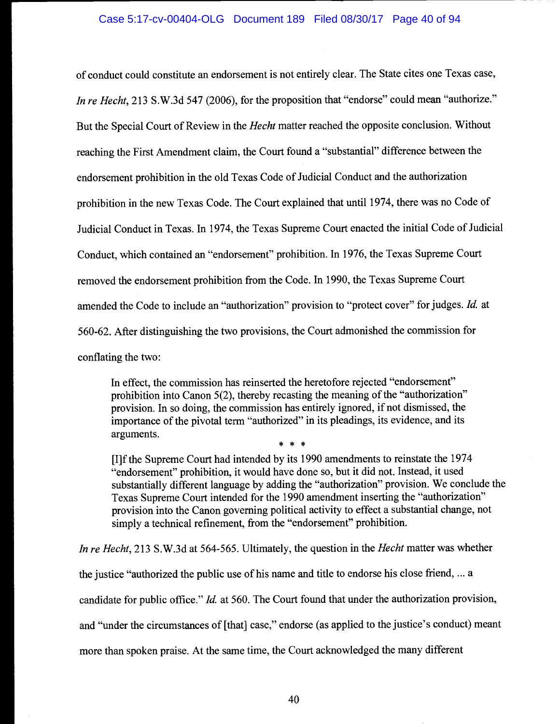of conduct could constitute an endorsement is not entirely clear. The State cites one Texas case, In re Hecht, 213 S.W.3d 547 (2006), for the proposition that "endorse" could mean "authorize." But the Special Court of Review in the *Hecht* matter reached the opposite conclusion. Without reaching the First Amendment claim, the Court found a "substantial" difference between the endorsement prohibition in the old Texas Code of Judicial Conduct and the authorization prohibition in the new Texas Code. The Court explained that until 1974, there was no Code of Judicial Conduct in Texas. In 1974, the Texas Supreme Court enacted the initial Code of Judicial Conduct, which contained an "endorsement" prohibition. In 1976, the Texas Supreme Court removed the endorsement prohibition from the Code. In 1990, the Texas Supreme Court amended the Code to include an "authorization" provision to "protect cover" for judges. Id. at 560-62. After distinguishing the two provisions, the Court admonished the commission for conflating the two:

In effect, the commission has reinserted the heretofore rejected "endorsement" prohibition into Canon 5(2), thereby recasting the meaning of the "authorization" provision. In so doing, the commission has entirely ignored, if not dismissed, the importance of the pivotal term "authorized" in its pleadings, its evidence, and its arguments. \* \* \*

[I]f the Supreme Court had intended by its 1990 amendments to reinstate the 1974 "endorsement" prohibition, it would have done so, but it did not. Instead, it used substantially different language by adding the "authorization" provision. We conclude the Texas Supreme Court intended for the 1990 amendment inserting the "authorization" provision into the Canon governing political activity to effect a substantial change, not simply a technical refinement, from the "endorsement" prohibition.

In re Hecht, 213 S.W.3d at 564-565. Ultimately, the question in the Hecht matter was whether

the justice "authorized the public use of his name and title to endorse his close friend, ... a

candidate for public office." Id. at 560. The Court found that under the authorization provision,

and "under the circumstances of [that] case," endorse (as applied to the justice's conduct) meant

more than spoken praise. At the same time, the Court acknowledged the many different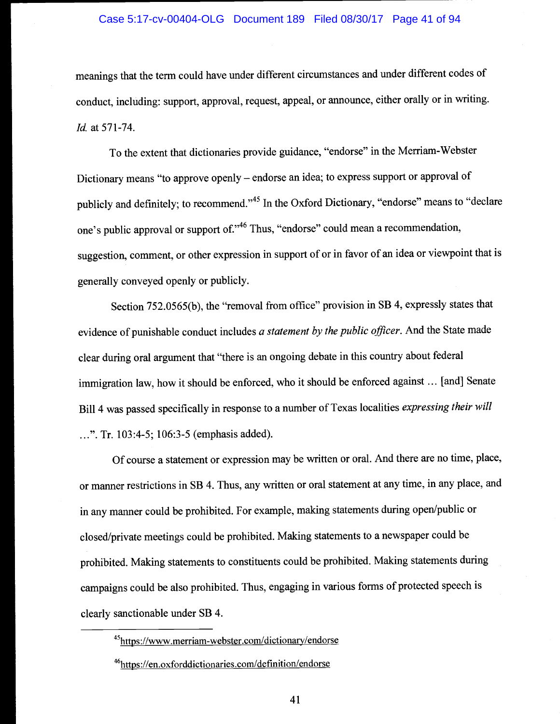### Case 5:17-cv-00404-OLG Document 189 Filed 08/30/17 Page 41 of 94

meanings that the term could have under different circumstances and under different codes of conduct, including: support, approval, request, appeal, or announce, either orally or in writing. Id. at 571-74.

To the extent that dictionaries provide guidance, "endorse" in the Merriam-Webster Dictionary means "to approve openly – endorse an idea; to express support or approval of publicly and definitely; to recommend."<sup>45</sup> In the Oxford Dictionary, "endorse" means to "declare one's public approval or support of."<sup>46</sup> Thus, "endorse" could mean a recommendation, suggestion, comment, or other expression in support of or in favor of an idea or viewpoint that is generally conveyed openly or publicly.

Section 752.0565(b), the "removal from office" provision in SB 4, expressly states that evidence of punishable conduct includes  $a$  statement by the public officer. And the State made clear during oral argument that "there is an ongoing debate in this country about federal immigration law, how it should be enforced, who it should be enforced against ... [and] Senate Bill 4 was passed specifically in response to a number of Texas localities expressing their will ..". Tr. 103 :4-5; 106:3-5 (emphasis added).

Of course a statement or expression may be written or oral. And there are no time, place, or manner restrictions in SB 4. Thus, any written or oral statement at any time, in any place, and in any manner could be prohibited. For example, making statements during open/public or closed/private meetings could be prohibited. Making statements to a newspaper could be prohibited. Making statements to constituents could be prohibited. Making statements during campaigns could be also prohibited. Thus, engaging in various forms of protected speech is clearly sanctionable under SB 4.

<sup>45</sup>https://www.merriam-webster.com/dictionary/endorse

<sup>46</sup>https://en.oxforddictionaries.com/definition/endorse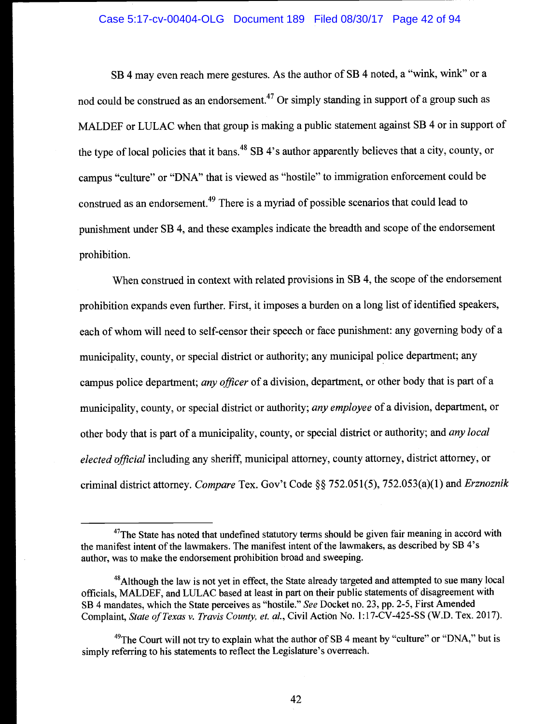## Case 5:17-cv-00404-OLG Document 189 Filed 08/30/17 Page 42 of 94

SB 4 may even reach mere gestures. As the author of SB 4 noted, a "wink, wink" or a nod could be construed as an endorsement.<sup>47</sup> Or simply standing in support of a group such as MALDEF or LULAC when that group is making a public statement against SB 4 or in support of the type of local policies that it bans.<sup>48</sup> SB 4's author apparently believes that a city, county, or campus "culture" or "DNA" that is viewed as "hostile" to immigration enforcement could be construed as an endorsement.<sup>49</sup> There is a myriad of possible scenarios that could lead to punishment under SB 4, and these examples indicate the breadth and scope of the endorsement prohibition.

When construed in context with related provisions in SB 4, the scope of the endorsement prohibition expands even further. First, it imposes a burden on a long list of identified speakers, each of whom will need to self-censor their speech or face punishment: any governing body of a municipality, county, or special district or authority; any municipal police department; any campus police department; any officer of a division, department, or other body that is part of a municipality, county, or special district or authority; any employee of a division, department, or other body that is part of a municipality, county, or special district or authority; and *any local* elected official including any sheriff, municipal attorney, county attorney, district attorney, or criminal district attorney. Compare Tex. Gov't Code §§ 752.051(5), 752.053(a)(1) and Erznoznik

 $47$ The State has noted that undefined statutory terms should be given fair meaning in accord with the manifest intent of the lawmakers. The manifest intent of the lawmakers, as described by SB 4's author, was to make the endorsement prohibition broad and sweeping.

 $48$ Although the law is not yet in effect, the State already targeted and attempted to sue many local officials, MALDEF, and LULAC based at least in part on their public statements of disagreement with SB 4 mandates, which the State perceives as "hostile." See Docket no. 23, pp. 2-5, First Amended Complaint, State of Texas v. Travis County, et. al., Civil Action No. l:17-CV-425-SS (W.D. Tex. 2017).

 $^{49}$ The Court will not try to explain what the author of SB 4 meant by "culture" or "DNA," but is simply referring to his statements to reflect the Legislature's overreach.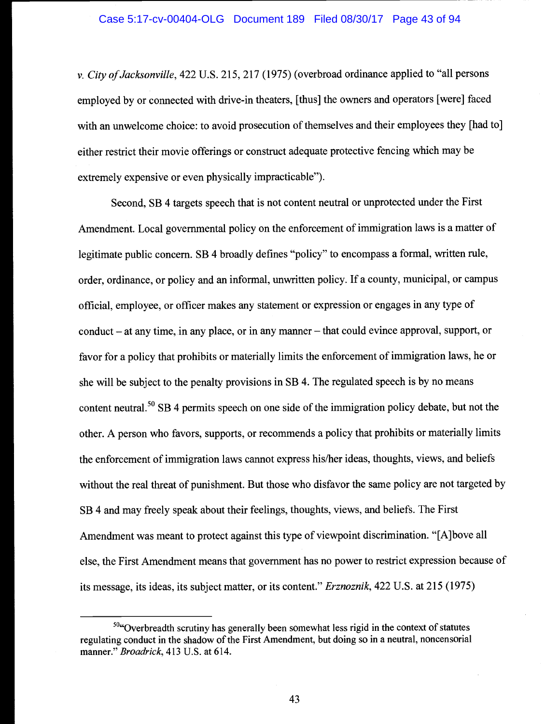v. City of Jacksonville, 422 U.S. 215, 217 (1975) (overbroad ordinance applied to "all persons employed by or connected with drive-in theaters, [thus] the owners and operators [were] faced with an unwelcome choice: to avoid prosecution of themselves and their employees they [had to] either restrict their movie offerings or construct adequate protective fencing which may be extremely expensive or even physically impracticable").

Second, SB 4 targets speech that is not content neutral or unprotected under the First Amendment. Local governmental policy on the enforcement of immigration laws is a matter of legitimate public concern. SB 4 broadly defines "policy" to encompass a formal, written rule, order, ordinance, or policy and an informal, unwritten policy. If a county, municipal, or campus official, employee, or officer makes any statement or expression or engages in any type of conduct  $-$  at any time, in any place, or in any manner  $-$  that could evince approval, support, or favor for a policy that prohibits or materially limits the enforcement of immigration laws, he or she will be subject to the penalty provisions in SB 4. The regulated speech is by no means content neutral.<sup>50</sup> SB 4 permits speech on one side of the immigration policy debate, but not the other. A person who favors, supports, or recommends a policy that prohibits or materially limits the enforcement of immigration laws cannot express his/her ideas, thoughts, views, and beliefs without the real threat of punishment. But those who disfavor the same policy are not targeted by SB 4 and may freely speak about their feelings, thoughts, views, and beliefs. The First Amendment was meant to protect against this type of viewpoint discrimination. "[A]bove all else, the First Amendment means that government has no power to restrict expression because of its message, its ideas, its subject matter, or its content." Erznoznik, 422 U.S. at 215 (1975)

 $50$  Coverbreadth scrutiny has generally been somewhat less rigid in the context of statutes regulating conduct in the shadow of the First Amendment, but doing so in a neutral, noncensorial manner." Broadrick, 413 U.S. at 614.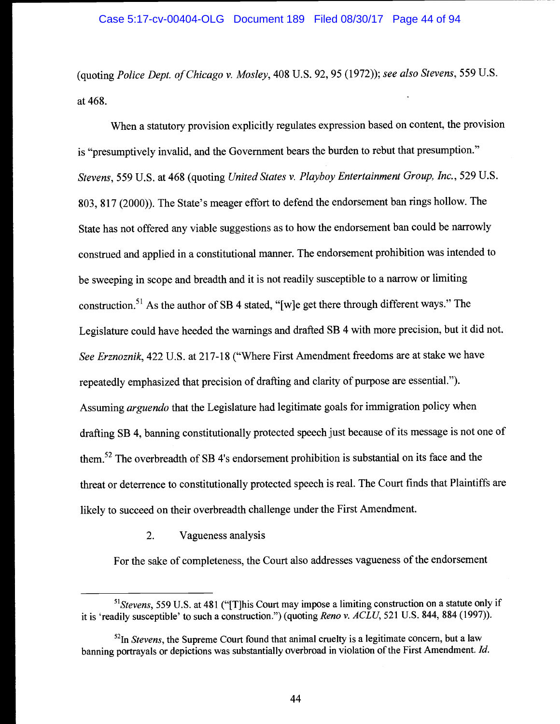(quoting Police Dept. of Chicago v. Mosley, 408 U.S. 92, 95 (1972)); see also Stevens, 559 U.s. at 468.

When a statutory provision explicitly regulates expression based on content, the provision is "presumptively invalid, and the Government bears the burden to rebut that presumption." Stevens, 559 U.S. at 468 (quoting United States v. Playboy Entertainment Group, Inc., 529 U.S. 803, 817 (2000)). The State's meager effort to defend the endorsement ban rings hollow. The State has not offered any viable suggestions as to how the endorsement ban could be narrowly construed and applied in a constitutional manner. The endorsement prohibition was intended to be sweeping in scope and breadth and it is not readily susceptible to a narrow or limiting construction.<sup>51</sup> As the author of SB 4 stated, "[w]e get there through different ways." The Legislature could have heeded the warnings and drafted SB 4 with more precision, but it did not. See Erznoznik, 422 U.S. at 217-18 ("Where First Amendment freedoms are at stake we have repeatedly emphasized that precision of drafting and clarity of purpose are essential."). Assuming arguendo that the Legislature had legitimate goals for immigration policy when drafting SB 4, banning constitutionally protected speech just because of its message is not one of them.<sup>52</sup> The overbreadth of SB 4's endorsement prohibition is substantial on its face and the threat or deterrence to constitutionally protected speech is real. The Court finds that Plaintiffs are likely to succeed on their overbreadth challenge under the First Amendment.

2. Vagueness analysis

For the sake of completeness, the Court also addresses vagueness of the endorsement

 $<sup>51</sup> Stevens$ , 559 U.S. at 481 ("[T]his Court may impose a limiting construction on a statute only if</sup> it is 'readily susceptible' to such a construction.") (quoting Reno v.  $ACLU$ , 521 U.S. 844, 884 (1997)).

 $<sup>52</sup>$  In *Stevens*, the Supreme Court found that animal cruelty is a legitimate concern, but a law</sup> banning portrayals or depictions was substantially overbroad in violation of the First Amendment. Id.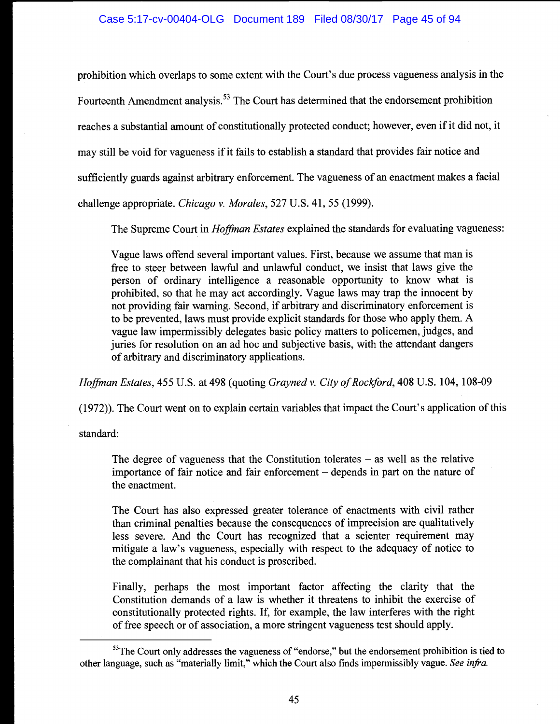prohibition which overlaps to some extent with the Court's due process vagueness analysis in the Fourteenth Amendment analysis.<sup>53</sup> The Court has determined that the endorsement prohibition reaches a substantial amount of constitutionally protected conduct; however, even if it did not, it may still be void for vagueness if it fails to establish a standard that provides fair notice and sufficiently guards against arbitrary enforcement. The vagueness of an enactment makes a facial challenge appropriate. Chicago v. Morales, 527 U.S. 41, 55 (1999).

The Supreme Court in *Hoffman Estates* explained the standards for evaluating vagueness:

Vague laws offend several important values. First, because we assume that man is free to steer between lawful and unlawful conduct, we insist that laws give the person of ordinary intelligence a reasonable opportunity to know what is prohibited, so that he may act accordingly. Vague laws may trap the innocent by not providing fair warning. Second, if arbitrary and discriminatory enforcement is to be prevented, laws must provide explicit standards for those who apply them. A vague law impermissibly delegates basic policy matters to policemen, judges, and juries for resolution on an ad hoc and subjective basis, with the attendant dangers of arbitrary and discriminatory applications.

Hoffman Estates, 455 U.S. at 498 (quoting Grayned v. City of Rockford, 408 U.S. 104, 108-09

(1972)). The Court went on to explain certain variables that impact the Court's application of this

standard:

The degree of vagueness that the Constitution tolerates  $-$  as well as the relative importance of fair notice and fair enforcement  $-$  depends in part on the nature of the enactment.

The Court has also expressed greater tolerance of enactments with civil rather than criminal penalties because the consequences of imprecision are qualitatively less severe. And the Court has recognized that a scienter requirement may mitigate a law's vagueness, especially with respect to the adequacy of notice to the complainant that his conduct is proscribed.

Finally, perhaps the most important factor affecting the clarity that the Constitution demands of a law is whether it threatens to inhibit the exercise of constitutionally protected rights. If, for example, the law interferes with the right of free speech or of association, a more stringent vagueness test should apply.

 $<sup>53</sup>$ The Court only addresses the vagueness of "endorse," but the endorsement prohibition is tied to</sup> other language, such as "materially limit," which the Court also finds impermissibly vague. See infra.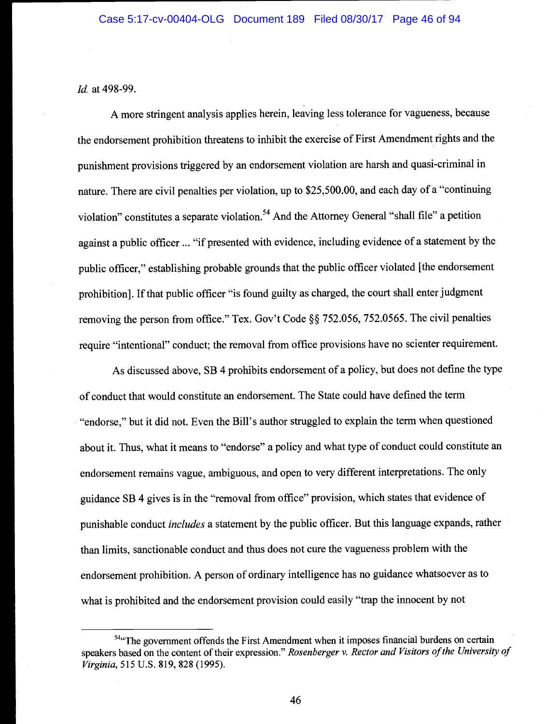Id. at 498-99.

A more stringent analysis applies herein, leaving less tolerance for vagueness, because the endorsement prohibition threatens to inhibit the exercise of First Amendment rights and the punishment provisions triggered by an endorsement violation are harsh and quasi-criminal in nature. There are civil penalties per violation, up to \$25,500.00, and each day of a "continuing violation" constitutes a separate violation.<sup>54</sup> And the Attorney General "shall file" a petition against a public officer ... "if presented with evidence, including evidence of a statement by the public officer," establishing probable grounds that the public officer violated [the endorsement prohibition]. If that public officer "is found guilty as charged, the court shall enter judgment removing the person from office." Tex. Gov't Code §§ 752.056, 752.0565. The civil penalties require "intentional" conduct; the removal from office provisions have no scienter requirement.

As discussed above, SB 4 prohibits endorsement of a policy, but does not define the type of conduct that would constitute an endorsement. The State could have defined the term "endorse," but it did not. Even the Bill's author struggled to explain the term when questioned about it. Thus, what it means to "endorse" a policy and what type of conduct could constitute an endorsement remains vague, ambiguous, and open to very different interpretations. The only guidance SB 4 gives is in the "removal from office" provision, which states that evidence of punishable conduct *includes* a statement by the public officer. But this language expands, rather than limits, sanctionable conduct and thus does not cure the vagueness problem with the endorsement prohibition. A person of ordinary intelligence has no guidance whatsoever as to what is prohibited and the endorsement provision could easily "trap the innocent by not

 $<sup>54</sup>$ "The government offends the First Amendment when it imposes financial burdens on certain</sup> speakers based on the content of their expression." Rosenberger v. Rector and Visitors of the University of Virginia, 515 U.S. 819, 828 (1995).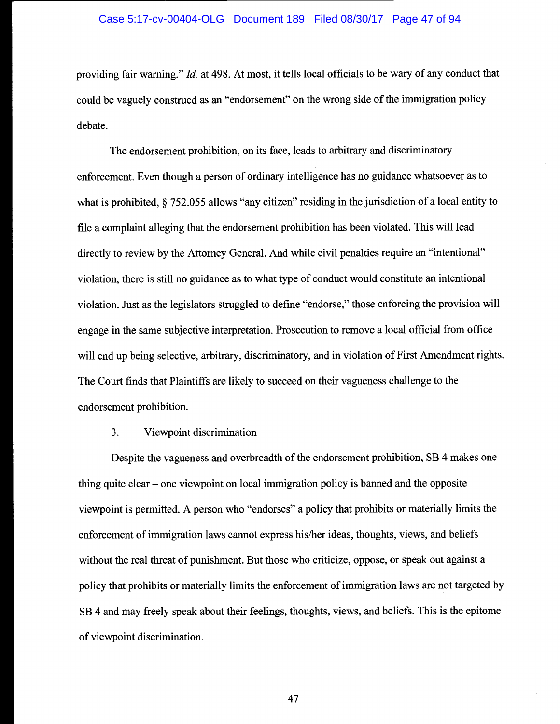#### Case 5:17-cv-00404-OLG Document 189 Filed 08/30/17 Page 47 of 94

providing fair warning." Id. at 498. At most, it tells local officials to be wary of any conduct that could be vaguely construed as an "endorsement" on the wrong side of the immigration policy debate.

The endorsement prohibition, on its face, leads to arbitrary and discriminatory enforcement. Even though a person of ordinary intelligence has no guidance whatsoever as to what is prohibited,  $\S$  752.055 allows "any citizen" residing in the jurisdiction of a local entity to file a complaint alleging that the endorsement prohibition has been violated. This will lead directly to review by the Attorney General. And while civil penalties require an "intentional" violation, there is still no guidance as to what type of conduct would constitute an intentional violation. Just as the legislators struggled to define "endorse," those enforcing the provision will engage in the same subjective interpretation. Prosecution to remove a local official from office will end up being selective, arbitrary, discriminatory, and in violation of First Amendment rights. The Court finds that Plaintiffs are likely to succeed on their vagueness challenge to the endorsement prohibition.

## 3. Viewpoint discrimination

Despite the vagueness and overbreadth of the endorsement prohibition, SB 4 makes one thing quite clear  $-$  one viewpoint on local immigration policy is banned and the opposite viewpoint is permitted. A person who "endorses" a policy that prohibits or materially limits the enforcement of immigration laws cannot express his/her ideas, thoughts, views, and beliefs without the real threat of punishment. But those who criticize, oppose, or speak out against a policy that prohibits or materially limits the enforcement of immigration laws are not targeted by SB 4 and may freely speak about their feelings, thoughts, views, and beliefs. This is the epitome of viewpoint discrimination.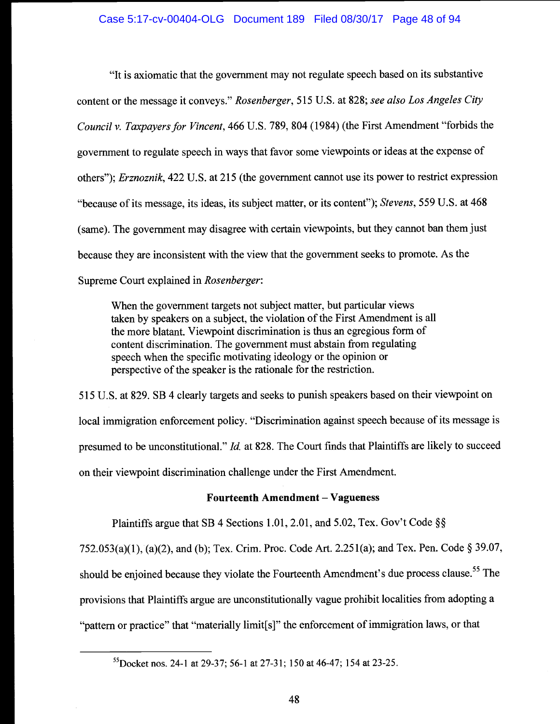"It is axiomatic that the government may not regulate speech based on its substantive content or the message it conveys." Rosenberger, 515 U.S. at 828; see also Los Angeles City Council v. Taxpayers for Vincent, 466 U.S. 789, 804 (1984) (the First Amendment "forbids the government to regulate speech in ways that favor some viewpoints or ideas at the expense of others"); Erznoznik, 422 U.S. at 215 (the government cannot use its power to restrict expression "because of its message, its ideas, its subject matter, or its content"); Stevens, 559 U.S. at 468 (same). The government may disagree with certain viewpoints, but they cannot ban them just because they are inconsistent with the view that the government seeks to promote. As the Supreme Court explained in Rosenberger:

When the government targets not subject matter, but particular views taken by speakers on a subject, the violation of the First Amendment is all the more blatant. Viewpoint discrimination is thus an egregious form of content discrimination. The government must abstain from regulating speech when the specific motivating ideology or the opinion or perspective of the speaker is the rationale for the restriction.

515 U.S. at 829. SB 4 clearly targets and seeks to punish speakers based on their viewpoint on local immigration enforcement policy. "Discrimination against speech because of its message is presumed to be unconstitutional." Id. at 828. The Court finds that Plaintiffs are likely to succeed on their viewpoint discrimination challenge under the First Amendment.

# Fourteenth Amendment - Vagueness

Plaintiffs argue that SB 4 Sections 1.01, 2.01, and 5.02, Tex. Gov't Code §§

752.053(a)(1), (a)(2), and (b); Tex. Crim. Proc. Code Art. 2.25 1(a); and Tex. Pen. Code § 39.07, should be enjoined because they violate the Fourteenth Amendment's due process clause.<sup>55</sup> The provisions that Plaintiffs argue are unconstitutionally vague prohibit localities from adopting a "pattern or practice" that "materially limit{s]" the enforcement of immigration laws, or that

<sup>55</sup>Docket nos. 24-1 at 29-37; 56-1 at 27-31; 150 at 46-47; 154 at 23-25.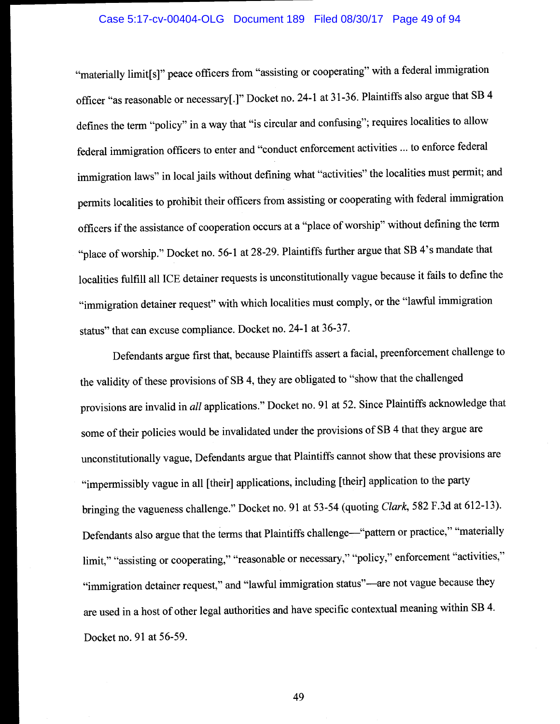#### Case 5:17-cv-00404-OLG Document 189 Filed 08/30/17 Page 49 of 94

"materially limit[s]" peace officers from "assisting or cooperating" with a federal immigration officer "as reasonable or necessary[.]" Docket no. 24-1 at 3 1-36. Plaintiffs also argue that SB <sup>4</sup> defines the term "policy" in a way that "is circular and confusing"; requires localities to allow federal immigration officers to enter and "conduct enforcement activities ... to enforce federal immigration laws" in local jails without defining what "activities" the localities must permit; and permits localities to prohibit their officers from assisting or cooperating with federal immigration officers if the assistance of cooperation occurs at a "place of worship" without defining the term "place of worship." Docket no. 56-1 at 28-29. Plaintiffs further argue that SB 4's mandate that localities fulfill all ICE detainer requests is unconstitutionally vague because it fails to define the "immigration detainer request" with which localities must comply, or the "lawful immigration status" that can excuse compliance. Docket no. 24-1 at 36-37.

Defendants argue first that, because Plaintiffs assert a facial, preenforcement challenge to the validity of these provisions of SB 4, they are obligated to "show that the challenged provisions are invalid in all applications." Docket no. 91 at 52. Since Plaintiffs acknowledge that some of their policies would be invalidated under the provisions of SB 4 that they argue are unconstitutionally vague, Defendants argue that Plaintiffs cannot show that these provisions are "impermissibly vague in all [their] applications, including [their] application to the party bringing the vagueness challenge." Docket no. 91 at 53-54 (quoting Clark, 582 F.3d at 612-13). Defendants also argue that the terms that Plaintiffs challenge—"pattern or practice," "materially limit," "assisting or cooperating," "reasonable or necessary," "policy," enforcement "activities," "immigration detainer request," and "lawful immigration status"—are not vague because they are used in a host of other legal authorities and have specific contextual meaning within SB 4. Docket no. 91 at 56-59.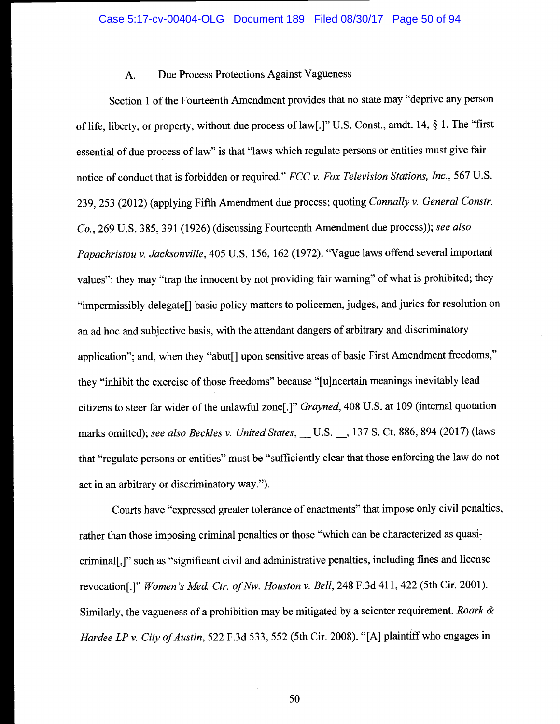# A. Due Process Protections Against Vagueness

Section 1 of the Fourteenth Amendment provides that no state may "deprive any person of life, liberty, or property, without due process of law[.]" U.S. Const., amdt. 14, § 1. The "first essential of due process of law" is that "laws which regulate persons or entities must give fair notice of conduct that is forbidden or required." FCC v. Fox Television Stations, Inc., 567 U.S. 239, 253 (2012) (applying Fifth Amendment due process; quoting Connally v. General Constr. Co., 269 U.S. 385, 391 (1926) (discussing Fourteenth Amendment due process)); see also Papachristou v. Jacksonville, 405 U.S. 156, 162 (1972). "Vague laws offend several important values": they may "trap the innocent by not providing fair warning" of what is prohibited; they "impermissibly delegate[] basic policy matters to policemen, judges, and juries for resolution on an ad hoc and subjective basis, with the attendant dangers of arbitrary and discriminatory application"; and, when they "abut[] upon sensitive areas of basic First Amendment freedoms," they "inhibit the exercise of those freedoms" because "[u]ncertain meanings inevitably lead citizens to steer far wider of the unlawful zone[.]" Grayned, 408 U.S. at 109 (internal quotation marks omitted); see also Beckles v. United States, \_\_ U.S. \_\_, 137 S. Ct. 886, 894 (2017) (laws that "regulate persons or entities" must be "sufficiently clear that those enforcing the law do not act in an arbitrary or discriminatory way.")

Courts have "expressed greater tolerance of enactments" that impose only civil penalties, rather than those imposing criminal penalties or those "which can be characterized as quasicriminal[,]" such as "significant civil and administrative penalties, including fines and license revocation[.]" Women's Med. Ctr. of Nw. Houston v. Bell, 248 F.3d 411, 422 (5th Cir. 2001). Similarly, the vagueness of a prohibition may be mitigated by a scienter requirement. Roark & Hardee LP v. City of Austin, 522 F.3d 533, 552 (5th Cir. 2008). "[A] plaintiff who engages in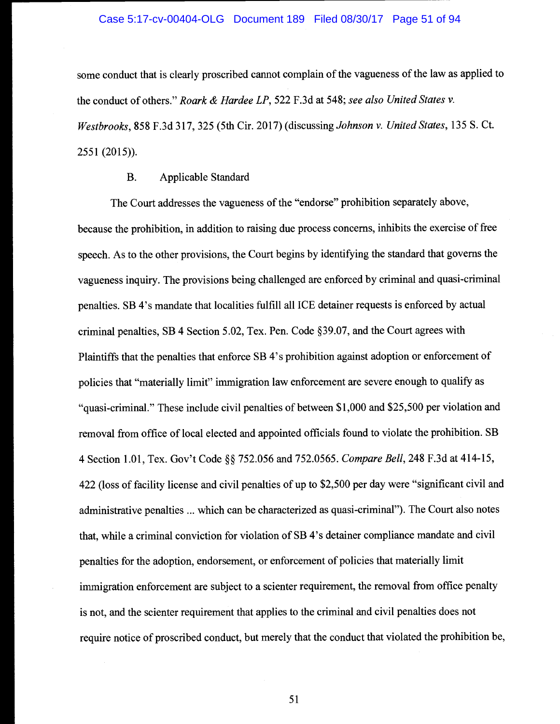#### Case 5:17-cv-00404-OLG Document 189 Filed 08/30/17 Page 51 of 94

some conduct that is clearly proscribed cannot complain of the vagueness of the law as applied to the conduct of others." Roark & Hardee LP, 522 F.3d at 548; see also United States v. Westbrooks, 858 F.3d 317, 325 (5th Cir. 2017) (discussing Johnson v. United States, 135 S. Ct. 2551 (2015)).

## B. Applicable Standard

The Court addresses the vagueness of the "endorse" prohibition separately above, because the prohibition, in addition to raising due process concerns, inhibits the exercise of free speech. As to the other provisions, the Court begins by identifying the standard that governs the vagueness inquiry. The provisions being challenged are enforced by criminal and quasi-criminal penalties. SB 4's mandate that localities fulfill all ICE detainer requests is enforced by actual criminal penalties, SB 4 Section 5.02, Tex. Pen. Code §39.07, and the Court agrees with Plaintiffs that the penalties that enforce SB 4's prohibition against adoption or enforcement of policies that "materially limit" immigration law enforcement are severe enough to qualify as "quasi-criminal." These include civil penalties of between \$1,000 and \$25,500 per violation and removal from office of local elected and appointed officials found to violate the prohibition. SB 4 Section 1.01, Tex. Gov't Code §§ 752.056 and 752.0565. Compare Bell, 248 F.3d at 414-15, 422 (loss of facility license and civil penalties of up to \$2,500 per day were "significant civil and administrative penalties ... which can be characterized as quasi-criminal"). The Court also notes that, while a criminal conviction for violation of SB 4's detainer compliance mandate and civil penalties for the adoption, endorsement, or enforcement of policies that materially limit immigration enforcement are subject to a scienter requirement, the removal from office penalty is not, and the scienter requirement that applies to the criminal and civil penalties does not require notice of proscribed conduct, but merely that the conduct that violated the prohibition be,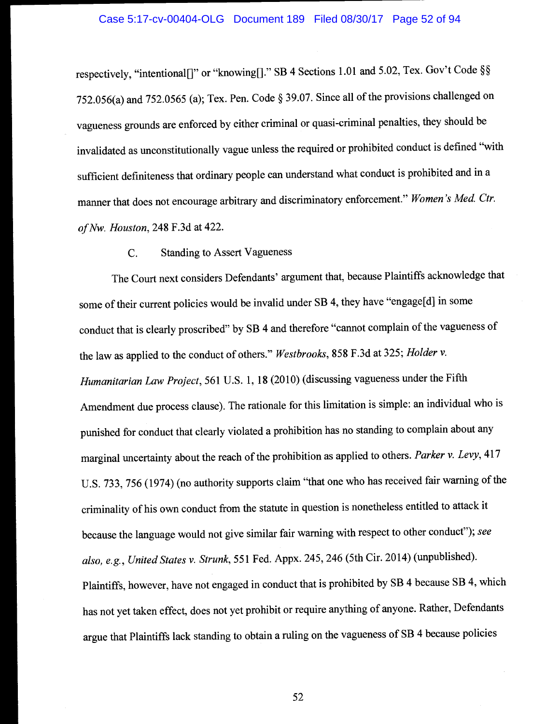respectively, "intentional[]" or "knowing[]." SB 4 Sections 1.01 and 5.02, Tex. Gov't Code §§ 752.056(a) and 752.0565 (a); Tex. Pen. Code § 39.07. Since all of the provisions challenged on vagueness grounds are enforced by either criminal or quasi-criminal penalties, they should be invalidated as unconstitutionally vague unless the required or prohibited conduct is defined "with sufficient definiteness that ordinary people can understand what conduct is prohibited and in <sup>a</sup> manner that does not encourage arbitrary and discriminatory enforcement." Women 's Med. Ctr. of Nw. Houston, 248 F.3d at 422.

# C. Standing to Assert Vagueness

The Court next considers Defendants' argument that, because Plaintiffs acknowledge that some of their current policies would be invalid under SB 4, they have "engage[d] in some conduct that is clearly proscribed" by SB 4 and therefore "cannot complain of the vagueness of the law as applied to the conduct of others." Westbrooks, 858 F.3d at 325; Holder v. Humanitarian Law Project, 561 U.S. 1, 18 (2010) (discussing vagueness under the Fifth Amendment due process clause). The rationale for this limitation is simple: an individual who is punished for conduct that clearly violated a prohibition has no standing to complain about any marginal uncertainty about the reach of the prohibition as applied to others. Parker v. Levy, 417 U.S. 733, 756 (1974) (no authority supports claim "that one who has received fair warning of the criminality of his own conduct from the statute in question is nonetheless entitled to attack it because the language would not give similar fair warning with respect to other conduct"); see also, e.g., United States v. Strunk, 551 Fed. Appx. 245, 246 (5th Cir. 2014) (unpublished). Plaintiffs, however, have not engaged in conduct that is prohibited by SB 4 because SB 4, which has not yet taken effect, does not yet prohibit or require anything of anyone. Rather, Defendants argue that Plaintiffs lack standing to obtain a ruling on the vagueness of SB 4 because policies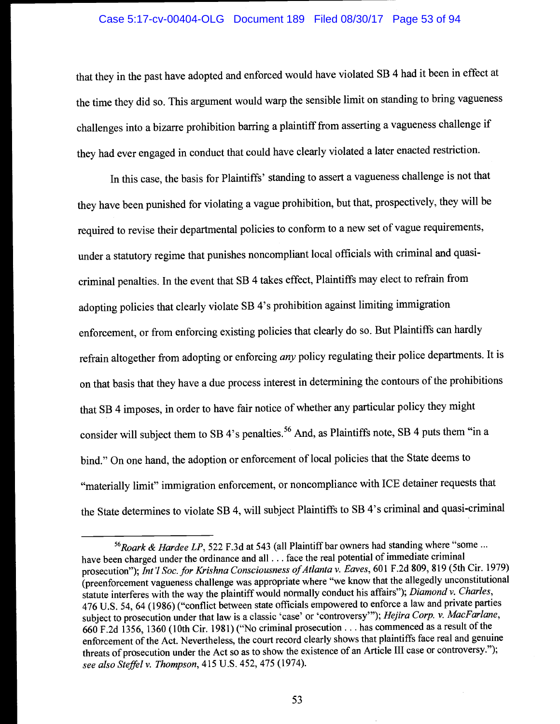# Case 5:17-cv-00404-OLG Document 189 Filed 08/30/17 Page 53 of 94

that they in the past have adopted and enforced would have violated SB 4 had it been in effect at the time they did so. This argument would warp the sensible limit on standing to bring vagueness challenges into a bizarre prohibition barring a plaintiff from asserting a vagueness challenge if they had ever engaged in conduct that could have clearly violated a later enacted restriction.

In this case, the basis for Plaintiffs' standing to assert a vagueness challenge is not that they have been punished for violating a vague prohibition, but that, prospectively, they will be required to revise their departmental policies to conform to a new set of vague requirements, under a statutory regime that punishes noncompliant local officials with criminal and quasicriminal penalties. In the event that SB 4 takes effect, Plaintiffs may elect to refrain from adopting policies that clearly violate SB 4's prohibition against limiting immigration enforcement, or from enforcing existing policies that clearly do so. But Plaintiffs can hardly refrain altogether from adopting or enforcing *any* policy regulating their police departments. It is on that basis that they have a due process interest in determining the contours of the prohibitions that SB 4 imposes, in order to have fair notice of whether any particular policy they might consider will subject them to SB 4's penalties.<sup>56</sup> And, as Plaintiffs note, SB 4 puts them "in a bind." On one hand, the adoption or enforcement of local policies that the State deems to "materially limit" immigration enforcement, or noncompliance with ICE detainer requests that the State determines to violate SB 4, will subject Plaintiffs to SB 4's criminal and quasi-criminal

 $56$ Roark & Hardee LP, 522 F.3d at 543 (all Plaintiff bar owners had standing where "some ... have been charged under the ordinance and all. . . face the real potential of immediate criminal prosecution"); Int'l Soc. for Krishna Consciousness of Atlanta v. Eaves, 601 F.2d 809, 819 (5th Cir. 1979) (preenforcement vagueness challenge was appropriate where "we know that the allegedly unconstitutional statute interferes with the way the plaintiff would normally conduct his affairs"); Diamond v. Charles, 476 U.S. 54, 64 (1986) ("conflict between state officials empowered to enforce a law and private parties subject to prosecution under that law is a classic 'case' or 'controversy'"); Hejira Corp. v. MacFarlane, 660 F.2d 1356, 1360 (10th Cir. 1981) ("No criminal prosecution. . . has commenced as a result of the enforcement of the Act. Nevertheless, the court record clearly shows that plaintiffs face real and genuine threats of prosecution under the Act so as to show the existence of an Article III case or controversy."); see also Steffel v. Thompson, 415 U.S. 452, 475 (1974).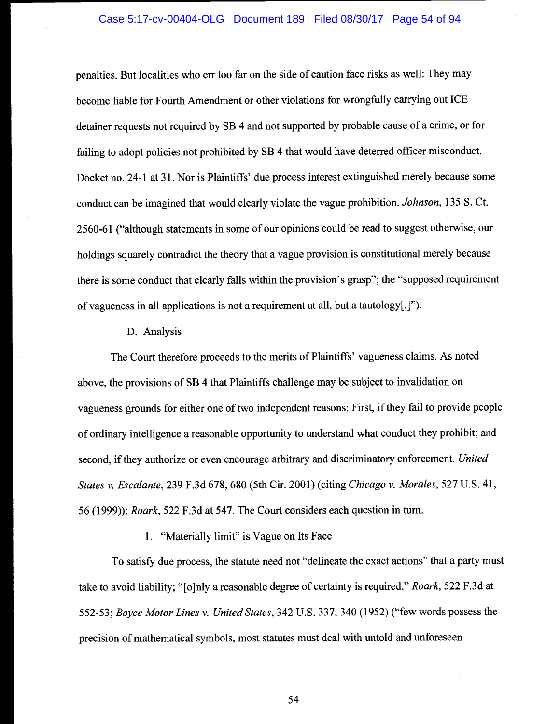## Case 5:17-cv-00404-OLG Document 189 Filed 08/30/17 Page 54 of 94

penalties. But localities who err too far on the side of caution face risks as well: They may become liable for Fourth Amendment or other violations for wrongfully carrying out ICE detainer requests not required by SB 4 and not supported by probable cause of a crime, or for failing to adopt policies not prohibited by SB 4 that would have deterred officer misconduct. Docket no. 24-1 at 31. Nor is Plaintiffs' due process interest extinguished merely because some conduct can be imagined that would clearly violate the vague prohibition. Johnson, 135 S. Ct. 2560-6 1 ("although statements in some of our opinions could be read to suggest otherwise, our holdings squarely contradict the theory that a vague provision is constitutional merely because there is some conduct that clearly falls within the provision's grasp"; the "supposed requirement of vagueness in all applications is not a requirement at all, but a tautology[.]").

## D. Analysis

The Court therefore proceeds to the merits of Plaintiffs' vagueness claims. As noted above, the provisions of SB 4 that Plaintiffs challenge may be subject to invalidation on vagueness grounds for either one of two independent reasons: First, if they fail to provide people of ordinary intelligence a reasonable opportunity to understand what conduct they prohibit; and second, if they authorize or even encourage arbitrary and discriminatory enforcement. United States v. Escalante, 239 F.3d 678, 680 (5th Cir. 2001) (citing Chicago v. Morales, 527 U.S. 41, 56 (1999)); Roark, 522 F.3d at 547. The Court considers each question in turn.

## 1. "Materially limit" is Vague on Its Face

To satisfy due process, the statute need not "delineate the exact actions" that a party must take to avoid liability; "[o]nly a reasonable degree of certainty is required." Roark, 522 F.3d at 552-53; Boyce Motor Lines v. United States, 342 U.S. 337, 340 (1952) ("few words possess the precision of mathematical symbols, most statutes must deal with untold and unforeseen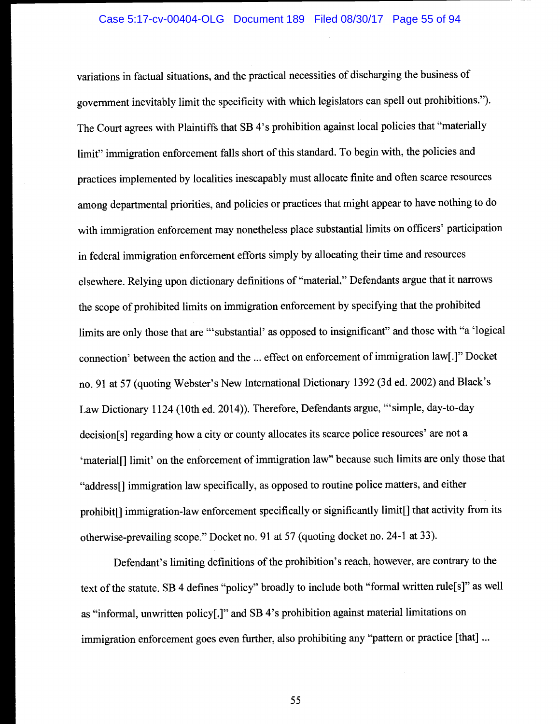variations in factual situations, and the practical necessities of discharging the business of government inevitably limit the specificity with which legislators can spell out prohibitions."). The Court agrees with Plaintiffs that SB 4's prohibition against local policies that "materially limit" immigration enforcement falls short of this standard. To begin with, the policies and practices implemented by localities inescapably must allocate finite and often scarce resources among departmental priorities, and policies or practices that might appear to have nothing to do with immigration enforcement may nonetheless place substantial limits on officers' participation in federal immigration enforcement efforts simply by allocating their time and resources elsewhere. Relying upon dictionary definitions of "material," Defendants argue that it narrows the scope of prohibited limits on immigration enforcement by specifying that the prohibited limits are only those that are "'substantial' as opposed to insignificant" and those with "a 'logical connection' between the action and the ... effect on enforcement of immigration law[.]" Docket no. 91 at 57 (quoting Webster's New International Dictionary 1392 (3d ed. 2002) and Black's Law Dictionary 1124 (10th ed. 2014)). Therefore, Defendants argue, "simple, day-to-day decision[s] regarding how a city or county allocates its scarce police resources' are not a 'material[] limit' on the enforcement of immigration law" because such limits are only those that "address[] immigration law specifically, as opposed to routine police matters, and either prohibit[] immigration-law enforcement specifically or significantly limit[] that activity from its otherwise-prevailing scope." Docket no. 91 at 57 (quoting docket no. 24-1 at 33).

Defendant's limiting definitions of the prohibition's reach, however, are contrary to the text of the statute. SB 4 defines "policy" broadly to include both "formal written rule[sJ" as well as "informal, unwritten policy[,]" and SB 4's prohibition against material limitations on immigration enforcement goes even further, also prohibiting any "pattern or practice [that]...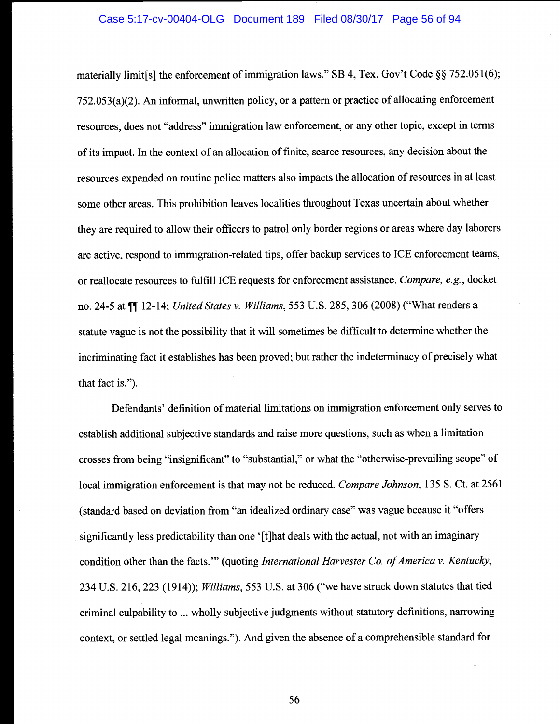materially limit[s] the enforcement of immigration laws." SB 4, Tex. Gov't Code §  $\frac{5}{9}$  752.051(6); 752.053(a)(2). An informal, unwritten policy, or a pattern or practice of allocating enforcement resources, does not "address" immigration law enforcement, or any other topic, except in terms of its impact. In the context of an allocation of finite, scarce resources, any decision about the resources expended on routine police matters also impacts the allocation of resources in at least some other areas. This prohibition leaves localities throughout Texas uncertain about whether they are required to allow their officers to patrol only border regions or areas where day laborers are active, respond to immigration-related tips, offer backup services to ICE enforcement teams, or reallocate resources to fulfill ICE requests for enforcement assistance. Compare, e.g., docket no. 24-5 at  $\P\P$  12-14; United States v. Williams, 553 U.S. 285, 306 (2008) ("What renders a statute vague is not the possibility that it will sometimes be difficult to determine whether the incriminating fact it establishes has been proved; but rather the indeterminacy of precisely what that fact is.")

Defendants' definition of material limitations on immigration enforcement only serves to establish additional subjective standards and raise more questions, such as when a limitation crosses from being "insignificant" to "substantial," or what the "otherwise-prevailing scope" of local immigration enforcement is that may not be reduced. Compare Johnson, 135 S. Ct. at 2561 (standard based on deviation from "an idealized ordinary case" was vague because it "offers significantly less predictability than one '[t]hat deals with the actual, not with an imaginary condition other than the facts." (quoting International Harvester Co. of America v. Kentucky, 234 U.S. 216, 223 (1914)); Williams, 553 U.S. at 306 ("we have struck down statutes that tied criminal culpability to ... wholly subjective judgments without statutory definitions, narrowing context, or settled legal meanings."). And given the absence of a comprehensible standard for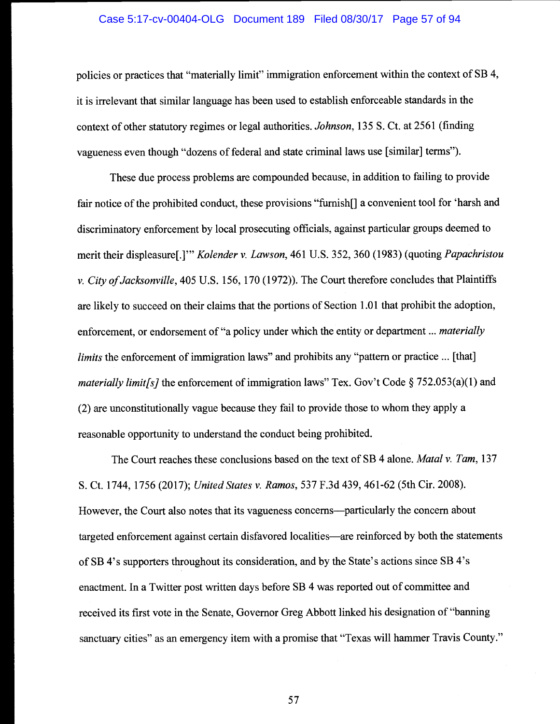### Case 5:17-cv-00404-OLG Document 189 Filed 08/30/17 Page 57 of 94

policies or practices that "materially limit" immigration enforcement within the context of SB 4, it is irrelevant that similar language has been used to establish enforceable standards in the context of other statutory regimes or legal authorities. Johnson, 135 S. Ct. at 2561 (finding vagueness even though "dozens of federal and state criminal laws use [similar] terms").

These due process problems are compounded because, in addition to failing to provide fair notice of the prohibited conduct, these provisions "furnish[] a convenient tool for 'harsh and discriminatory enforcement by local prosecuting officials, against particular groups deemed to merit their displeasure[.]"" Kolender v. Lawson, 461 U.S. 352, 360 (1983) (quoting Papachristou v. City of Jacksonville, 405 U.S. 156, 170 (1972)). The Court therefore concludes that Plaintiffs are likely to succeed on their claims that the portions of Section 1.01 that prohibit the adoption, enforcement, or endorsement of "a policy under which the entity or department ... *materially* limits the enforcement of immigration laws" and prohibits any "pattern or practice ... [that] *materially limit[s]* the enforcement of immigration laws" Tex. Gov't Code § 752.053(a)(1) and (2) are unconstitutionally vague because they fail to provide those to whom they apply a reasonable opportunity to understand the conduct being prohibited.

The Court reaches these conclusions based on the text of SB 4 alone. *Matal v. Tam*, 137 S. Ct. 1744, 1756 (2017); United States v. Ramos, 537 F.3d 439, 461-62 (5th Cir. 2008). However, the Court also notes that its vagueness concerns-particularly the concern about targeted enforcement against certain disfavored localities—are reinforced by both the statements of SB 4's supporters throughout its consideration, and by the State's actions since SB 4's enactment. In a Twitter post written days before SB 4 was reported out of committee and received its first vote in the Senate, Governor Greg Abbott linked his designation of "banning sanctuary cities" as an emergency item with a promise that "Texas will hammer Travis County."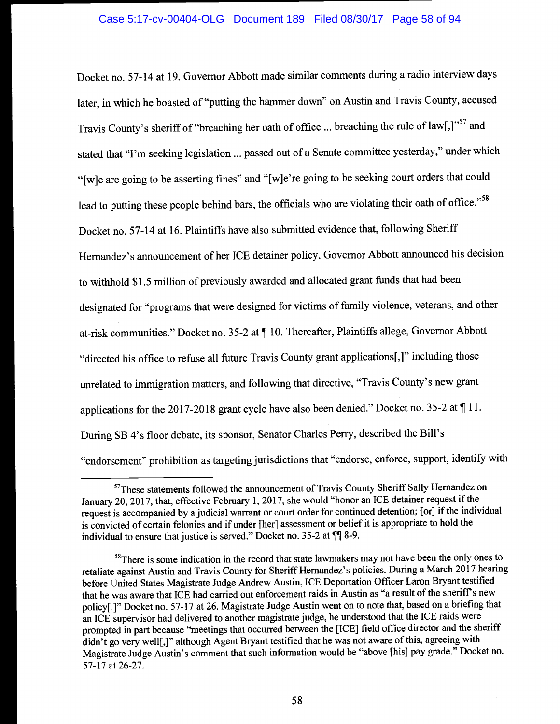Docket no. 57-14 at 19. Governor Abbott made similar comments during a radio interview days later, in which he boasted of "putting the hammer down" on Austin and Travis County, accused Travis County's sheriff of "breaching her oath of office ... breaching the rule of law[,]"57 and stated that "I'm seeking legislation ... passed out of a Senate committee yesterday," under which "[wJe are going to be asserting fines" and "[w]e're going to be seeking court orders that could lead to putting these people behind bars, the officials who are violating their oath of office."<sup>58</sup> Docket no. 57-14 at 16. Plaintiffs have also submitted evidence that, following Sheriff Hernandez's announcement of her ICE detainer policy, Governor Abbott announced his decision to withhold \$1.5 million of previously awarded and allocated grant funds that had been designated for "programs that were designed for victims of family violence, veterans, and other at-risk communities." Docket no. 35-2 at ¶ 10. Thereafter, Plaintiffs allege, Governor Abbott "directed his office to refuse all future Travis County grant applications[,]" including those unrelated to immigration matters, and following that directive, "Travis County's new grant applications for the 2017-2018 grant cycle have also been denied." Docket no. 35-2 at ¶ 11. During SB 4's floor debate, its sponsor, Senator Charles Perry, described the Bill's "endorsement" prohibition as targeting jurisdictions that "endorse, enforce, support, identify with

<sup>&</sup>lt;sup>57</sup>These statements followed the announcement of Travis County Sheriff Sally Hernandez on January 20, 2017, that, effective February 1, 2017, she would "honor an ICE detainer request if the request is accompanied by ajudicial warrant or court order for continued detention; [or] if the individual is convicted of certain felonies and if under [her] assessment or belief it is appropriate to hold the individual to ensure that justice is served." Docket no.  $35-2$  at  $\P$  8-9.

<sup>&</sup>lt;sup>58</sup>There is some indication in the record that state lawmakers may not have been the only ones to retaliate against Austin and Travis County for Sheriff Hernandez's policies. During a March 2017 hearing before United States Magistrate Judge Andrew Austin, ICE Deportation Officer Laron Bryant testified that he was aware that ICE had carried out enforcement raids in Austin as "a result of the sheriff's new policy[.]" Docket no. 57-17 at 26. Magistrate Judge Austin went on to note that, based on a briefing that an ICE supervisor had delivered to another magistrate judge, he understood that the ICE raids were prompted in part because "meetings that occurred between the [ICE] field office director and the sheriff didn't go very well[,]" although Agent Bryant testified that he was not aware of this, agreeing with Magistrate Judge Austin's comment that such information would be "above [his] pay grade." Docket no. 57-17 at 26-27.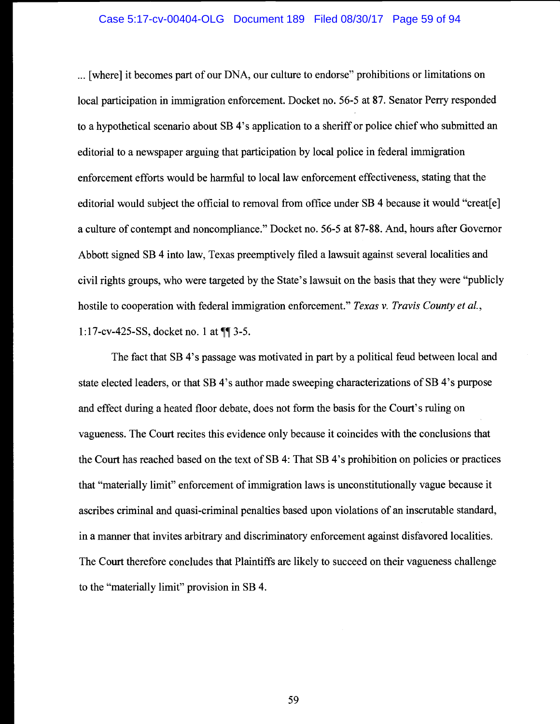#### Case 5:17-cv-00404-OLG Document 189 Filed 08/30/17 Page 59 of 94

{where] it becomes part of our DNA, our culture to endorse" prohibitions or limitations on local participation in immigration enforcement. Docket no. 56-5 at 87. Senator Perry responded to a hypothetical scenario about SB 4's application to a sheriff or police chief who submitted an editorial to a newspaper arguing that participation by local police in federal immigration enforcement efforts would be harmful to local law enforcement effectiveness, stating that the editorial would subject the official to removal from office under SB 4 because it would "creat[e] a culture of contempt and noncompliance." Docket no. 56-5 at 87-88. And, hours after Governor Abbott signed SB 4 into law, Texas preemptively filed a lawsuit against several localities and civil rights groups, who were targeted by the State's lawsuit on the basis that they were "publicly hostile to cooperation with federal immigration enforcement." Texas v. Travis County et al., 1:17-cv-425-SS, docket no. 1 at  $\P$  3-5.

The fact that SB 4's passage was motivated in part by a political feud between local and state elected leaders, or that SB 4's author made sweeping characterizations of SB 4's purpose and effect during a heated floor debate, does not form the basis for the Court's ruling on vagueness. The Court recites this evidence only because it coincides with the conclusions that the Court has reached based on the text of SB 4: That SB 4's prohibition on policies or practices that "materially limit" enforcement of immigration laws is unconstitutionally vague because it ascribes criminal and quasi-criminal penalties based upon violations of an inscrutable standard, in a manner that invites arbitrary and discriminatory enforcement against disfavored localities. The Court therefore concludes that Plaintiffs are likely to succeed on their vagueness challenge to the "materially limit" provision in SB 4.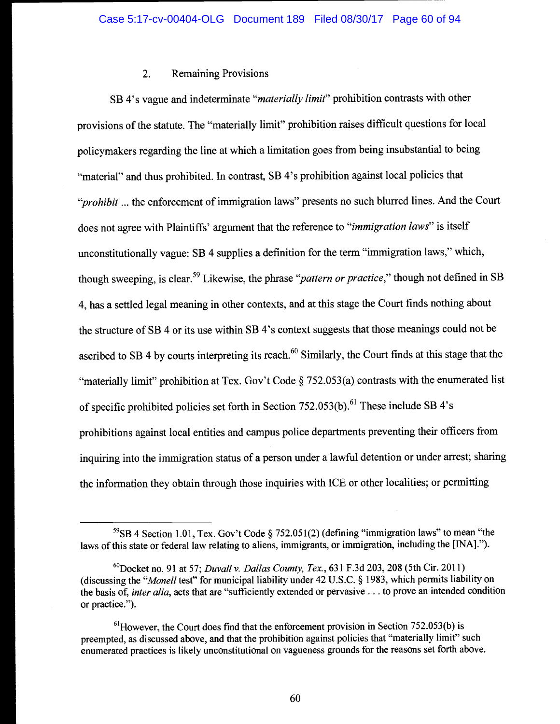# 2. Remaining Provisions

SB 4's vague and indeterminate "*materially limit*" prohibition contrasts with other provisions of the statute. The "materially limit" prohibition raises difficult questions for local policymakers regarding the line at which a limitation goes from being insubstantial to being "material" and thus prohibited. In contrast, SB 4's prohibition against local policies that "*prohibit* ... the enforcement of immigration laws" presents no such blurred lines. And the Court does not agree with Plaintiffs' argument that the reference to "*immigration laws*" is itself unconstitutionally vague: SB 4 supplies a definition for the term "immigration laws," which, though sweeping, is clear.<sup>59</sup> Likewise, the phrase "*pattern or practice*," though not defined in SB 4, has a settled legal meaning in other contexts, and at this stage the Court finds nothing about the structure of SB 4 or its use within SB 4's context suggests that those meanings could not be ascribed to SB 4 by courts interpreting its reach.<sup>60</sup> Similarly, the Court finds at this stage that the "materially limit" prohibition at Tex. Gov't Code § 752.053(a) contrasts with the enumerated list of specific prohibited policies set forth in Section 752.053(b).<sup>61</sup> These include SB 4's prohibitions against local entities and campus police departments preventing their officers from inquiring into the immigration status of a person under a lawful detention or under arrest; sharing the information they obtain through those inquiries with ICE or other localities; or permitting

 $^{59}$ SB 4 Section 1.01, Tex. Gov't Code § 752.051(2) (defining "immigration laws" to mean "the laws of this state or federal law relating to aliens, immigrants, or immigration, including the [INA].").

<sup>&</sup>lt;sup>60</sup>Docket no. 91 at 57; *Duvall v. Dallas County, Tex.*, 631 F.3d 203, 208 (5th Cir. 2011) (discussing the "Monell test" for municipal liability under 42 U.S.C. § 1983, which permits liability on the basis of, *inter alia*, acts that are "sufficiently extended or pervasive . . . to prove an intended condition or practice.").

 $<sup>61</sup>$  However, the Court does find that the enforcement provision in Section 752.053(b) is</sup> preempted, as discussed above, and that the prohibition against policies that "materially limit" such enumerated practices is likely unconstitutional on vagueness grounds for the reasons set forth above.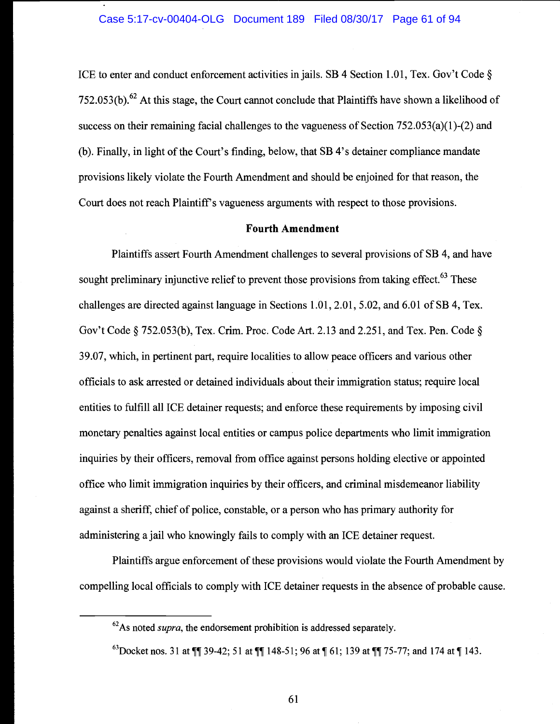ICE to enter and conduct enforcement activities in jails. SB 4 Section 1.01, Tex. Gov't Code § 752.053(b).<sup>62</sup> At this stage, the Court cannot conclude that Plaintiffs have shown a likelihood of success on their remaining facial challenges to the vagueness of Section 752.053(a)(1)-(2) and (b). Finally, in light of the Court's finding, below, that SB 4's detainer compliance mandate provisions likely violate the Fourth Amendment and should be enjoined for that reason, the Court does not reach Plaintiff's vagueness arguments with respect to those provisions.

# Fourth Amendment

Plaintiffs assert Fourth Amendment challenges to several provisions of SB 4, and have sought preliminary injunctive relief to prevent those provisions from taking effect.<sup>63</sup> These challenges are directed against language in Sections 1.01, 2.01, 5.02, and 6.01 of SB 4, Tex. Gov't Code § 752.053(b), Tex. Crim. Proc. Code Art. 2.13 and 2.25 1, and Tex. Pen. Code § 39.07, which, in pertinent part, require localities to allow peace officers and various other officials to ask arrested or detained individuals about their immigration status; require local entities to fulfill all ICE detainer requests; and enforce these requirements by imposing civil monetary penalties against local entities or campus police departments who limit immigration inquiries by their officers, removal from office against persons holding elective or appointed office who limit immigration inquiries by their officers, and criminal misdemeanor liability against a sheriff, chief of police, constable, or a person who has primary authority for administering a jail who knowingly fails to comply with an ICE detainer request.

Plaintiffs argue enforcement of these provisions would violate the Fourth Amendment by compelling local officials to comply with ICE detainer requests in the absence of probable cause.

 $^{62}$ As noted *supra*, the endorsement prohibition is addressed separately.

<sup>&</sup>lt;sup>63</sup>Docket nos. 31 at  $\P$  39-42; 51 at  $\P$  148-51; 96 at  $\P$  61; 139 at  $\P$   $\P$  75-77; and 174 at  $\P$  143.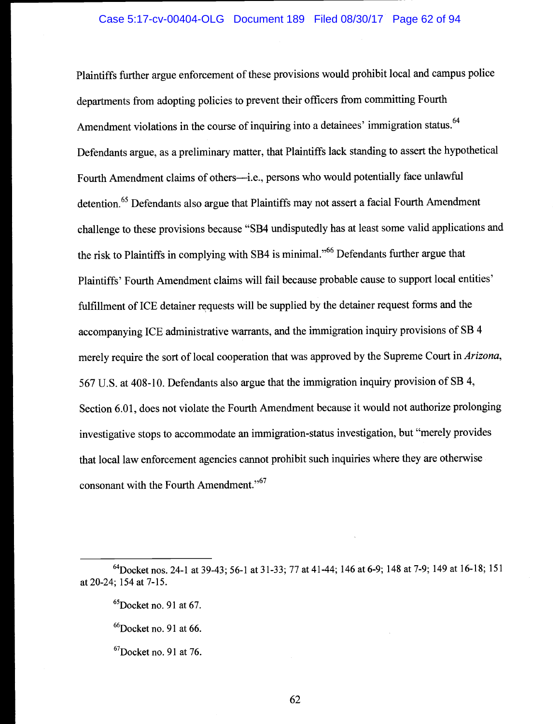Plaintiffs further argue enforcement of these provisions would prohibit local and campus police departments from adopting policies to prevent their officers from committing Fourth Amendment violations in the course of inquiring into a detainees' immigration status.<sup>64</sup> Defendants argue, as a preliminary matter, that Plaintiffs lack standing to assert the hypothetical Fourth Amendment claims of others--i.e., persons who would potentially face unlawful detention.<sup>65</sup> Defendants also argue that Plaintiffs may not assert a facial Fourth Amendment challenge to these provisions because "SB4 undisputedly has at least some valid applications and the risk to Plaintiffs in complying with SB4 is minimal."66 Defendants further argue that Plaintiffs' Fourth Amendment claims will fail because probable cause to support local entities' fulfillment of ICE detainer requests will be supplied by the detainer request forms and the accompanying ICE administrative warrants, and the immigration inquiry provisions of SB 4 merely require the sort of local cooperation that was approved by the Supreme Court in Arizona, 567 U.S. at 408-10. Defendants also argue that the immigration inquiry provision of SB 4, Section 6.01, does not violate the Fourth Amendment because it would not authorize prolonging investigative stops to accommodate an immigration-status investigation, but "merely provides that local law enforcement agencies cannot prohibit such inquiries where they are otherwise consonant with the Fourth Amendment."<sup>67</sup>

<sup>64</sup>Docket nos. 24-1 at 39-43; 56-1 at 31-33; 77 at 41-44; 146 at 6-9; 148 at 7-9; 149 at 16-18; 151 at 20-24; 154 at 7-15.

 ${}^{65}$ Docket no. 91 at 67.

 $^{66}$ Docket no. 91 at 66.

 ${}^{67}$ Docket no. 91 at 76.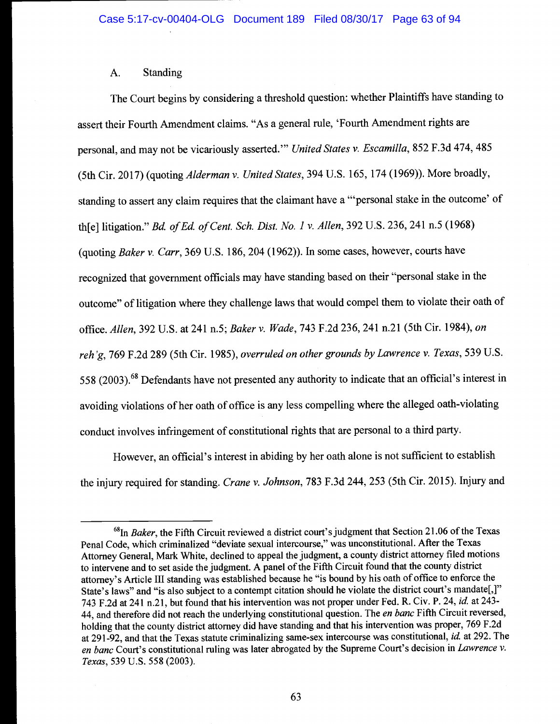# A. Standing

The Court begins by considering a threshold question: whether Plaintiffs have standing to assert their Fourth Amendment claims. "As a general rule, 'Fourth Amendment rights are personal, and may not be vicariously asserted." United States v. Escamilla, 852 F.3d 474, 485 (5th Cir. 2017) (quoting Alderman v. United States, 394 U.S. 165, 174 (1969)). More broadly, standing to assert any claim requires that the claimant have a "personal stake in the outcome' of th[e] litigation." Bd. of Ed. of Cent. Sch. Dist. No. 1 v. Allen, 392 U.S. 236, 241 n.5 (1968) (quoting Baker v. Carr, 369 U.S. 186, 204 (1962)). In some cases, however, courts have recognized that government officials may have standing based on their "personal stake in the outcome" of litigation where they challenge laws that would compel them to violate their oath of office. Allen, 392 U.S. at 241 n.5; Baker v. Wade, 743 F.2d 236, 241 n.21 (5th Cir. 1984), on reh'g, 769 F.2d 289 (5th Cir. 1985), overruled on other grounds by Lawrence v. Texas, 539 U.S. 558 (2003).68 Defendants have not presented any authority to indicate that an official's interest in avoiding violations of her oath of office is any less compelling where the alleged oath-violating conduct involves infringement of constitutional rights that are personal to a third party.

However, an official's interest in abiding by her oath alone is not sufficient to establish the injury required for standing. Crane v. Johnson, 783 F.3d 244, 253 (5th Cir. 2015). Injury and

 $^{68}$ In Baker, the Fifth Circuit reviewed a district court's judgment that Section 21.06 of the Texas Penal Code, which criminalized "deviate sexual intercourse," was unconstitutional. After the Texas Attorney General, Mark White, declined to appeal the judgment, a county district attorney filed motions to intervene and to set aside the judgment. A panel of the Fifth Circuit found that the county district attorney's Article III standing was established because he "is bound by his oath of office to enforce the State's laws" and "is also subject to a contempt citation should he violate the district court's mandate[,]" 743 F.2d at 241 n.2l, but found that his intervention was not proper under Fed. R. Civ. P. 24, id. at 243- 44, and therefore did not reach the underlying constitutional question. The en banc Fifth Circuit reversed, holding that the county district attorney did have standing and that his intervention was proper, 769 F.2d at 291-92, and that the Texas statute criminalizing same-sex intercourse was constitutional, id at 292. The en banc Court's constitutional ruling was later abrogated by the Supreme Court's decision in Lawrence v. Texas, 539 U.S. 558 (2003).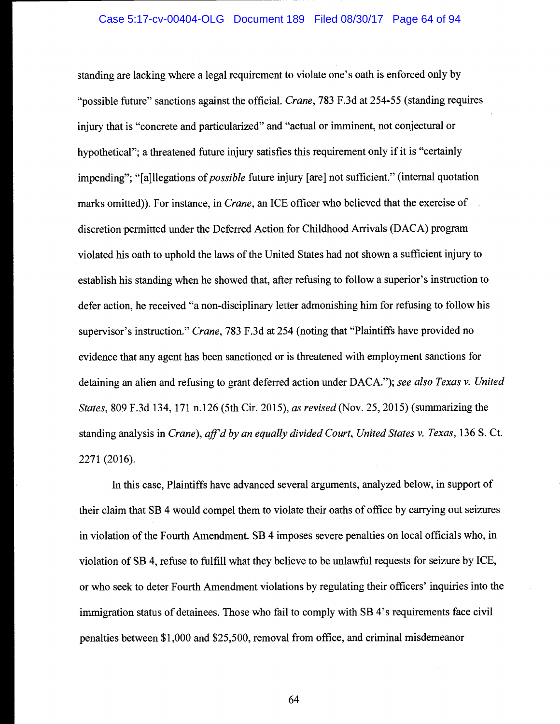standing are lacking where a legal requirement to violate one's oath is enforced only by "possible future" sanctions against the official. *Crane*, 783 F.3d at 254-55 (standing requires injury that is "concrete and particularized" and "actual or imminent, not conjectural or hypothetical"; a threatened future injury satisfies this requirement only if it is "certainly impending"; "[a]llegations of *possible* future injury [are] not sufficient." (internal quotation marks omitted)). For instance, in *Crane*, an ICE officer who believed that the exercise of discretion permitted under the Deferred Action for Childhood Arrivals (DACA) program violated his oath to uphold the laws of the United States had not shown a sufficient injury to establish his standing when he showed that, after refusing to follow a superior's instruction to defer action, he received "a non-disciplinary letter admonishing him for refusing to follow his supervisor's instruction." Crane, 783 F.3d at 254 (noting that "Plaintiffs have provided no evidence that any agent has been sanctioned or is threatened with employment sanctions for detaining an alien and refusing to grant deferred action under DACA."); see also Texas v. United States, 809 F.3d 134, 171 n.126 (5th Cir. 2015), as revised (Nov. 25, 2015) (summarizing the standing analysis in Crane), aff'd by an equally divided Court, United States v. Texas, 136 S. Ct. 2271 (2016).

In this case, Plaintiffs have advanced several arguments, analyzed below, in support of their claim that SB 4 would compel them to violate their oaths of office by carrying out seizures in violation of the Fourth Amendment. SB 4 imposes severe penalties on local officials who, in violation of SB 4, refuse to fulfill what they believe to be unlawful requests for seizure by ICE, or who seek to deter Fourth Amendment violations by regulating their officers' inquiries into the immigration status of detainees. Those who fail to comply with SB 4's requirements face civil penalties between \$1,000 and \$25,500, removal from office, and criminal misdemeanor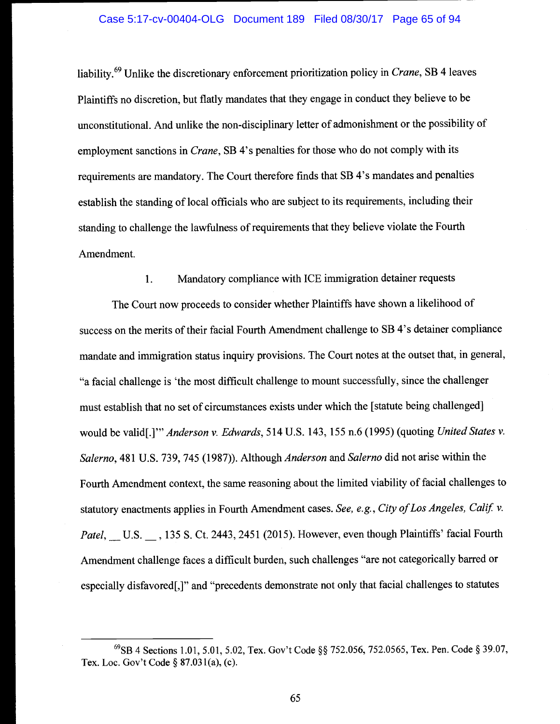#### Case 5:17-cv-00404-OLG Document 189 Filed 08/30/17 Page 65 of 94

liability.<sup>69</sup> Unlike the discretionary enforcement prioritization policy in *Crane*, SB 4 leaves Plaintiffs no discretion, but flatly mandates that they engage in conduct they believe to be unconstitutional. And unlike the non-disciplinary letter of admonishment or the possibility of employment sanctions in *Crane*, SB 4's penalties for those who do not comply with its requirements are mandatory. The Court therefore finds that SB 4's mandates and penalties establish the standing of local officials who are subject to its requirements, including their standing to challenge the lawfulness of requirements that they believe violate the Fourth Amendment.

1. Mandatory compliance with ICE immigration detainer requests

The Court now proceeds to consider whether Plaintiffs have shown a likelihood of success on the merits of their facial Fourth Amendment challenge to SB 4's detainer compliance mandate and immigration status inquiry provisions. The Court notes at the outset that, in general, "a facial challenge is 'the most difficult challenge to mount successfully, since the challenger must establish that no set of circumstances exists under which the [statute being challenged] would be valid[.]" Anderson v. Edwards, 514 U.S. 143, 155 n.6 (1995) (quoting United States v. Salerno, 481 U.S. 739, 745 (1987)). Although Anderson and Salerno did not arise within the Fourth Amendment context, the same reasoning about the limited viability of facial challenges to statutory enactments applies in Fourth Amendment cases. See, e.g., City of Los Angeles, Calif. v. Patel, U.S. 135 S. Ct. 2443, 2451 (2015). However, even though Plaintiffs' facial Fourth Amendment challenge faces a difficult burden, such challenges "are not categorically barred or especially disfavored[,]" and "precedents demonstrate not only that facial challenges to statutes

<sup>&</sup>lt;sup>69</sup>SB 4 Sections 1.01, 5.01, 5.02, Tex. Gov't Code §§ 752.056, 752.0565, Tex. Pen. Code § 39.07, Tex. Loc. Gov't Code § 87.031(a), (c).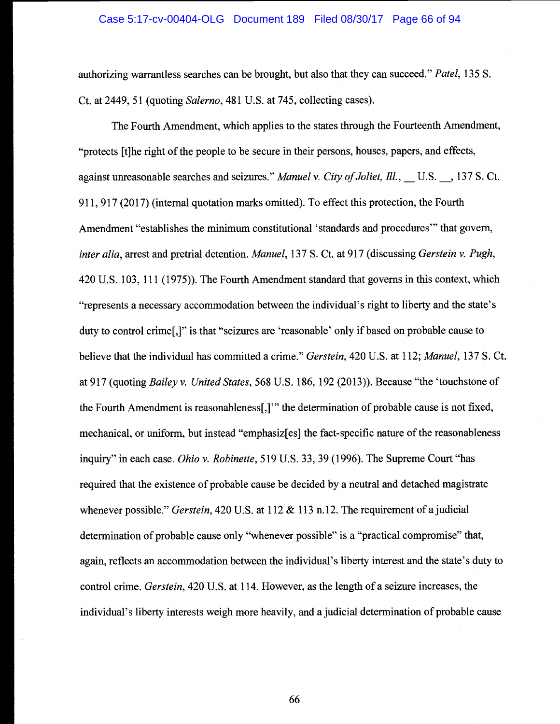authorizing warrantless searches can be brought, but also that they can succeed." Patel, 135 S. Ct. at 2449, 51 (quoting Salerno, 481 U.S. at 745, collecting cases).

The Fourth Amendment, which applies to the states through the Fourteenth Amendment, "protects {t]he right of the people to be secure in their persons, houses, papers, and effects, against unreasonable searches and seizures." Manuel v. City of Joliet, Ill., U.S., 137 S. Ct. 911, 917 (2017) (internal quotation marks omitted). To effect this protection, the Fourth Amendment "establishes the minimum constitutional 'standards and procedures" that govern, inter alia, arrest and pretrial detention. Manuel, 137 S. Ct. at 917 (discussing Gerstein v. Pugh, 420 U.S. 103, 111 (1975)). The Fourth Amendment standard that governs in this context, which "represents a necessary accommodation between the individual's right to liberty and the state's duty to control crime[,]" is that "seizures are 'reasonable' only if based on probable cause to believe that the individual has committed a crime." Gerstein, 420 U.S. at 112; Manuel, 137 S. Ct. at 917 (quoting Bailey v. United States, 568 U.S. 186, 192 (2013)). Because "the 'touchstone of the Fourth Amendment is reasonableness[,]" the determination of probable cause is not fixed, mechanical, or uniform, but instead "emphasiz[es] the fact-specific nature of the reasonableness inquiry" in each case. *Ohio v. Robinette*, 519 U.S. 33, 39 (1996). The Supreme Court "has required that the existence of probable cause be decided by a neutral and detached magistrate whenever possible." Gerstein, 420 U.S. at 112  $& 113$  n.12. The requirement of a judicial determination of probable cause only "whenever possible" is a "practical compromise" that, again, reflects an accommodation between the individual's liberty interest and the state's duty to control crime. Gerstein, 420 U.S. at 114. However, as the length of a seizure increases, the individual's liberty interests weigh more heavily, and a judicial determination of probable cause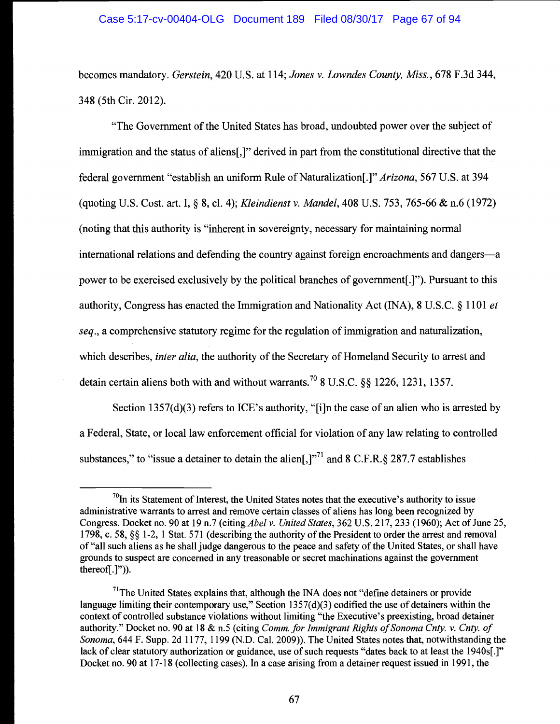## Case 5:17-cv-00404-OLG Document 189 Filed 08/30/17 Page 67 of 94

becomes mandatory. Gerstein, 420 U.S. at 114; Jones v. Lowndes County, Miss., 678 F.3d 344, 348 (5th Cir. 2012).

"The Government of the United States has broad, undoubted power over the subject of immigration and the status of aliens[,]" derived in part from the constitutional directive that the federal government "establish an uniform Rule of Naturalization[.]" Arizona, 567 U.S. at 394 (quoting U.S. Cost. art. I, § 8, ci. 4); Kleindienst v. Mandel, 408 U.S. 753, 765-66 & n.6 (1972) (noting that this authority is "inherent in sovereignty, necessary for maintaining normal international relations and defending the country against foreign encroachments and dangers—a power to be exercised exclusively by the political branches of government[.]"). Pursuant to this authority, Congress has enacted the Immigration and Nationality Act (INA), 8 U.S.C. § 1101 et seq., a comprehensive statutory regime for the regulation of immigration and naturalization, which describes, *inter alia*, the authority of the Secretary of Homeland Security to arrest and detain certain aliens both with and without warrants.<sup>70</sup> 8 U.S.C. § § 1226, 1231, 1357.

Section 1357(d)(3) refers to ICE's authority, "[i]n the case of an alien who is arrested by a Federal, State, or local law enforcement official for violation of any law relating to controlled substances," to "issue a detainer to detain the alien $[.]^{71}$  and 8 C.F.R.  $\&$  287.7 establishes

 $^{70}$ In its Statement of Interest, the United States notes that the executive's authority to issue administrative warrants to arrest and remove certain classes of aliens has long been recognized by Congress. Docket no. 90 at 19 n.7 (citing *Abel v. United States*, 362 U.S. 217, 233 (1960); Act of June 25, 1798, c. 58, § 1-2, 1 Stat. 571 (describing the authority of the President to order the arrest and removal of "all such aliens as he shall judge dangerous to the peace and safety of the United States, or shall have grounds to suspect are concerned in any treasonable or secret machinations against the government thereofi.]")).

 $<sup>71</sup>$ The United States explains that, although the INA does not "define detainers or provide"</sup> language limiting their contemporary use," Section 1357(d)(3) codified the use of detainers within the context of controlled substance violations without limiting "the Executive's preexisting, broad detainer authority." Docket no. 90 at 18 & n.5 (citing Comm. for Immigrant Rights of Sonoma Cnty. v. Cnty. of Sonoma, 644 F. Supp. 2d 1177, 1199 (N.D. Cal. 2009)). The United States notes that, notwithstanding the lack of clear statutory authorization or guidance, use of such requests "dates back to at least the 1940s[.]" Docket no. 90 at 17-18 (collecting cases). In a case arising from a detainer request issued in 1991, the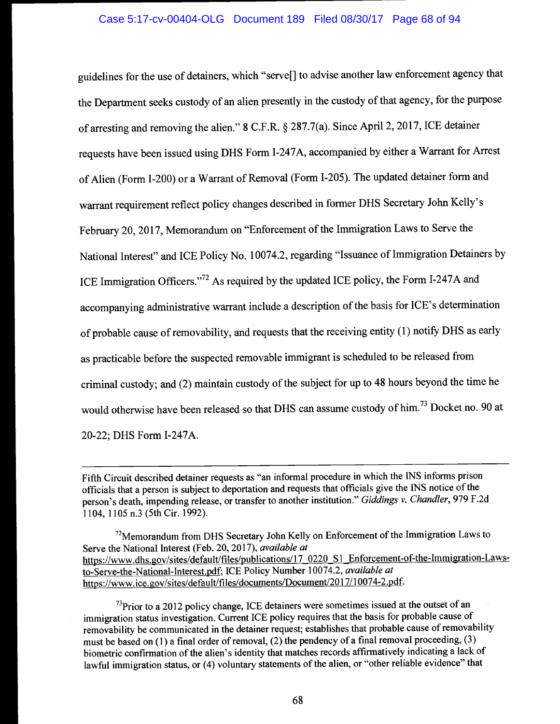# Case 5:17-cv-00404-OLG Document 189 Filed 08/30/17 Page 68 of 94

guidelines for the use of detainers, which "serve[J to advise another law enforcement agency that the Department seeks custody of an alien presently in the custody of that agency, for the purpose of arresting and removing the alien." 8 C.F.R. § 287.7(a). Since April 2, 2017, ICE detainer requests have been issued using DHS Form I-247A, accompanied by either a Warrant for Arrest of Alien (Form 1-200) or a Warrant of Removal (Form 1-205). The updated detainer form and warrant requirement reflect policy changes described in former DHS Secretary John Kelly's February 20, 2017, Memorandum on "Enforcement of the Immigration Laws to Serve the National Interest" and ICE Policy No. 10074.2, regarding "Issuance of Immigration Detainers by ICE Immigration Officers."72 As required by the updated ICE policy, the Form I-247A and accompanying administrative warrant include a description of the basis for ICE's determination of probable cause of removability, and requests that the receiving entity (1) notify DHS as early as practicable before the suspected removable immigrant is scheduled to be released from criminal custody; and (2) maintain custody of the subject for up to 48 hours beyond the time he would otherwise have been released so that DHS can assume custody of him.<sup>73</sup> Docket no. 90 at 20-22; DHS Form I-247A.

 $73$ Prior to a 2012 policy change, ICE detainers were sometimes issued at the outset of an immigration status investigation. Current ICE policy requires that the basis for probable cause of removability be communicated in the detainer request; establishes that probable cause of removability must be based on (1) a final order of removal, (2) the pendency of a final removal proceeding, (3) biometric confirmation of the alien's identity that matches records affirmatively indicating a lack of lawful immigration status, or (4) voluntary statements of the alien, or "other reliable evidence" that

Fifth Circuit described detainer requests as "an informal procedure in which the INS informs prison officials that a person is subject to deportation and requests that officials give the iNS notice of the person's death, impending release, or transfer to another institution." Giddings v. Chandler, 979 F.2d 1104, 1105 n.3 (5th Cir. 1992).

<sup>72</sup>Memorandum from DHS Secretary John Kelly on Enforcement of the Immigration Laws to Serve the National Interest (Feb. 20, 2017), available at https://www.dhs.gov/sites/default/files/publications/17\_0220\_S1\_Enforcement-of-the-Immigration-Lawsto-Serve-the-National-Interest.pdf; ICE Policy Number 10074.2, available at https://www.ice.gov/sites/default/files/documents/Document/2017/10074-2.pdf.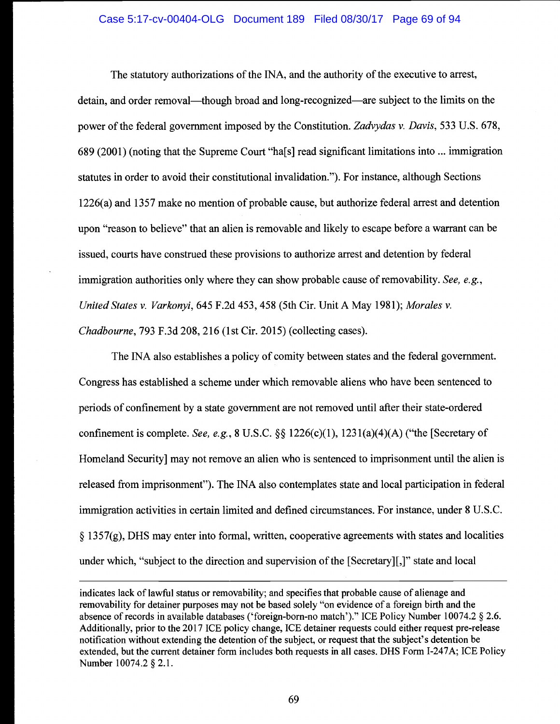#### Case 5:17-cv-00404-OLG Document 189 Filed 08/30/17 Page 69 of 94

The statutory authorizations of the INA, and the authority of the executive to arrest, detain, and order removal—though broad and long-recognized—are subject to the limits on the power of the federal government imposed by the Constitution. Zadvydas v. Davis, 533 U.S. 678, 689 (2001) (noting that the Supreme Court "ha[s] read significant limitations into ... immigration statutes in order to avoid their constitutional invalidation."). For instance, although Sections 1226(a) and 1357 make no mention of probable cause, but authorize federal arrest and detention upon "reason to believe" that an alien is removable and likely to escape before a warrant can be issued, courts have construed these provisions to authorize arrest and detention by federal immigration authorities only where they can show probable cause of removability. See, e.g., United States v. Varkonyi, 645 F.2d 453, 458 (5th Cir. Unit A May 1981); Morales v. Chadbourne, 793 F.3d 208, 216 (1st Cir. 2015) (collecting cases).

The INA also establishes a policy of comity between states and the federal government. Congress has established a scheme under which removable aliens who have been sentenced to periods of confinement by a state government are not removed until after their state-ordered confinement is complete. See, e.g.,  $8 \text{ U.S.C.}$   $\S\S 1226(c)(1)$ ,  $1231(a)(4)(A)$  ("the [Secretary of Homeland Security] may not remove an alien who is sentenced to imprisonment until the alien is released from imprisonment"). The INA also contemplates state and local participation in federal immigration activities in certain limited and defined circumstances. For instance, under 8 U.S.C.  $\S$  1357(g), DHS may enter into formal, written, cooperative agreements with states and localities under which, "subject to the direction and supervision of the [Secretary][,]" state and local

indicates lack of lawful status or removability; and specifies that probable cause of alienage and removability for detainer purposes may not be based solely "on evidence of a foreign birth and the absence of records in available databases ('foreign-born-no match')." ICE Policy Number 10074.2 § 2.6. Additionally, prior to the 2017 ICE policy change, ICE detainer requests could either request pre-release notification without extending the detention of the subject, or request that the subject's detention be extended, but the current detainer form includes both requests in all cases. DHS Form I-247A; ICE Policy Number 10074.2 § 2.1.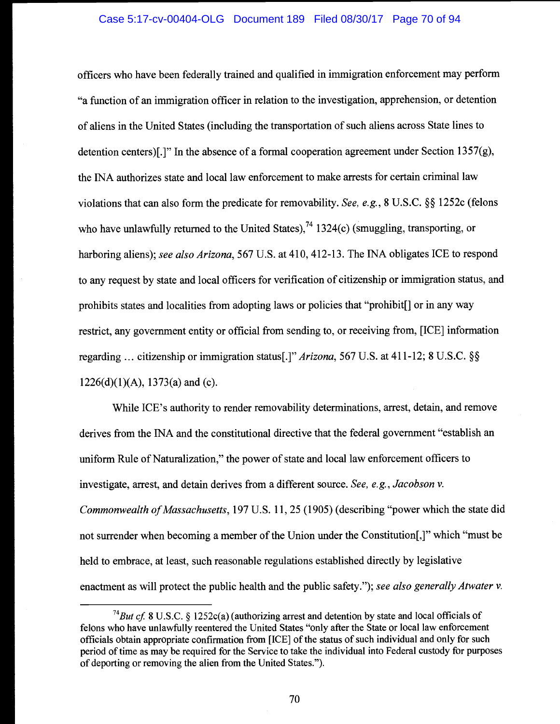officers who have been federally trained and qualified in immigration enforcement may perform "a function of an immigration officer in relation to the investigation, apprehension, or detention of aliens in the United States (including the transportation of such aliens across State lines to detention centers)[.]" In the absence of a formal cooperation agreement under Section  $1357(g)$ , the NA authorizes state and local law enforcement to make arrests for certain criminal law violations that can also form the predicate for removability. See, e.g., 8 U.S.C. §§ 1252c (felons who have unlawfully returned to the United States),<sup>74</sup> 1324(c) (smuggling, transporting, or harboring aliens); see also Arizona, 567 U.S. at 410, 412-13. The INA obligates ICE to respond to any request by state and local officers for verification of citizenship or immigration status, and prohibits states and localities from adopting laws or policies that "prohibit[} or in any way restrict, any government entity or official from sending to, or receiving from, [ICE] information regarding ... citizenship or immigration status[.]" Arizona, 567 U.S. at 411-12; 8 U.S.C. §§  $1226(d)(1)(A)$ ,  $1373(a)$  and (c).

While ICE's authority to render removability determinations, arrest, detain, and remove derives from the NA and the constitutional directive that the federal government "establish an uniform Rule of Naturalization," the power of state and local law enforcement officers to investigate, arrest, and detain derives from a different source. See, e.g., Jacobson v. Commonwealth of Massachusetts, 197 U.S. 11, 25 (1905) (describing "power which the state did not surrender when becoming a member of the Union under the Constitution[,]" which "must be held to embrace, at least, such reasonable regulations established directly by legislative enactment as will protect the public health and the public safety."); see also generally Atwater v.

<sup>&</sup>lt;sup>74</sup>But cf. 8 U.S.C. § 1252c(a) (authorizing arrest and detention by state and local officials of felons who have unlawfully reentered the United States "only after the State or local law enforcement officials obtain appropriate confirmation from [ICE] of the status of such individual and only for such period of time as may be required for the Service to take the individual into Federal custody for purposes of deporting or removing the alien from the United States.").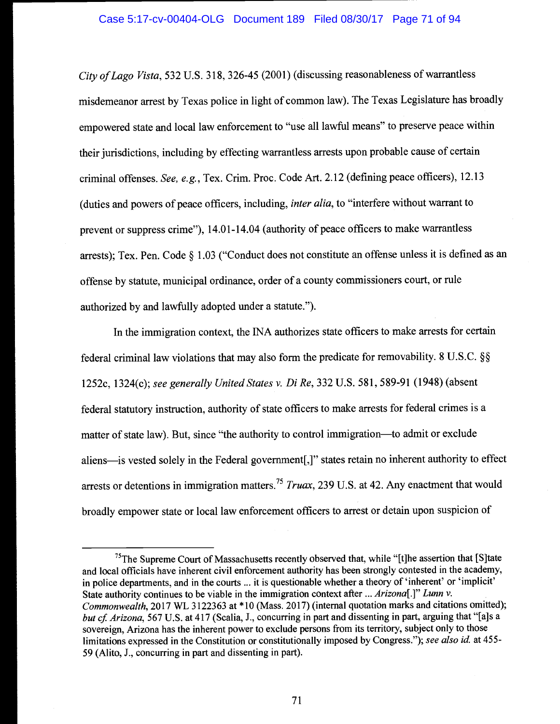City of Lago Vista, 532 U.S. 318, 326-45 (2001) (discussing reasonableness of warrantless misdemeanor arrest by Texas police in light of common law). The Texas Legislature has broadly empowered state and local law enforcement to "use all lawful means" to preserve peace within their jurisdictions, including by effecting warrantless arrests upon probable cause of certain criminal offenses. See, e.g., Tex. Crim. Proc. Code Art. 2.12 (defining peace officers), 12.13 (duties and powers of peace officers, including, inter alia, to "interfere without warrant to prevent or suppress crime"), 14.01-14.04 (authority of peace officers to make warrantless arrests); Tex. Pen. Code § 1.03 ("Conduct does not constitute an offense unless it is defined as an offense by statute, municipal ordinance, order of a county commissioners court, or rule authorized by and lawfully adopted under a statute.").

In the immigration context, the NA authorizes state officers to make arrests for certain federal criminal law violations that may also form the predicate for removability. 8 U.S.C. § 1252c, 1324(c); see generally United States v. DiRe, 332 U.S. 581, 589-91 (1948) (absent federal statutory instruction, authority of state officers to make arrests for federal crimes is a matter of state law). But, since "the authority to control immigration--to admit or exclude aliens-is vested solely in the Federal government[,]" states retain no inherent authority to effect arrests or detentions in immigration matters.<sup>75</sup> Truax, 239 U.S. at 42. Any enactment that would broadly empower state or local law enforcement officers to arrest or detain upon suspicion of

<sup>&</sup>lt;sup>75</sup>The Supreme Court of Massachusetts recently observed that, while "[t]he assertion that [S]tate and local officials have inherent civil enforcement authority has been strongly contested in the academy, in police departments, and in the courts ... it is questionable whether a theory of 'inherent' or 'implicit' State authority continues to be viable in the immigration context after ... Arizona<sup>[1]</sup> Lunn v. Commonwealth, 2017 WL 3122363 at \* 10 (Mass. 2017) (internal quotation marks and citations omitted); but cf. Arizona, 567 U.S. at 417 (Scalia, J., concurring in part and dissenting in part, arguing that "[a]s a sovereign, Arizona has the inherent power to exclude persons from its territory, subject only to those limitations expressed in the Constitution or constitutionally imposed by Congress."); see also id. at 455-59 (Alito, J., concurring in part and dissenting in part).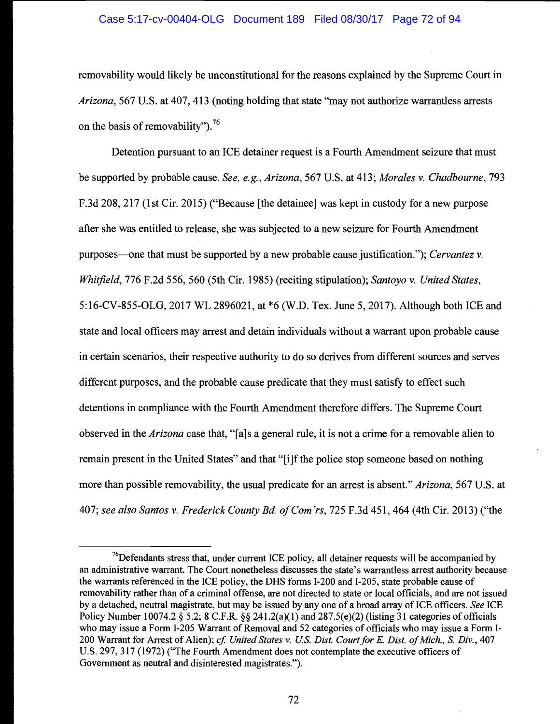## Case 5:17-cv-00404-OLG Document 189 Filed 08/30/17 Page 72 of 94

removability would likely be unconstitutional for the reasons explained by the Supreme Court in Arizona, 567 U.S. at 407, 413 (noting holding that state "may not authorize warrantless arrests on the basis of removability").<sup>76</sup>

Detention pursuant to an ICE detainer request is a Fourth Amendment seizure that must be supported by probable cause. See, e.g., Arizona, 567 U.S. at 413; Morales v. Chadbourne, 793 F.3d 208, 217 (1st Cir. 2015) ("Because [the detainee] was kept in custody for a new purpose after she was entitled to release, she was subjected to a new seizure for Fourth Amendment purposes—one that must be supported by a new probable cause justification."); Cervantez v. Whitfield, 776 F.2d 556, 560 (5th Cir. 1985) (reciting stipulation); Santoyo v. United States, 5:16-CV-855-OLG, 2017 WL 2896021, at \*6 (W.D. Tex. June 5, 2017). Although both ICE and state and local officers may arrest and detain individuals without a warrant upon probable cause in certain scenarios, their respective authority to do so derives from different sources and serves different purposes, and the probable cause predicate that they must satisfy to effect such detentions in compliance with the Fourth Amendment therefore differs. The Supreme Court observed in the Arizona case that, "[a]s a general rule, it is not a crime for a removable alien to remain present in the United States" and that "[i]f the police stop someone based on nothing more than possible removability, the usual predicate for an arrest is absent." Arizona, 567 U.S. at 407; see also Santos v. Frederick County Bd. of Com'rs, 725 F.3d 451, 464 (4th Cir. 2013) ("the

 $76$ Defendants stress that, under current ICE policy, all detainer requests will be accompanied by an administrative warrant. The Court nonetheless discusses the state's warrantless arrest authority because the warrants referenced in the ICE policy, the DHS forms 1-200 and 1-205, state probable cause of removability rather than of a criminal offense, are not directed to state or local officials, and are not issued by a detached, neutral magistrate, but may be issued by any one of a broad array of ICE officers. See ICE Policy Number 10074.2  $\S$  5.2; 8 C.F.R.  $\S$  $\S$  241.2(a)(1) and 287.5(e)(2) (listing 31 categories of officials who may issue a Form I-205 Warrant of Removal and 52 categories of officials who may issue a Form I-200 Warrant for Arrest of Alien); cf. United States v. U.S. Dist. Court for E. Dist. of Mich., S. Div., 407 U.s. 297, 317 (1972) ("The Fourth Amendment does not contemplate the executive officers of Government as neutral and disinterested magistrates.").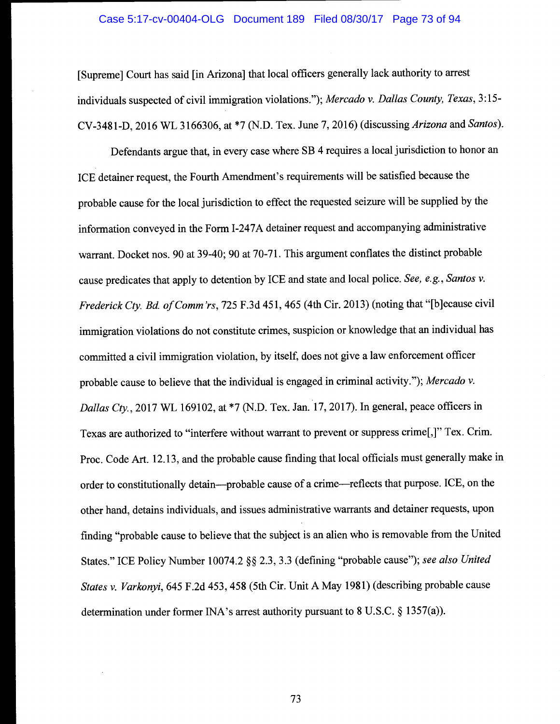#### Case 5:17-cv-00404-OLG Document 189 Filed 08/30/17 Page 73 of 94

[Supreme] Court has said [in Arizona] that local officers generally lack authority to arrest individuals suspected of civil immigration violations."); Mercado v. Dallas County, Texas, 3:15- CV-3481-D, 2016 WL 3166306, at \*7 (N.D. Tex. June 7, 2016) (discussing Arizona and Santos).

Defendants argue that, in every case where SB 4 requires a local jurisdiction to honor an ICE detainer request, the Fourth Amendment's requirements will be satisfied because the probable cause for the local jurisdiction to effect the requested seizure will be supplied by the information conveyed in the Form I-247A detainer request and accompanying administrative warrant. Docket nos. 90 at 39-40; 90 at 70-71. This argument conflates the distinct probable cause predicates that apply to detention by ICE and state and local police. See, e.g., Santos v. Frederick Cty. Bd. of Comm'rs, 725 F.3d 451, 465 (4th Cir. 2013) (noting that "[b]ecause civil immigration violations do not constitute crimes, suspicion or knowledge that an individual has committed a civil immigration violation, by itself, does not give a law enforcement officer probable cause to believe that the individual is engaged in criminal activity."); Mercado v. Dallas Cty., 2017 WL 169102, at \*7 (N.D. Tex. Jan. 17, 2017). In general, peace officers in Texas are authorized to "interfere without warrant to prevent or suppress crime[,]" Tex. Crim. Proc. Code Art. 12.13, and the probable cause finding that local officials must generally make in order to constitutionally detain—probable cause of a crime—reflects that purpose. ICE, on the other hand, detains individuals, and issues administrative warrants and detainer requests, upon finding "probable cause to believe that the subject is an alien who is removable from the United States." ICE Policy Number 10074.2 §§ 2.3, 3.3 (defining "probable cause"); see also United States v. Varkonyi, 645 F.2d 453, 458 (5th Cir. Unit A May 1981) (describing probable cause determination under former INA's arrest authority pursuant to 8 U.S.C. § 1357(a)).

73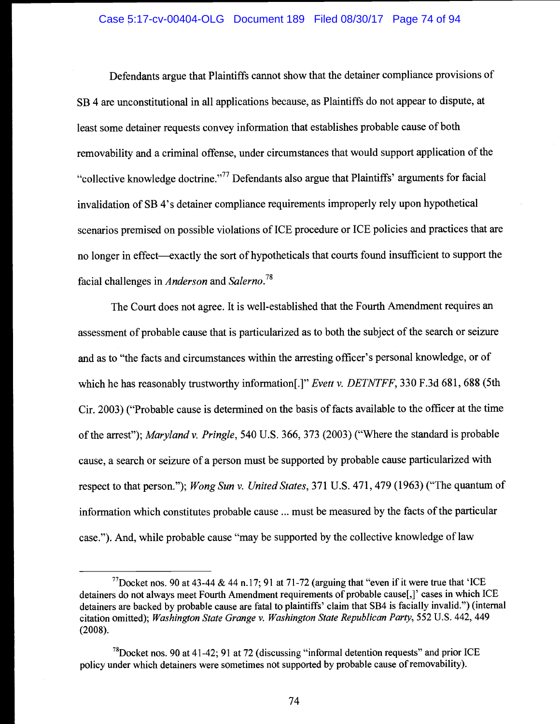# Case 5:17-cv-00404-OLG Document 189 Filed 08/30/17 Page 74 of 94

Defendants argue that Plaintiffs cannot show that the detainer compliance provisions of SB 4 are unconstitutional in all applications because, as Plaintiffs do not appear to dispute, at least some detainer requests convey information that establishes probable cause of both removability and a criminal offense, under circumstances that would support application of the "collective knowledge doctrine."77 Defendants also argue that Plaintiffs' arguments for facial invalidation of SB 4's detainer compliance requirements improperly rely upon hypothetical scenarios premised on possible violations of ICE procedure or ICE policies and practices that are no longer in effect—exactly the sort of hypotheticals that courts found insufficient to support the facial challenges in Anderson and Salerno.<sup>78</sup>

The Court does not agree. It is well-established that the Fourth Amendment requires an assessment of probable cause that is particularized as to both the subject of the search or seizure and as to "the facts and circumstances within the arresting officer's personal knowledge, or of which he has reasonably trustworthy information<sup>[1]"</sup> *Evett v. DETNTFF*, 330 F.3d 681, 688 (5th Cir. 2003) ("Probable cause is determined on the basis of facts available to the officer at the time of the arrest"); Maryland v. Pringle, 540 U.S. 366, 373 (2003) ("Where the standard is probable cause, a search or seizure of a person must be supported by probable cause particularized with respect to that person."); Wong Sun v. United States, 371 U.S. 471, 479 (1963) ("The quantum of information which constitutes probable cause ... must be measured by the facts of the particular case."). And, while probable cause "may be supported by the collective knowledge of law

<sup>&</sup>lt;sup>77</sup>Docket nos. 90 at 43-44 & 44 n.17; 91 at 71-72 (arguing that "even if it were true that 'ICE detainers do not always meet Fourth Amendment requirements of probable cause[,}' cases in which ICE detainers are backed by probable cause are fatal to plaintiffs' claim that SB4 is facially invalid.") (internal citation omitted); Washington State Grange v. Washington State Republican Party, 552 U.S. 442, 449 (2008).

 $^{78}$ Docket nos. 90 at 41-42; 91 at 72 (discussing "informal detention requests" and prior ICE policy under which detainers were sometimes not supported by probable cause of removability).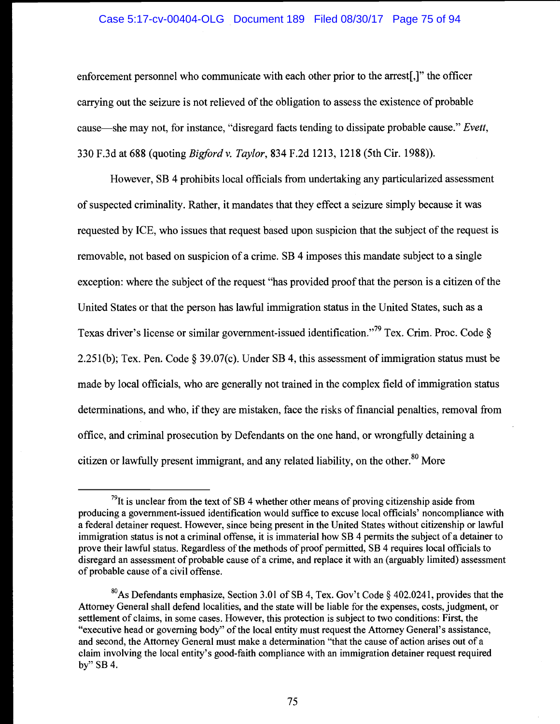# Case 5:17-cv-00404-OLG Document 189 Filed 08/30/17 Page 75 of 94

enforcement personnel who communicate with each other prior to the arrest[,]" the officer carrying out the seizure is not relieved of the obligation to assess the existence of probable cause—she may not, for instance, "disregard facts tending to dissipate probable cause." Evett, 330 F.3d at 688 (quoting Bigfordv. Taylor, 834 F.2d 1213, 1218 (5th Cir. 1988)).

However, SB 4 prohibits local officials from undertaking any particularized assessment of suspected criminality. Rather, it mandates that they effect a seizure simply because it was requested by ICE, who issues that request based upon suspicion that the subject of the request is removable, not based on suspicion of a crime. SB 4 imposes this mandate subject to a single exception: where the subject of the request "has provided proof that the person is a citizen of the United States or that the person has lawful immigration status in the United States, such as a Texas driver's license or similar government-issued identification."<sup>79</sup> Tex. Crim. Proc. Code § 2.25 1(b); Tex. Pen. Code § 39.07(c). Under SB 4, this assessment of immigration status must be made by local officials, who are generally not trained in the complex field of immigration status determinations, and who, if they are mistaken, face the risks of financial penalties, removal from office, and criminal prosecution by Defendants on the one hand, or wrongfully detaining a citizen or lawfully present immigrant, and any related liability, on the other.<sup>80</sup> More

 $79$ It is unclear from the text of SB 4 whether other means of proving citizenship aside from producing a government-issued identification would suffice to excuse local officials' noncompliance with a federal detainer request. However, since being present in the United States without citizenship or lawful immigration status is not a criminal offense, it is immaterial how SB 4 permits the subject of a detainer to prove their lawful status. Regardless of the methods of proof permitted, SB 4 requires local officials to disregard an assessment of probable cause of a crime, and replace it with an (arguably limited) assessment of probable cause of a civil offense.

<sup>&</sup>lt;sup>80</sup>As Defendants emphasize, Section 3.01 of SB 4, Tex. Gov't Code § 402.0241, provides that the Attorney General shall defend localities, and the state will be liable for the expenses, costs, judgment, or settlement of claims, in some cases. However, this protection is subject to two conditions: First, the "executive head or governing body" of the local entity must request the Attorney General's assistance, and second, the Attorney General must make a determination "that the cause of action arises out of a claim involving the local entity's good-faith compliance with an immigration detainer request required by" SB 4.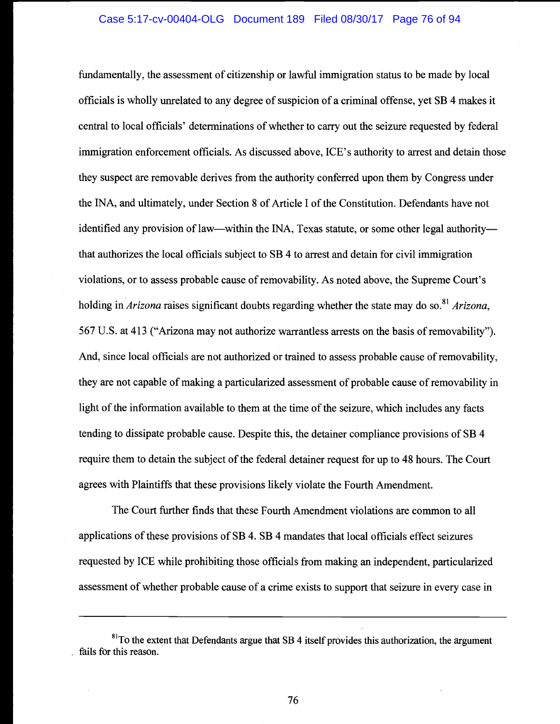fundamentally, the assessment of citizenship or lawful immigration status to be made by local officials is wholly unrelated to any degree of suspicion of a criminal offense, yet SB 4 makes it central to local officials' determinations of whether to carry out the seizure requested by federal immigration enforcement officials. As discussed above, ICE's authority to arrest and detain those they suspect are removable derives from the authority conferred upon them by Congress under the INA, and ultimately, under Section 8 of Article I of the Constitution. Defendants have not identified any provision of law—within the INA, Texas statute, or some other legal authority that authorizes the local officials subject to SB 4 to arrest and detain for civil immigration violations, or to assess probable cause of removability. As noted above, the Supreme Court's holding in *Arizona* raises significant doubts regarding whether the state may do so.<sup>81</sup> Arizona, 567 U.S. at 413 ("Arizona may not authorize warrantless arrests on the basis of removability"). And, since local officials are not authorized or trained to assess probable cause of removability, they are not capable of making a particularized assessment of probable cause of removability in light of the information available to them at the time of the seizure, which includes any facts tending to dissipate probable cause. Despite this, the detainer compliance provisions of SB 4 require them to detain the subject of the federal detainer request for up to 48 hours. The Court agrees with Plaintiffs that these provisions likely violate the Fourth Amendment.

The Court further finds that these Fourth Amendment violations are common to all applications of these provisions of SB 4. SB 4 mandates that local officials effect seizures requested by ICE while prohibiting those officials from making an independent, particularized assessment of whether probable cause of a crime exists to support that seizure in every case in

76

<sup>&</sup>lt;sup>81</sup>To the extent that Defendants argue that SB 4 itself provides this authorization, the argument fails for this reason.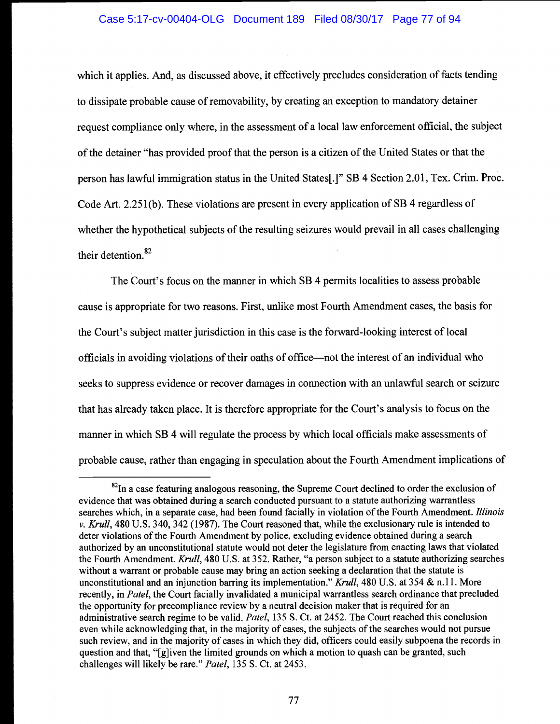## Case 5:17-cv-00404-OLG Document 189 Filed 08/30/17 Page 77 of 94

which it applies. And, as discussed above, it effectively precludes consideration of facts tending to dissipate probable cause of removability, by creating an exception to mandatory detainer request compliance only where, in the assessment of a local law enforcement official, the subject of the detainer "has provided proof that the person is a citizen of the United States or that the person has lawful immigration status in the United States[.]" SB 4 Section 2.01, Tex. Crim. Proc. Code Art. 2.251(b). These violations are present in every application of SB 4 regardless of whether the hypothetical subjects of the resulting seizures would prevail in all cases challenging their detention.<sup>82</sup>

The Court's focus on the manner in which SB 4 permits localities to assess probable cause is appropriate for two reasons. First, unlike most Fourth Amendment cases, the basis for the Court's subject matter jurisdiction in this case is the forward-looking interest of local officials in avoiding violations of their oaths of office—not the interest of an individual who seeks to suppress evidence or recover damages in connection with an unlawful search or seizure that has already taken place. It is therefore appropriate for the Court's analysis to focus on the manner in which SB 4 will regulate the process by which local officials make assessments of probable cause, rather than engaging in speculation about the Fourth Amendment implications of

 $^{82}$ In a case featuring analogous reasoning, the Supreme Court declined to order the exclusion of evidence that was obtained during a search conducted pursuant to a statute authorizing warrantless searches which, in a separate case, had been found facially in violation of the Fourth Amendment. Illinois v. Krull, 480 U.S. 340, 342 (1987). The Court reasoned that, while the exclusionary rule is intended to deter violations of the Fourth Amendment by police, excluding evidence obtained during a search authorized by an unconstitutional statute would not deter the legislature from enacting laws that violated the Fourth Amendment. Krull, 480 U.S. at 352. Rather, "a person subject to a statute authorizing searches without a warrant or probable cause may bring an action seeking a declaration that the statute is unconstitutional and an injunction barring its implementation." Krull, 480 U.S. at 354 & n.11. More recently, in Patel, the Court facially invalidated a municipal warrantless search ordinance that precluded the opportunity for precompliance review by a neutral decision maker that is required for an administrative search regime to be valid. Patel, 135 S. Ct. at 2452. The Court reached this conclusion even while acknowledging that, in the majority of cases, the subjects of the searches would not pursue such review, and in the majority of cases in which they did, officers could easily subpoena the records in question and that, "[g]iven the limited grounds on which a motion to quash can be granted, such challenges will likely be rare." Patel, 135 S. Ct. at 2453.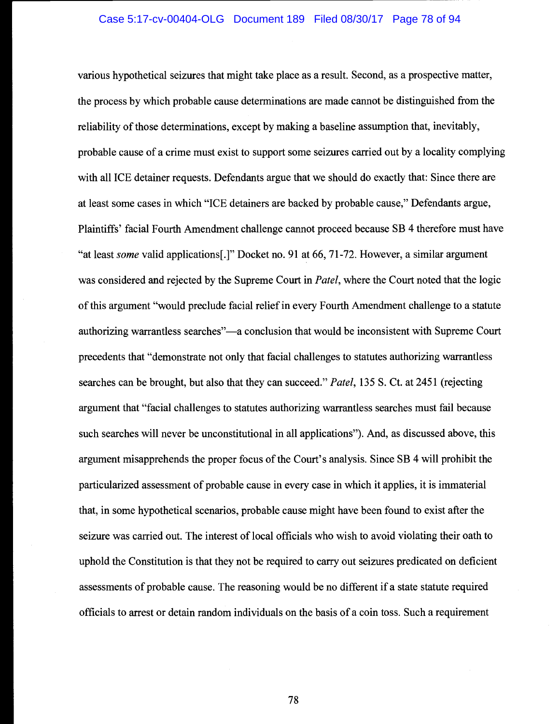various hypothetical seizures that might take place as a result. Second, as a prospective matter, the process by which probable cause determinations are made cannot be distinguished from the reliability of those determinations, except by making a baseline assumption that, inevitably, probable cause of a crime must exist to support some seizures carried out by a locality complying with all ICE detainer requests. Defendants argue that we should do exactly that: Since there are at least some cases in which "ICE detainers are backed by probable cause," Defendants argue, Plaintiffs' facial Fourth Amendment challenge cannot proceed because SB 4 therefore must have "at least some valid applications[.]" Docket no. 91 at 66, 71-72. However, a similar argument was considered and rejected by the Supreme Court in Patel, where the Court noted that the logic of this argument "would preclude facial relief in every Fourth Amendment challenge to a statute authorizing warrantless searches"—a conclusion that would be inconsistent with Supreme Court precedents that "demonstrate not only that facial challenges to statutes authorizing warrantless searches can be brought, but also that they can succeed." Patel, 135 S. Ct. at 2451 (rejecting argument that "facial challenges to statutes authorizing warrantless searches must fail because such searches will never be unconstitutional in all applications"). And, as discussed above, this argument misapprehends the proper focus of the Court's analysis. Since SB 4 will prohibit the particularized assessment of probable cause in every case in which it applies, it is immaterial that, in some hypothetical scenarios, probable cause might have been found to exist after the seizure was carried out. The interest of local officials who wish to avoid violating their oath to uphold the Constitution is that they not be required to carry out seizures predicated on deficient assessments of probable cause. The reasoning would be no different if a state statute required officials to arrest or detain random individuals on the basis of a coin toss. Such a requirement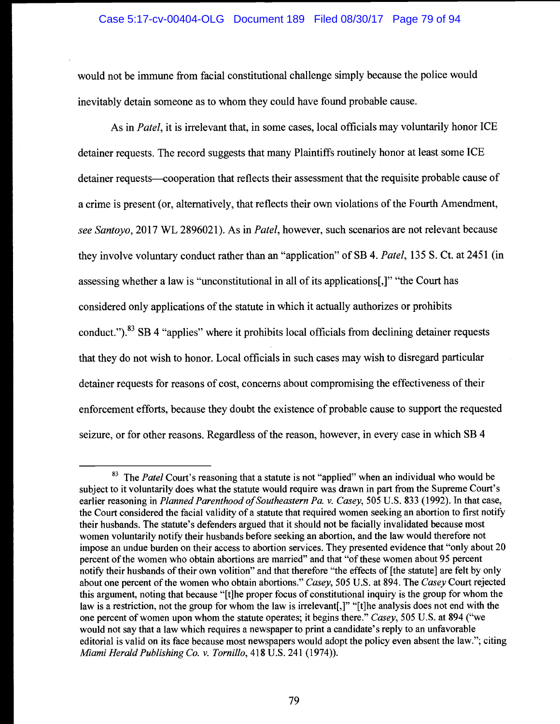# Case 5:17-cv-00404-OLG Document 189 Filed 08/30/17 Page 79 of 94

would not be immune from facial constitutional challenge simply because the police would inevitably detain someone as to whom they could have found probable cause.

As in Patel, it is irrelevant that, in some cases, local officials may voluntarily honor ICE detainer requests. The record suggests that many Plaintiffs routinely honor at least some ICE detainer requests—cooperation that reflects their assessment that the requisite probable cause of a crime is present (or, alternatively, that reflects their own violations of the Fourth Amendment, see Santoyo, 2017 WL 2896021). As in Patel, however, such scenarios are not relevant because they involve voluntary conduct rather than an "application" of SB 4. Patel, 135 S. Ct. at 2451 (in assessing whether a law is "unconstitutional in all of its applications[,]" "the Court has considered only applications of the statute in which it actually authorizes or prohibits conduct.").<sup>83</sup> SB 4 "applies" where it prohibits local officials from declining detainer requests that they do not wish to honor. Local officials in such cases may wish to disregard particular detainer requests for reasons of cost, concerns about compromising the effectiveness of their enforcement efforts, because they doubt the existence of probable cause to support the requested seizure, or for other reasons. Regardless of the reason, however, in every case in which SB 4

 $83$  The Patel Court's reasoning that a statute is not "applied" when an individual who would be subject to it voluntarily does what the statute would require was drawn in part from the Supreme Court's earlier reasoning in Planned Parenthood of Southeastern Pa. v. Casey, 505 U.S. 833 (1992). In that case, the Court considered the facial validity of a statute that required women seeking an abortion to first notify their husbands. The statute's defenders argued that it should not be facially invalidated because most women voluntarily notify their husbands before seeking an abortion, and the law would therefore not impose an undue burden on their access to abortion services. They presented evidence that "only about 20 percent of the women who obtain abortions are married" and that "of these women about 95 percent notify their husbands of their own volition" and that therefore "the effects of [the statute] are felt by only about one percent of the women who obtain abortions." Casey, 505 U.S. at 894. The Casey Court rejected this argument, noting that because "[t]he proper focus of constitutional inquiry is the group for whom the law is a restriction, not the group for whom the law is irrelevant[,]" "[t]he analysis does not end with the one percent of women upon whom the statute operates; it begins there." Casey, 505 U.S. at 894 ("we would not say that a law which requires a newspaper to print a candidate's reply to an unfavorable editorial is valid on its face because most newspapers would adopt the policy even absent the law."; citing Miami Herald Publishing Co. v. Tornillo, 418 U.S. 241 (1974)).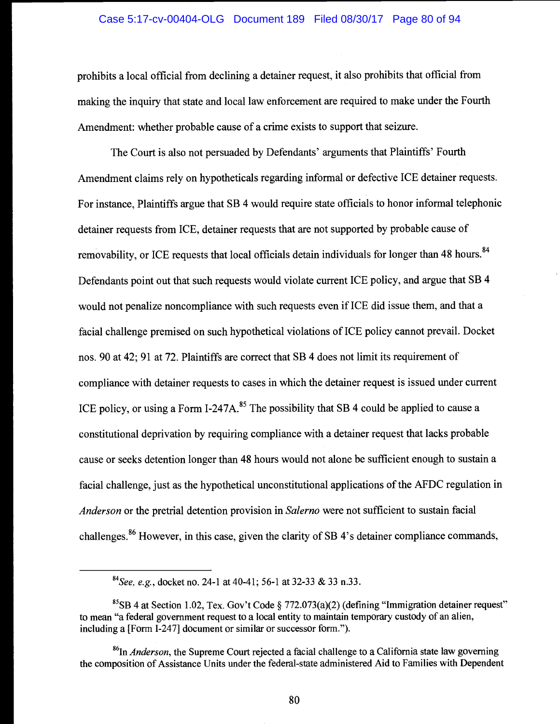#### Case 5:17-cv-00404-OLG Document 189 Filed 08/30/17 Page 80 of 94

prohibits a local official from declining a detainer request, it also prohibits that official from making the inquiry that state and local law enforcement are required to make under the Fourth Amendment: whether probable cause of a crime exists to support that seizure.

The Court is also not persuaded by Defendants' arguments that Plaintiffs' Fourth Amendment claims rely on hypotheticals regarding informal or defective ICE detainer requests. For instance, Plaintiffs argue that SB 4 would require state officials to honor informal telephonic detainer requests from ICE, detainer requests that are not supported by probable cause of removability, or ICE requests that local officials detain individuals for longer than 48 hours.<sup>84</sup> Defendants point out that such requests would violate current ICE policy, and argue that SB 4 would not penalize noncompliance with such requests even if ICE did issue them, and that a facial challenge premised on such hypothetical violations of ICE policy cannot prevail. Docket nos. 90 at 42; 91 at 72. Plaintiffs are correct that SB 4 does not limit its requirement of compliance with detainer requests to cases in which the detainer request is issued under current ICE policy, or using a Form I-247A.<sup>85</sup> The possibility that SB 4 could be applied to cause a constitutional deprivation by requiring compliance with a detainer request that lacks probable cause or seeks detention longer than 48 hours would not alone be sufficient enough to sustain a facial challenge, just as the hypothetical unconstitutional applications of the AFDC regulation in Anderson or the pretrial detention provision in Salerno were not sufficient to sustain facial challenges.86 However, in this case, given the clarity of SB 4's detainer compliance commands,

 ${}^{84}$ See, e.g., docket no. 24-1 at 40-41; 56-1 at 32-33 & 33 n.33.

 ${}^{85}$ SB 4 at Section 1.02, Tex. Gov't Code § 772.073(a)(2) (defining "Immigration detainer request" to mean "a federal government request to a local entity to maintain temporary custody of an alien, including a [Form 1-247] document or similar or successor form.").

 $^{86}$ In *Anderson*, the Supreme Court rejected a facial challenge to a California state law governing the composition of Assistance Units under the federal-state administered Aid to Families with Dependent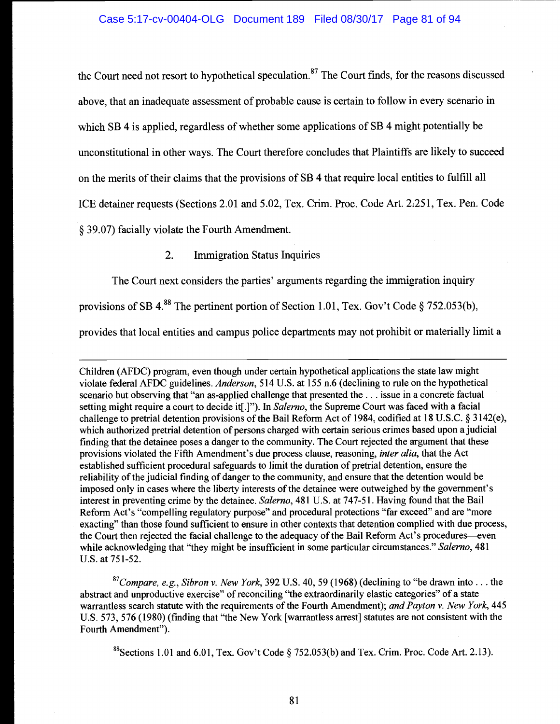the Court need not resort to hypothetical speculation.<sup>87</sup> The Court finds, for the reasons discussed above, that an inadequate assessment of probable cause is certain to follow in every scenario in which SB 4 is applied, regardless of whether some applications of SB 4 might potentially be unconstitutional in other ways. The Court therefore concludes that Plaintiffs are likely to succeed on the merits of their claims that the provisions of SB 4 that require local entities to fulfill all ICE detainer requests (Sections 2.01 and 5.02, Tex. Crim. Proc. Code Art. 2.251, Tex. Pen. Code § 39.07) facially violate the Fourth Amendment.

2. Immigration Status Inquiries

The Court next considers the parties' arguments regarding the immigration inquiry

provisions of SB 4.<sup>88</sup> The pertinent portion of Section 1.01, Tex. Gov't Code § 752.053(b),

provides that local entities and campus police departments may not prohibit or materially limit a

Children (AFDC) program, even though under certain hypothetical applications the state law might violate federal AFDC guidelines. Anderson, 514 U.S. at 155 n.6 (declining to rule on the hypothetical scenario but observing that "an as-applied challenge that presented the . . . issue in a concrete factual setting might require a court to decide it[.]"). In Salerno, the Supreme Court was faced with a facial challenge to pretrial detention provisions of the Bail Reform Act of 1984, codified at 18 U.S.C. § 3 142(e), which authorized pretrial detention of persons charged with certain serious crimes based upon a judicial finding that the detainee poses a danger to the community. The Court rejected the argument that these provisions violated the Fifth Amendment's due process clause, reasoning, *inter alia*, that the Act established sufficient procedural safeguards to limit the duration of pretrial detention, ensure the reliability of the judicial finding of danger to the community, and ensure that the detention would be imposed only in cases where the liberty interests of the detainee were outweighed by the government's interest in preventing crime by the detainee. Salerno, 481 U.S. at 747-51. Having found that the Bail Reform Act's "compelling regulatory purpose" and procedural protections "far exceed" and are "more exacting" than those found sufficient to ensure in other contexts that detention complied with due process, the Court then rejected the facial challenge to the adequacy of the Bail Reform Act's procedures—even while acknowledging that "they might be insufficient in some particular circumstances." Salerno, 481 U.S. at 75 1-52.

 $87$ Compare, e.g., Sibron v. New York, 392 U.S. 40, 59 (1968) (declining to "be drawn into... the abstract and unproductive exercise" of reconciling "the extraordinarily elastic categories" of a state warrantless search statute with the requirements of the Fourth Amendment); and Payton v. New York, 445 U.S. 573, 576 (1980) (finding that "the New York [warrantless arrest] statutes are not consistent with the Fourth Amendment").

<sup>88</sup>Sections 1.01 and 6.01, Tex. Gov't Code § 752.053(b) and Tex. Crim. Proc. Code Art. 2.13).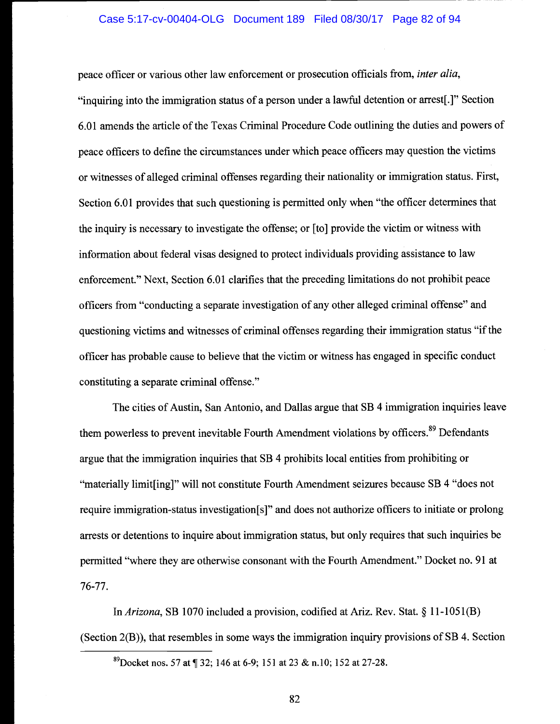peace officer or various other law enforcement or prosecution officials from, inter alia, "inquiring into the immigration status of a person under a lawful detention or arrest[.]" Section 6.01 amends the article of the Texas Criminal Procedure Code outlining the duties and powers of peace officers to define the circumstances under which peace officers may question the victims or witnesses of alleged criminal offenses regarding their nationality or immigration status. First, Section 6.01 provides that such questioning is permitted only when "the officer determines that the inquiry is necessary to investigate the offense; or [to] provide the victim or witness with information about federal visas designed to protect individuals providing assistance to law enforcement." Next, Section 6.01 clarifies that the preceding limitations do not prohibit peace officers from "conducting a separate investigation of any other alleged criminal offense" and questioning victims and witnesses of criminal offenses regarding their immigration status "if the officer has probable cause to believe that the victim or witness has engaged in specific conduct constituting a separate criminal offense."

The cities of Austin, San Antonio, and Dallas argue that SB 4 immigration inquiries leave them powerless to prevent inevitable Fourth Amendment violations by officers.<sup>89</sup> Defendants argue that the immigration inquiries that SB 4 prohibits local entities from prohibiting or "materially limit[ing]" will not constitute Fourth Amendment seizures because SB 4 "does not require immigration-status investigation[s]" and does not authorize officers to initiate or prolong arrests or detentions to inquire about immigration status, but only requires that such inquiries be permitted "where they are otherwise consonant with the Fourth Amendment." Docket no. 91 at 76-77.

In Arizona, SB 1070 included a provision, codified at Ariz. Rev. Stat. § 11-1051(B) (Section 2(B)), that resembles in some ways the immigration inquiry provisions of SB 4. Section

<sup>&</sup>lt;sup>89</sup>Docket nos. 57 at ¶ 32; 146 at 6-9; 151 at 23 & n.10; 152 at 27-28.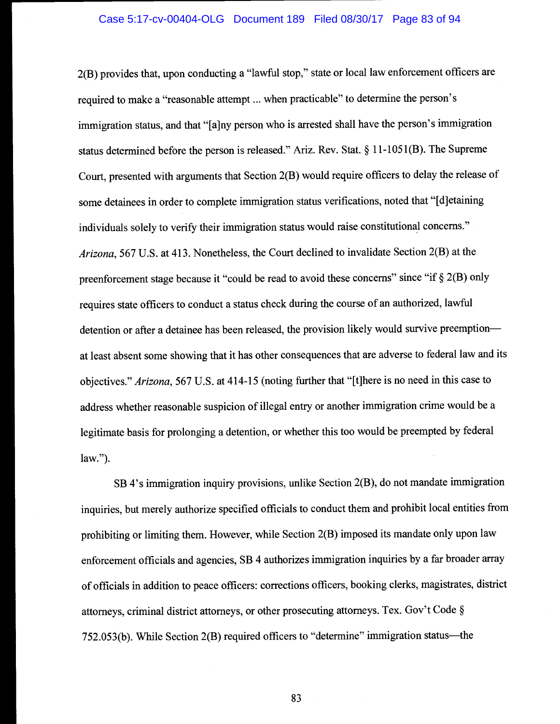#### Case 5:17-cv-00404-OLG Document 189 Filed 08/30/17 Page 83 of 94

2(B) provides that, upon conducting a "lawful stop," state or local law enforcement officers are required to make a "reasonable attempt ... when practicable" to determine the person's immigration status, and that "[a]ny person who is arrested shall have the person's immigration status determined before the person is released." Ariz. Rev. Stat. § 11-1051(B). The Supreme Court, presented with arguments that Section 2(B) would require officers to delay the release of some detainees in order to complete immigration status verifications, noted that "[d]etaining individuals solely to verify their immigration status would raise constitutional concerns." Arizona, 567 U.S. at 413. Nonetheless, the Court declined to invalidate Section 2(B) at the preenforcement stage because it "could be read to avoid these concerns" since "if § 2(B) only requires state officers to conduct a status check during the course of an authorized, lawful detention or after a detainee has been released, the provision likely would survive preemption at least absent some showing that it has other consequences that are adverse to federal law and its objectives." Arizona, 567 U.S. at 414-15 (noting further that "{t]here is no need in this case to address whether reasonable suspicion of illegal entry or another immigration crime would be a legitimate basis for prolonging a detention, or whether this too would be preempted by federal law.").

SB 4's immigration inquiry provisions, unlike Section 2(B), do not mandate immigration inquiries, but merely authorize specified officials to conduct them and prohibit local entities from prohibiting or limiting them. However, while Section 2(B) imposed its mandate only upon law enforcement officials and agencies, SB 4 authorizes immigration inquiries by a far broader array of officials in addition to peace officers: corrections officers, booking clerks, magistrates, district attorneys, criminal district attorneys, or other prosecuting attorneys. Tex. Gov't Code §  $752.053(b)$ . While Section  $2(B)$  required officers to "determine" immigration status—the

83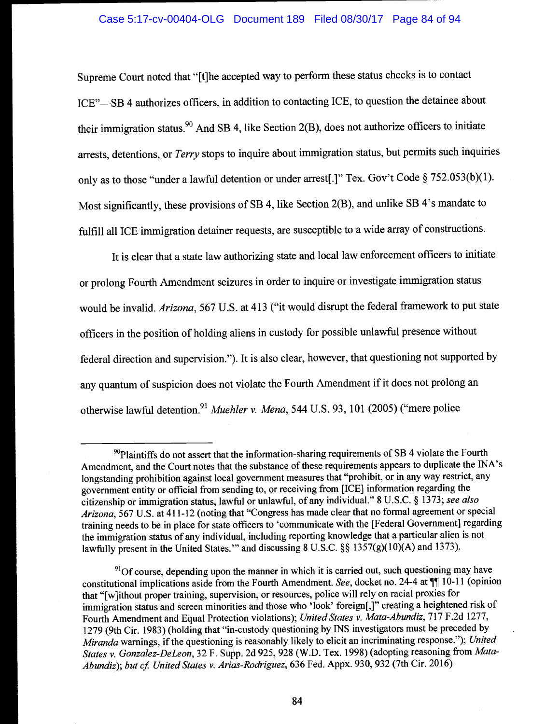# Case 5:17-cv-00404-OLG Document 189 Filed 08/30/17 Page 84 of 94

Supreme Court noted that "[t]he accepted way to perform these status checks is to contact ICE"-SB 4 authorizes officers, in addition to contacting ICE, to question the detainee about their immigration status.<sup>90</sup> And SB 4, like Section 2(B), does not authorize officers to initiate arrests, detentions, or Terry stops to inquire about immigration status, but permits such inquiries only as to those "under a lawful detention or under arrest[.]" Tex. Gov't Code § 752.053(b)(l). Most significantly, these provisions of SB 4, like Section 2(B), and unlike SB 4's mandate to fulfill all ICE immigration detainer requests, are susceptible to a wide array of constructions.

It is clear that a state law authorizing state and local law enforcement officers to initiate or prolong Fourth Amendment seizures in order to inquire or investigate immigration status would be invalid. Arizona, 567 U.S. at 413 ("it would disrupt the federal framework to put state officers in the position of holding aliens in custody for possible unlawful presence without federal direction and supervision."). It is also clear, however, that questioning not supported by any quantum of suspicion does not violate the Fourth Amendment if it does not prolong an otherwise lawful detention.<sup>91</sup> Muehler v. Mena, 544 U.S. 93, 101 (2005) ("mere police

 $90P$ laintiffs do not assert that the information-sharing requirements of SB 4 violate the Fourth Amendment, and the Court notes that the substance of these requirements appears to duplicate the INA's longstanding prohibition against local government measures that "prohibit, or in any way restrict, any government entity or official from sending to, or receiving from [ICE] information regarding the citizenship or immigration status, lawful or unlawful, of any individual." 8 U.S.C. § 1373; see also Arizona, 567 U.S. at 411-12 (noting that "Congress has made clear that no formal agreement or special training needs to be in place for state officers to 'communicate with the [Federal Government] regarding the immigration status of any individual, including reporting knowledge that a particular alien is not lawfully present in the United States." and discussing 8 U.S.C. §§ 1357(g)(10)(A) and 1373).

 $91$ Of course, depending upon the manner in which it is carried out, such questioning may have constitutional implications aside from the Fourth Amendment. See, docket no. 24-4 at  $\P\P$  10-11 (opinion that "[w]ithout proper training, supervision, or resources, police will rely on racial proxies for immigration status and screen minorities and those who 'look' foreign[,]" creating a heightened risk of Fourth Amendment and Equal Protection violations); United States v. Mata-Abundiz, 717 F.2d 1277, 1279 (9th Cir. 1983) (holding that "in-custody questioning by INS investigators must be preceded by Miranda warnings, if the questioning is reasonably likely to elicit an incriminating response."); United States v. Gonzalez-DeLeon, 32 F. Supp. 2d 925, 928 (W.D. Tex. 1998) (adopting reasoning from Mata-Abundiz); but cf. United States v. Arias-Rodriguez, 636 Fed. Appx. 930, 932 (7th Cir. 2016)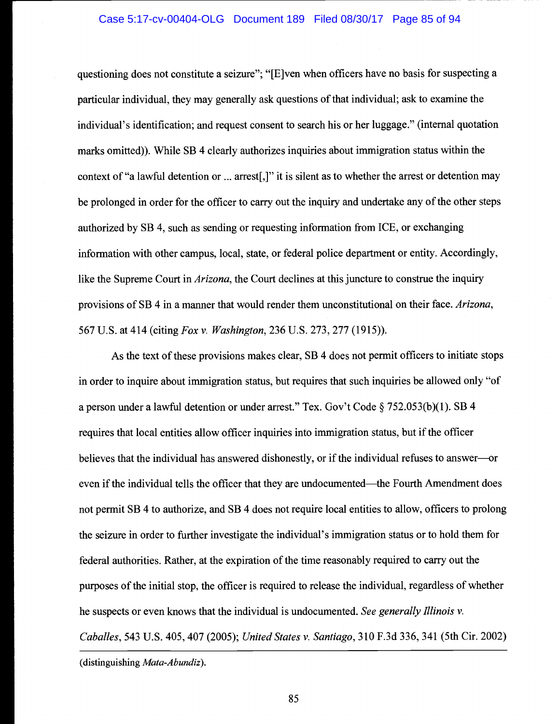questioning does not constitute a seizure"; "[E]ven when officers have no basis for suspecting a particular individual, they may generally ask questions of that individual; ask to examine the individual's identification; and request consent to search his or her luggage." (internal quotation marks omitted)). While SB 4 clearly authorizes inquiries about immigration status within the context of "a lawful detention or ... arrest[,]" it is silent as to whether the arrest or detention may be prolonged in order for the officer to carry out the inquiry and undertake any of the other steps authorized by SB 4, such as sending or requesting information from ICE, or exchanging information with other campus, local, state, or federal police department or entity. Accordingly, like the Supreme Court in *Arizona*, the Court declines at this juncture to construe the inquiry provisions of SB 4 in a manner that would render them unconstitutional on their face. Arizona, 567 U.S. at 414 (citing Fox v. Washington, 236 U.S. 273, 277 (1915)).

As the text of these provisions makes clear, SB 4 does not permit officers to initiate stops in order to inquire about immigration status, but requires that such inquiries be allowed only "of a person under a lawful detention or under arrest." Tex. Gov't Code § 752.053(b)(l). SB 4 requires that local entities allow officer inquiries into immigration status, but if the officer believes that the individual has answered dishonestly, or if the individual refuses to answer—or even if the individual tells the officer that they are undocumented—the Fourth Amendment does not permit SB 4 to authorize, and SB 4 does not require local entities to allow, officers to prolong the seizure in order to further investigate the individual's immigration status or to hold them for federal authorities. Rather, at the expiration of the time reasonably required to carry out the purposes of the initial stop, the officer is required to release the individual, regardless of whether he suspects or even knows that the individual is undocumented. See generally Illinois  $v$ . Caballes, 543 U.S. 405, 407 (2005); United States v. Santiago, 310 F.3d 336, 341 (5th Cir. 2002)

(distinguishing Mata-Abundiz).

85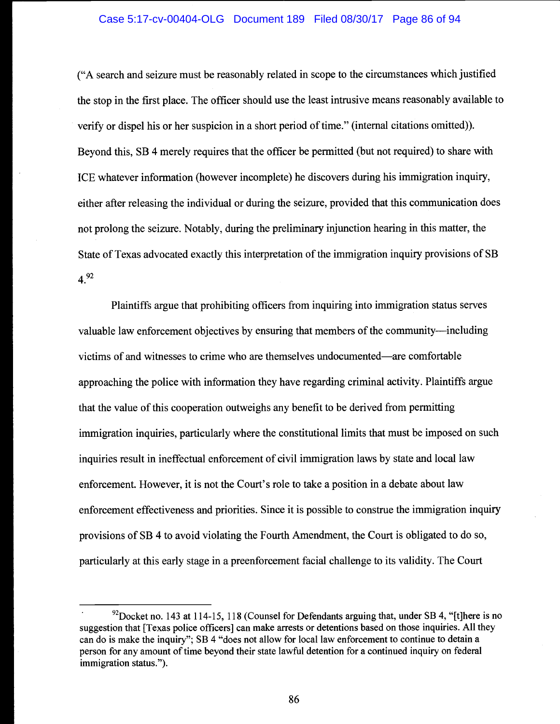#### Case 5:17-cv-00404-OLG Document 189 Filed 08/30/17 Page 86 of 94

("A search and seizure must be reasonably related in scope to the circumstances which justified the stop in the first place. The officer should use the least intrusive means reasonably available to verify or dispel his or her suspicion in a short period of time." (internal citations omitted)). Beyond this, SB 4 merely requires that the officer be permitted (but not required) to share with ICE whatever information (however incomplete) he discovers during his immigration inquiry, either after releasing the individual or during the seizure, provided that this communication does not prolong the seizure. Notably, during the preliminary injunction hearing in this matter, the State of Texas advocated exactly this interpretation of the immigration inquiry provisions of SB  $4^{92}$ 

Plaintiffs argue that prohibiting officers from inquiring into immigration status serves valuable law enforcement objectives by ensuring that members of the community—including victims of and witnesses to crime who are themselves undocumented—are comfortable approaching the police with information they have regarding criminal activity. Plaintiffs argue that the value of this cooperation outweighs any benefit to be derived from permitting immigration inquiries, particularly where the constitutional limits that must be imposed on such inquiries result in ineffectual enforcement of civil immigration laws by state and local law enforcement. However, it is not the Court's role to take a position in a debate about law enforcement effectiveness and priorities. Since it is possible to construe the immigration inquiry provisions of SB 4 to avoid violating the Fourth Amendment, the Court is obligated to do so, particularly at this early stage in a preenforcement facial challenge to its validity. The Court

 $92$ Docket no. 143 at 114-15, 118 (Counsel for Defendants arguing that, under SB 4, "[t]here is no suggestion that [Texas police officers] can make arrests or detentions based on those inquiries. All they can do is make the inquiry"; SB 4 "does not allow for local law enforcement to continue to detain a person for any amount of time beyond their state lawful detention for a continued inquiry on federal immigration status.").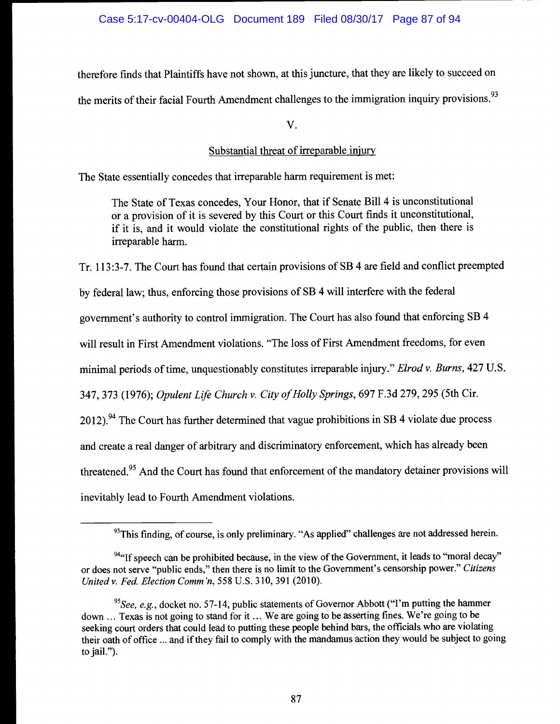therefore finds that Plaintiffs have not shown, at this juncture, that they are likely to succeed on the merits of their facial Fourth Amendment challenges to the immigration inquiry provisions.<sup>93</sup>

V.

# Substantial threat of irreparable injury

The State essentially concedes that irreparable harm requirement is met:

The State of Texas concedes, Your Honor, that if Senate Bill 4 is unconstitutional or a provision of it is severed by this Court or this Court finds it unconstitutional, if it is, and it would violate the constitutional rights of the public, then there is irreparable harm.

Tr. 113:3-7. The Court has found that certain provisions of SB 4 are field and conflict preempted by federal law; thus, enforcing those provisions of SB 4 will interfere with the federal government's authority to control immigration. The Court has also found that enforcing SB 4 will result in First Amendment violations. "The loss of First Amendment freedoms, for even minimal periods of time, unquestionably constitutes irreparable injury." Elrod v. Burns, 427 U.S. 347, 373 (1976); Opulent Life Church v. City of Holly Springs, 697 F.3d 279, 295 (5th Cir. 2012). <sup>94</sup> The Court has further determined that vague prohibitions in SB 4 violate due process and create a real danger of arbitrary and discriminatory enforcement, which has already been threatened.<sup>95</sup> And the Court has found that enforcement of the mandatory detainer provisions will inevitably lead to Fourth Amendment violations.

 $93$ This finding, of course, is only preliminary. "As applied" challenges are not addressed herein.

 $94$ "If speech can be prohibited because, in the view of the Government, it leads to "moral decay" or does not serve "public ends," then there is no limit to the Government's censorship power." Citizens Unitedv. Fed. Election Comm'n, 558 U.S. 310, 391 (2010).

<sup>&</sup>lt;sup>95</sup>See, e.g., docket no. 57-14, public statements of Governor Abbott ("I'm putting the hammer down ... Texas is not going to stand for it ... We are going to be asserting fines. We're going to be seeking court orders that could lead to putting these people behind bars, the officials who are violating their oath of office ... and if they fail to comply with the mandamus action they would be subject to going to jail.").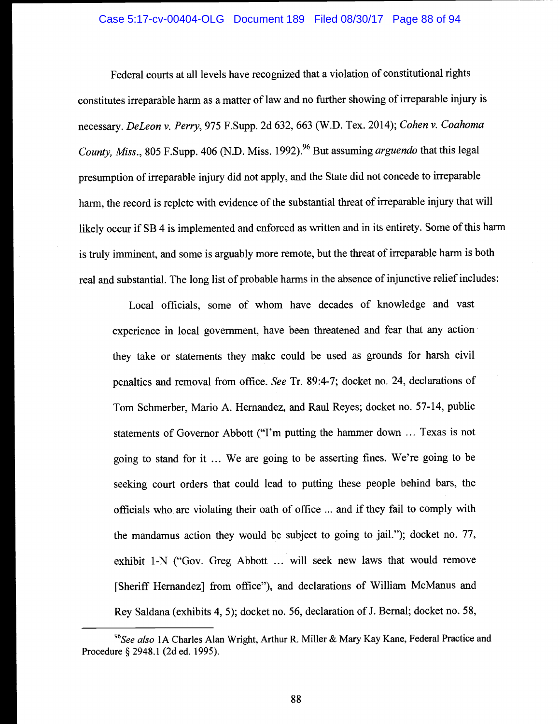## Case 5:17-cv-00404-OLG Document 189 Filed 08/30/17 Page 88 of 94

Federal courts at all levels have recognized that a violation of constitutional rights constitutes irreparable harm as a matter of law and no further showing of irreparable injury is necessary. DeLeon v. Perry, 975 F.Supp. 2d 632, 663 (W.D. Tex. 2014); Cohen v. Coahoma County, Miss., 805 F.Supp. 406 (N.D. Miss. 1992).<sup>96</sup> But assuming *arguendo* that this legal presumption of irreparable injury did not apply, and the State did not concede to irreparable harm, the record is replete with evidence of the substantial threat of irreparable injury that will likely occur if SB 4 is implemented and enforced as written and in its entirety. Some of this harm is truly imminent, and some is arguably more remote, but the threat of irreparable harm is both real and substantial. The long list of probable harms in the absence of injunctive relief includes:

Local officials, some of whom have decades of knowledge and vast experience in local government, have been threatened and fear that any action they take or statements they make could be used as grounds for harsh civil penalties and removal from office. See Tr. 89:4-7; docket no. 24, declarations of Tom Schmerber, Mario A. Hernandez, and Raul Reyes; docket no. 57-14, public statements of Governor Abbott ("I'm putting the hammer down ... Texas is not going to stand for it ... We are going to be asserting fines. We're going to be seeking court orders that could lead to putting these people behind bars, the officials who are violating their oath of office ... and if they fail to comply with the mandamus action they would be subject to going to jail."); docket no. 77, exhibit 1-N ("Gov. Greg Abbott ... will seek new laws that would remove [Sheriff Hernandez] from office"), and declarations of William McManus and Rey Saldana (exhibits 4, 5); docket no. 56, declaration of J. Bernal; docket no. 58,

<sup>&</sup>lt;sup>96</sup>See also 1A Charles Alan Wright, Arthur R. Miller & Mary Kay Kane, Federal Practice and Procedure § 2948.1 (2d ed. 1995).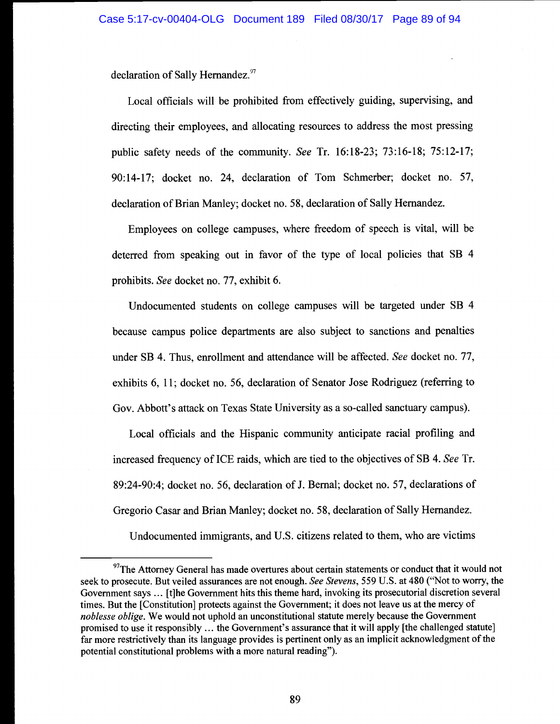declaration of Sally Hernandez.<sup>97</sup>

Local officials will be prohibited from effectively guiding, supervising, and directing their employees, and allocating resources to address the most pressing public safety needs of the community. See Tr. 16:18-23; 73:16-18; 75:12-17; 90:14-17; docket no. 24, declaration of Tom Schmerber; docket no. 57, declaration of Brian Manley; docket no. 58, declaration of Sally Hernandez.

Employees on college campuses, where freedom of speech is vital, will be deterred from speaking out in favor of the type of local policies that SB 4 prohibits. See docket no. 77, exhibit 6.

Undocumented students on college campuses will be targeted under SB 4 because campus police departments are also subject to sanctions and penalties under SB 4. Thus, enrollment and attendance will be affected. See docket no. 77, exhibits 6, 11; docket no. 56, declaration of Senator Jose Rodriguez (referring to Gov. Abbott's attack on Texas State University as a so-called sanctuary campus).

Local officials and the Hispanic community anticipate racial profiling and increased frequency of ICE raids, which are tied to the objectives of SB 4. See Tr. 89:24-90:4; docket no. 56, declaration of J. Bernal; docket no. 57, declarations of Gregorio Casar and Brian Manley; docket no. 58, declaration of Sally Hernandez.

Undocumented immigrants, and U.S. citizens related to them, who are victims

 $97$ The Attorney General has made overtures about certain statements or conduct that it would not seek to prosecute. But veiled assurances are not enough. See Stevens, 559 U.S. at 480 ("Not to worry, the Government says ... [t]he Government hits this theme hard, invoking its prosecutorial discretion several times. But the [Constitution] protects against the Government; it does not leave us at the mercy of noblesse oblige. We would not uphold an unconstitutional statute merely because the Government promised to use it responsibly ... the Government's assurance that it will apply [the challenged statute] far more restrictively than its language provides is pertinent only as an implicit acknowledgment of the potential constitutional problems with a more natural reading").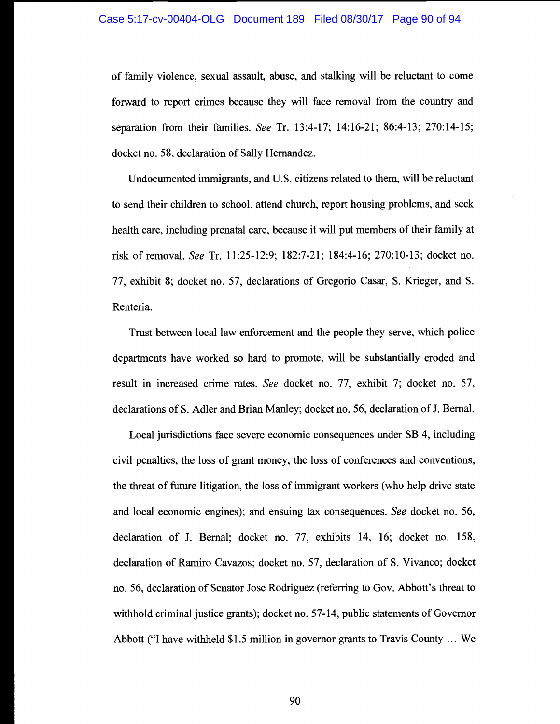of family violence, sexual assault, abuse, and stalking will be reluctant to come forward to report crimes because they will face removal from the country and separation from their families. See Tr. 13:4-17; 14:16-21; 86:4-13; 270:14-15; docket no. 58, declaration of Sally Hemandez.

Undocumented immigrants, and U.S. citizens related to them, will be reluctant to send their children to school, attend church, report housing problems, and seek health care, including prenatal care, because it will put members of their family at risk of removal. See Tr. 11:25-12:9; 182:7-21; 184:4-16; 270:10-13; docket no. 77, exhibit 8; docket no. 57, declarations of Gregorio Casar, S. Krieger, and S. Renteria.

Trust between local law enforcement and the people they serve, which police departments have worked so hard to promote, will be substantially eroded and result in increased crime rates. See docket no. 77, exhibit 7; docket no. 57, declarations of S. Adler and Brian Manley; docket no. 56, declaration of J. Bernal.

Local jurisdictions face severe economic consequences under SB 4, including civil penalties, the loss of grant money, the loss of conferences and conventions, the threat of future litigation, the loss of immigrant workers (who help drive state and local economic engines); and ensuing tax consequences. See docket no. 56, declaration of J. Bernal; docket no. 77, exhibits 14, 16; docket no. 158, declaration of Ramiro Cavazos; docket no. 57, declaration of S. Vivanco; docket no. 56, declaration of Senator Jose Rodriguez (referring to Gov. Abbott's threat to withhold criminal justice grants); docket no. 57-14, public statements of Governor Abbott ("I have withheld \$1.5 million in governor grants to Travis County ... We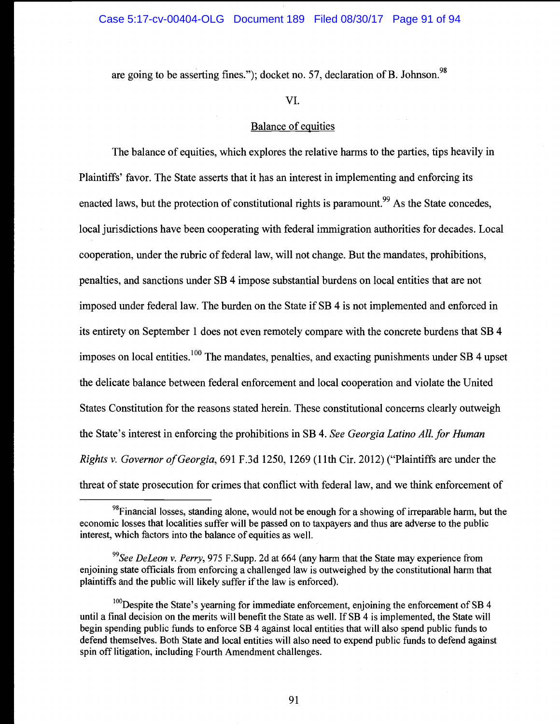are going to be asserting fines."); docket no. 57, declaration of B. Johnson.<sup>98</sup>

# VI.

# Balance of equities

The balance of equities, which explores the relative harms to the parties, tips heavily in Plaintiffs' favor. The State asserts that it has an interest in implementing and enforcing its enacted laws, but the protection of constitutional rights is paramount.<sup>99</sup> As the State concedes, local jurisdictions have been cooperating with federal immigration authorities for decades. Local cooperation, under the rubric of federal law, will not change. But the mandates, prohibitions, penalties, and sanctions under SB 4 impose substantial burdens on local entities that are not imposed under federal law. The burden on the State if SB 4 is not implemented and enforced in its entirety on September 1 does not even remotely compare with the concrete burdens that SB 4 imposes on local entities.<sup>100</sup> The mandates, penalties, and exacting punishments under SB 4 upset the delicate balance between federal enforcement and local cooperation and violate the United States Constitution for the reasons stated herein. These constitutional concerns clearly outweigh the State's interest in enforcing the prohibitions in SB 4. See Georgia Latino All, for Human Rights v. Governor of Georgia, 691 F.3d 1250, 1269 (11th Cir. 2012) ("Plaintiffs are under the threat of state prosecution for crimes that conflict with federal law, and we think enforcement of

 $^{98}$ Financial losses, standing alone, would not be enough for a showing of irreparable harm, but the economic losses that localities suffer will be passed on to taxpayers and thus are adverse to the public interest, which factors into the balance of equities as well.

 $99$ See DeLeon v. Perry, 975 F.Supp. 2d at 664 (any harm that the State may experience from enjoining state officials from enforcing a challenged law is outweighed by the constitutional harm that plaintiffs and the public will likely suffer if the law is enforced).

 $100$  Despite the State's yearning for immediate enforcement, enjoining the enforcement of SB 4 until a final decision on the merits will benefit the State as well. If SB 4 is implemented, the State will begin spending public funds to enforce SB 4 against local entities that will also spend public funds to defend themselves. Both State and local entities will also need to expend public funds to defend against spin off litigation, including Fourth Amendment challenges.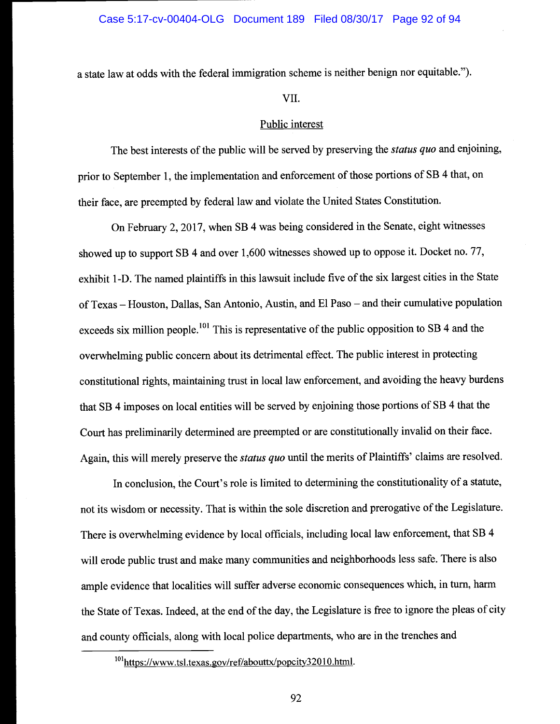a state law at odds with the federal immigration scheme is neither benign nor equitable.").

#### VII.

#### Public interest

The best interests of the public will be served by preserving the *status quo* and enjoining, prior to September 1, the implementation and enforcement of those portions of SB 4 that, on their face, are preempted by federal law and violate the United States Constitution.

On February 2, 2017, when SB 4 was being considered in the Senate, eight witnesses showed up to support SB 4 and over 1,600 witnesses showed up to oppose it. Docket no. 77, exhibit 1 -D. The named plaintiffs in this lawsuit include five of the six largest cities in the State of Texas - Houston, Dallas, San Antonio, Austin, and El Paso - and their cumulative population exceeds six million people.<sup>101</sup> This is representative of the public opposition to SB 4 and the overwhelming public concern about its detrimental effect. The public interest in protecting constitutional rights, maintaining trust in local law enforcement, and avoiding the heavy burdens that SB 4 imposes on local entities will be served by enjoining those portions of SB 4 that the Court has preliminarily determined are preempted or are constitutionally invalid on their face. Again, this will merely preserve the *status quo* until the merits of Plaintiffs' claims are resolved.

In conclusion, the Court's role is limited to determining the constitutionality of a statute, not its wisdom or necessity. That is within the sole discretion and prerogative of the Legislature. There is overwhelming evidence by local officials, including local law enforcement, that SB 4 will erode public trust and make many communities and neighborhoods less safe. There is also ample evidence that localities will suffer adverse economic consequences which, in turn, harm the State of Texas. Indeed, at the end of the day, the Legislature is free to ignore the pleas of city and county officials, along with local police departments, who are in the trenches and

 $101$ <sub>https://www.tsl.texas.gov/ref/abouttx/popcity32010.html.</sub>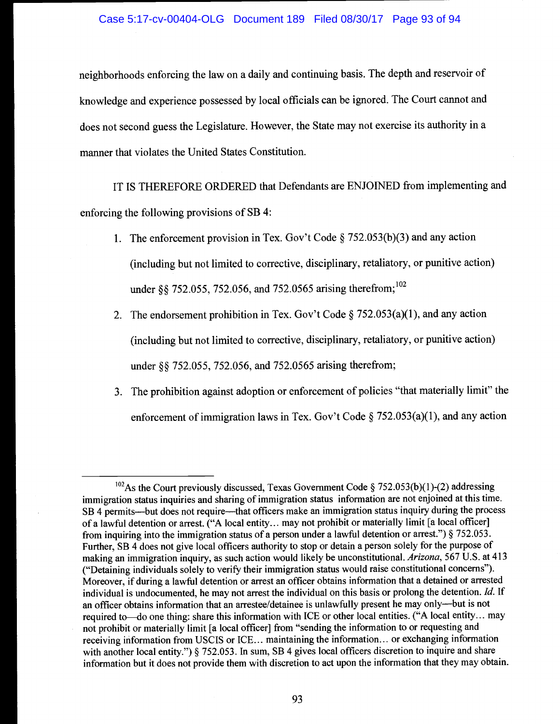neighborhoods enforcing the law on a daily and continuing basis. The depth and reservoir of knowledge and experience possessed by local officials can be ignored. The Court cannot and does not second guess the Legislature. However, the State may not exercise its authority in a manner that violates the United States Constitution.

IT IS THEREFORE ORDERED that Defendants are ENJOINED from implementing and enforcing the following provisions of SB 4:

- 1. The enforcement provision in Tex. Gov't Code § 752.053(b)(3) and any action (including but not limited to corrective, disciplinary, retaliatory, or punitive action) under §§ 752.055, 752.056, and 752.0565 arising therefrom;<sup>102</sup>
- 2. The endorsement prohibition in Tex. Gov't Code § 752.053(a)(1), and any action (including but not limited to corrective, disciplinary, retaliatory, or punitive action) under §§ 752.055, 752.056, and 752.0565 arising therefrom;
- 3. The prohibition against adoption or enforcement of policies "that materially limit" the enforcement of immigration laws in Tex. Gov't Code § 752.053(a)(1), and any action

<sup>&</sup>lt;sup>102</sup>As the Court previously discussed, Texas Government Code § 752.053(b)(1)-(2) addressing immigration status inquiries and sharing of immigration status information are not enjoined at this time. SB 4 permits—but does not require—that officers make an immigration status inquiry during the process of a lawful detention or arrest. ("A local entity... may not prohibit or materially limit [a local officer] from inquiring into the immigration status of a person under a lawful detention or arrest.") § 752.053. Further, SB 4 does not give local officers authority to stop or detain a person solely for the purpose of making an immigration inquiry, as such action would likely be unconstitutional. Arizona, 567 U.S. at 413 ("Detaining individuals solely to verify their immigration status would raise constitutional concerns"). Moreover, if during a lawful detention or arrest an officer obtains information that a detained or arrested individual is undocumented, he may not arrest the individual on this basis or prolong the detention. Id. If an officer obtains information that an arrestee/detainee is unlawfully present he may only---but is not required to—do one thing: share this information with ICE or other local entities. ("A local entity... may not prohibit or materially limit [a local officer] from "sending the information to or requesting and receiving information from USCIS or ICE... maintaining the information.., or exchanging information with another local entity.") § 752.053. In sum, SB 4 gives local officers discretion to inquire and share information but it does not provide them with discretion to act upon the information that they may obtain.